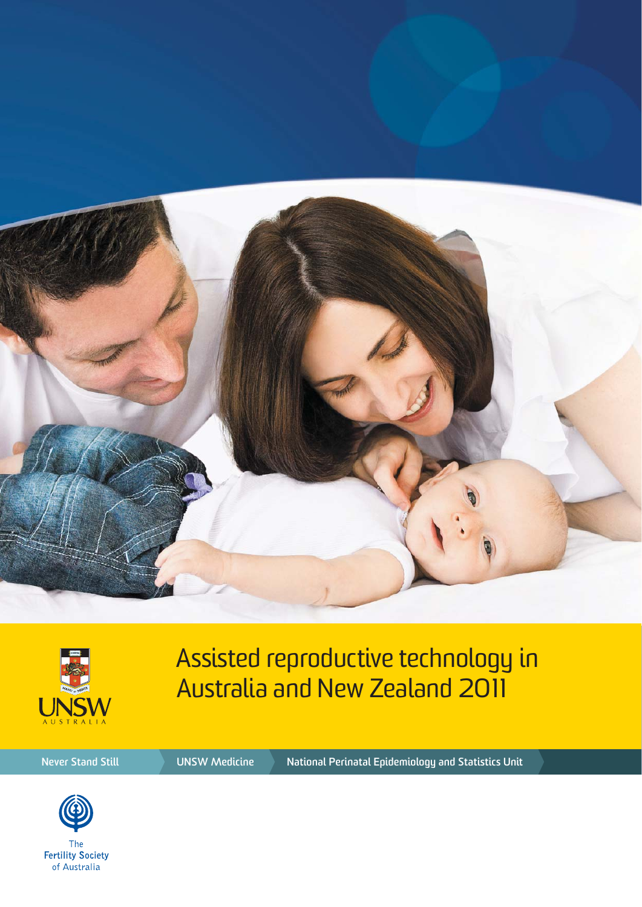



Assisted reproductive technology in Australia and New Zealand 2011

**Never Stand Still WEBSON Medicine National Perinatal Epidemiology and Statistics Unit** 



**Fertility Society** of Australia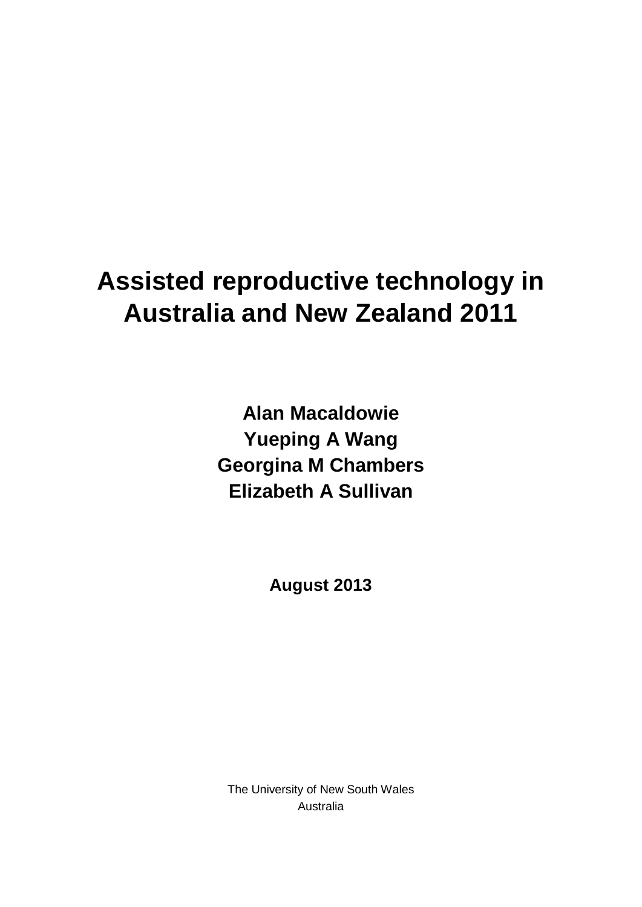# **Assisted reproductive technology in Australia and New Zealand 2011**

**Alan Macaldowie Yueping A Wang Georgina M Chambers Elizabeth A Sullivan**

**August 2013**

The University of New South Wales Australia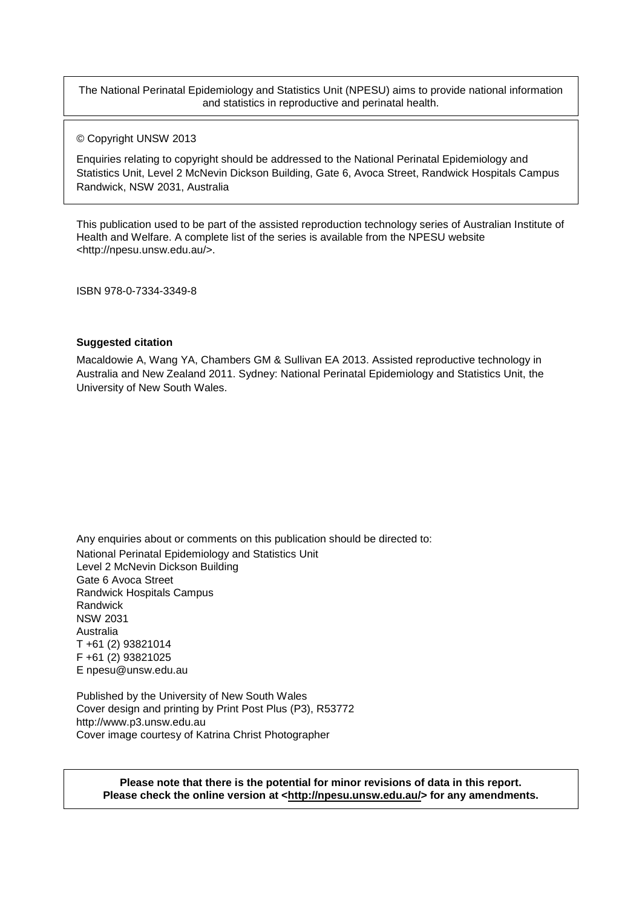The National Perinatal Epidemiology and Statistics Unit (NPESU) aims to provide national information and statistics in reproductive and perinatal health.

© Copyright UNSW 2013

Enquiries relating to copyright should be addressed to the National Perinatal Epidemiology and Statistics Unit, Level 2 McNevin Dickson Building, Gate 6, Avoca Street, Randwick Hospitals Campus Randwick, NSW 2031, Australia

This publication used to be part of the assisted reproduction technology series of Australian Institute of Health and Welfare. A complete list of the series is available from the NPESU website <http://npesu.unsw.edu.au/>.

ISBN 978-0-7334-3349-8

#### **Suggested citation**

Macaldowie A, Wang YA, Chambers GM & Sullivan EA 2013. Assisted reproductive technology in Australia and New Zealand 2011. Sydney: National Perinatal Epidemiology and Statistics Unit, the University of New South Wales.

Any enquiries about or comments on this publication should be directed to: National Perinatal Epidemiology and Statistics Unit Level 2 McNevin Dickson Building Gate 6 Avoca Street Randwick Hospitals Campus Randwick NSW 2031 Australia T +61 (2) 93821014 F +61 (2) 93821025 E [npesu@unsw.edu.au](mailto:npesu@unsw.edu.au)

Published by the University of New South Wales Cover design and printing by Print Post Plus (P3), R53772 [http://www.p3.unsw.edu.au](http://www.p3.unsw.edu.au/) Cover image courtesy of Katrina Christ Photographer

**Please note that there is the potential for minor revisions of data in this report.** Please check the online version at [<http://npesu.unsw.edu.au/>](http://npesu.unsw.edu.au/) for any amendments.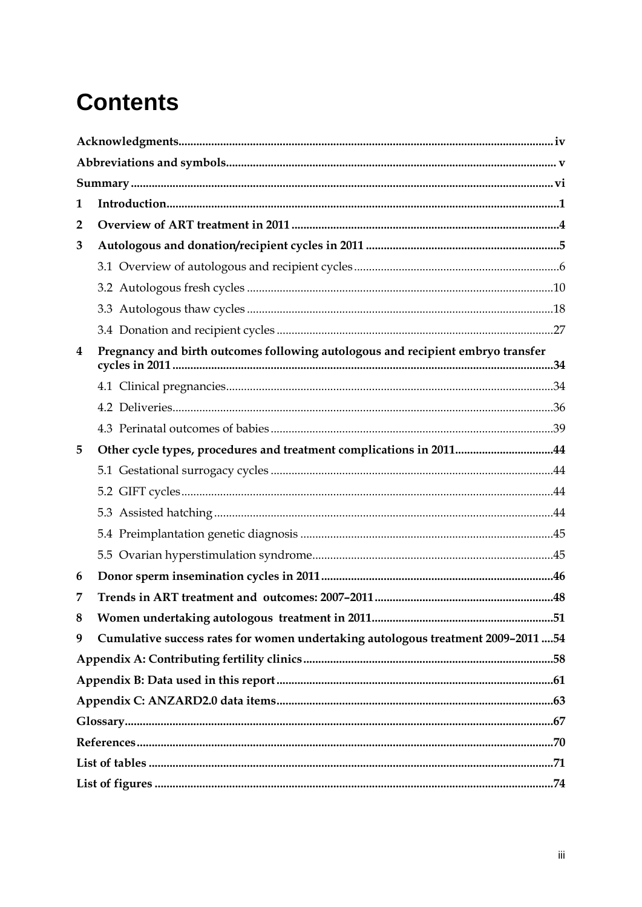# **Contents**

| 1              |                                                                                   |  |
|----------------|-----------------------------------------------------------------------------------|--|
| $\overline{2}$ |                                                                                   |  |
| 3              |                                                                                   |  |
|                |                                                                                   |  |
|                |                                                                                   |  |
|                |                                                                                   |  |
|                |                                                                                   |  |
| 4              | Pregnancy and birth outcomes following autologous and recipient embryo transfer   |  |
|                |                                                                                   |  |
|                |                                                                                   |  |
|                |                                                                                   |  |
| 5              | Other cycle types, procedures and treatment complications in 201144               |  |
|                |                                                                                   |  |
|                |                                                                                   |  |
|                |                                                                                   |  |
|                |                                                                                   |  |
|                |                                                                                   |  |
| 6              |                                                                                   |  |
| 7              |                                                                                   |  |
| 8              |                                                                                   |  |
| 9              | Cumulative success rates for women undertaking autologous treatment 2009-2011  54 |  |
|                |                                                                                   |  |
|                |                                                                                   |  |
|                |                                                                                   |  |
|                |                                                                                   |  |
|                |                                                                                   |  |
|                |                                                                                   |  |
|                |                                                                                   |  |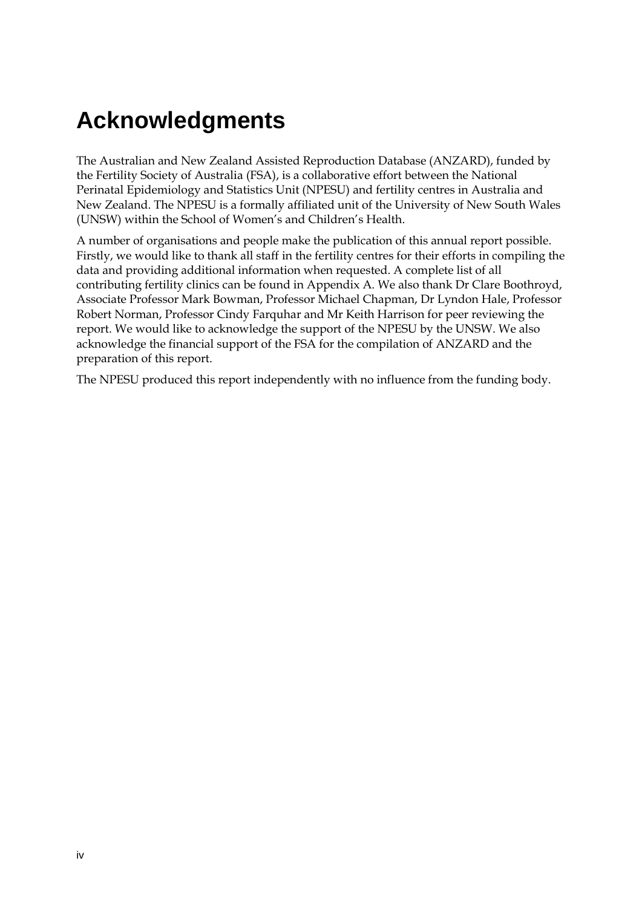## <span id="page-4-0"></span>**Acknowledgments**

The Australian and New Zealand Assisted Reproduction Database (ANZARD), funded by the Fertility Society of Australia (FSA), is a collaborative effort between the National Perinatal Epidemiology and Statistics Unit (NPESU) and fertility centres in Australia and New Zealand. The NPESU is a formally affiliated unit of the University of New South Wales (UNSW) within the School of Women's and Children's Health.

A number of organisations and people make the publication of this annual report possible. Firstly, we would like to thank all staff in the fertility centres for their efforts in compiling the data and providing additional information when requested. A complete list of all contributing fertility clinics can be found in Appendix A. We also thank Dr Clare Boothroyd, Associate Professor Mark Bowman, Professor Michael Chapman, Dr Lyndon Hale, Professor Robert Norman, Professor Cindy Farquhar and Mr Keith Harrison for peer reviewing the report. We would like to acknowledge the support of the NPESU by the UNSW. We also acknowledge the financial support of the FSA for the compilation of ANZARD and the preparation of this report.

The NPESU produced this report independently with no influence from the funding body.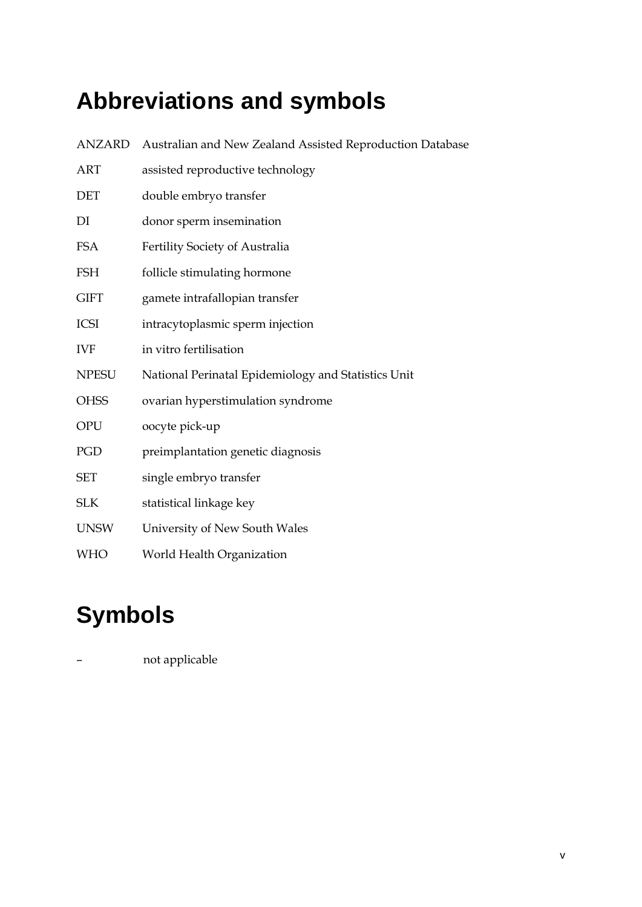# <span id="page-5-0"></span>**Abbreviations and symbols**

| <b>ANZARD</b> | Australian and New Zealand Assisted Reproduction Database |
|---------------|-----------------------------------------------------------|
| <b>ART</b>    | assisted reproductive technology                          |
| <b>DET</b>    | double embryo transfer                                    |
| DI            | donor sperm insemination                                  |
| <b>FSA</b>    | Fertility Society of Australia                            |
| <b>FSH</b>    | follicle stimulating hormone                              |
| <b>GIFT</b>   | gamete intrafallopian transfer                            |
| <b>ICSI</b>   | intracytoplasmic sperm injection                          |
| <b>IVF</b>    | in vitro fertilisation                                    |
| <b>NPESU</b>  | National Perinatal Epidemiology and Statistics Unit       |
| <b>OHSS</b>   | ovarian hyperstimulation syndrome                         |
| <b>OPU</b>    | oocyte pick-up                                            |
| PGD           | preimplantation genetic diagnosis                         |
| <b>SET</b>    | single embryo transfer                                    |
| <b>SLK</b>    | statistical linkage key                                   |
| <b>UNSW</b>   | University of New South Wales                             |
| <b>WHO</b>    | World Health Organization                                 |

# **Symbols**

– not applicable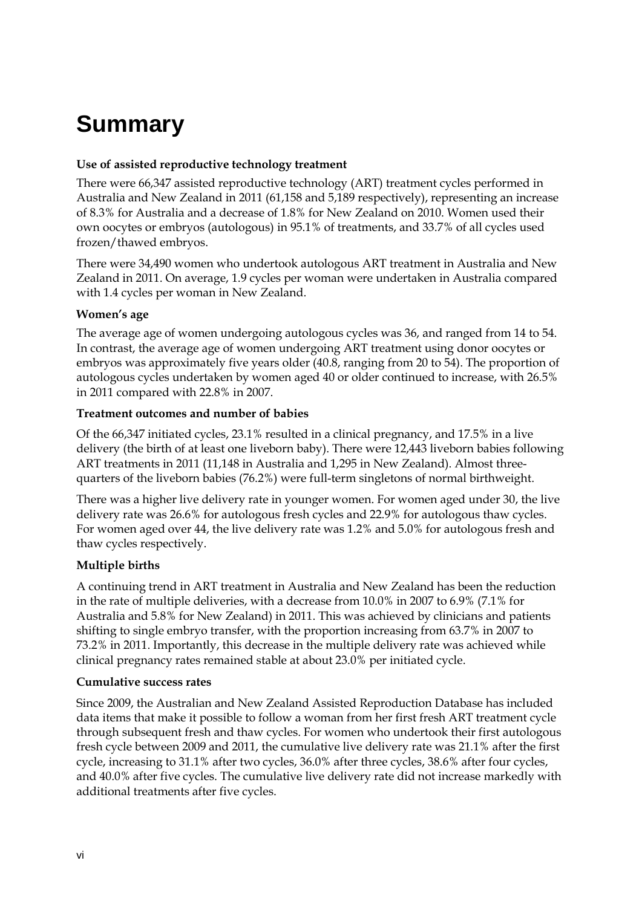# <span id="page-6-0"></span>**Summary**

#### **Use of assisted reproductive technology treatment**

There were 66,347 assisted reproductive technology (ART) treatment cycles performed in Australia and New Zealand in 2011 (61,158 and 5,189 respectively), representing an increase of 8.3% for Australia and a decrease of 1.8% for New Zealand on 2010. Women used their own oocytes or embryos (autologous) in 95.1% of treatments, and 33.7% of all cycles used frozen/thawed embryos.

There were 34,490 women who undertook autologous ART treatment in Australia and New Zealand in 2011. On average, 1.9 cycles per woman were undertaken in Australia compared with 1.4 cycles per woman in New Zealand.

#### **Women's age**

The average age of women undergoing autologous cycles was 36, and ranged from 14 to 54. In contrast, the average age of women undergoing ART treatment using donor oocytes or embryos was approximately five years older (40.8, ranging from 20 to 54). The proportion of autologous cycles undertaken by women aged 40 or older continued to increase, with 26.5% in 2011 compared with 22.8% in 2007.

#### **Treatment outcomes and number of babies**

Of the 66,347 initiated cycles, 23.1% resulted in a clinical pregnancy, and 17.5% in a live delivery (the birth of at least one liveborn baby). There were 12,443 liveborn babies following ART treatments in 2011 (11,148 in Australia and 1,295 in New Zealand). Almost threequarters of the liveborn babies (76.2%) were full-term singletons of normal birthweight.

There was a higher live delivery rate in younger women. For women aged under 30, the live delivery rate was 26.6% for autologous fresh cycles and 22.9% for autologous thaw cycles. For women aged over 44, the live delivery rate was 1.2% and 5.0% for autologous fresh and thaw cycles respectively.

#### **Multiple births**

A continuing trend in ART treatment in Australia and New Zealand has been the reduction in the rate of multiple deliveries, with a decrease from 10.0% in 2007 to 6.9% (7.1% for Australia and 5.8% for New Zealand) in 2011. This was achieved by clinicians and patients shifting to single embryo transfer, with the proportion increasing from 63.7% in 2007 to 73.2% in 2011. Importantly, this decrease in the multiple delivery rate was achieved while clinical pregnancy rates remained stable at about 23.0% per initiated cycle.

#### **Cumulative success rates**

Since 2009, the Australian and New Zealand Assisted Reproduction Database has included data items that make it possible to follow a woman from her first fresh ART treatment cycle through subsequent fresh and thaw cycles. For women who undertook their first autologous fresh cycle between 2009 and 2011, the cumulative live delivery rate was 21.1% after the first cycle, increasing to 31.1% after two cycles, 36.0% after three cycles, 38.6% after four cycles, and 40.0% after five cycles. The cumulative live delivery rate did not increase markedly with additional treatments after five cycles.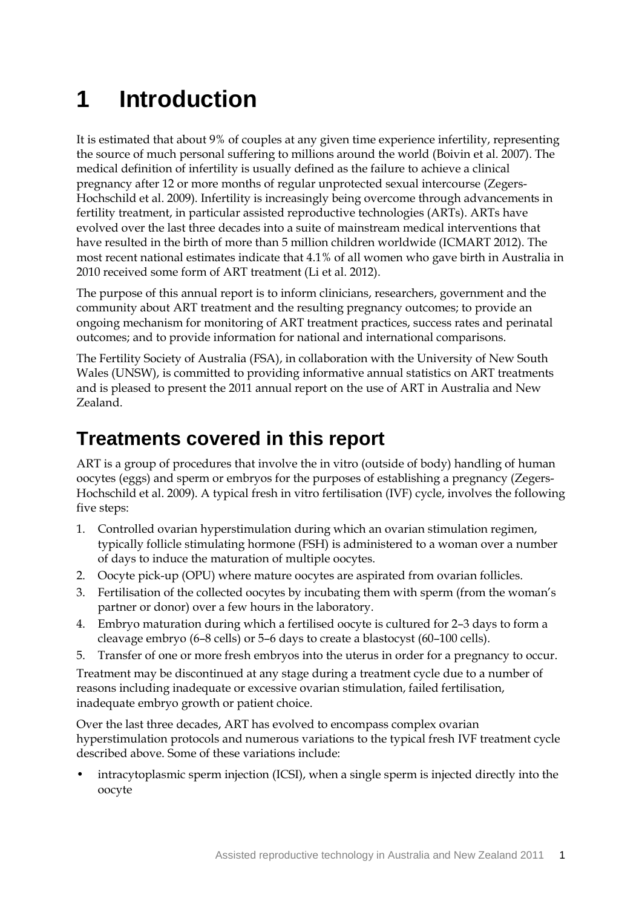# <span id="page-7-0"></span>**1 Introduction**

It is estimated that about 9% of couples at any given time experience infertility, representing the source of much personal suffering to millions around the world (Boivin et al. 2007). The medical definition of infertility is usually defined as the failure to achieve a clinical pregnancy after 12 or more months of regular unprotected sexual intercourse (Zegers-Hochschild et al. 2009). Infertility is increasingly being overcome through advancements in fertility treatment, in particular assisted reproductive technologies (ARTs). ARTs have evolved over the last three decades into a suite of mainstream medical interventions that have resulted in the birth of more than 5 million children worldwide (ICMART 2012). The most recent national estimates indicate that 4.1% of all women who gave birth in Australia in 2010 received some form of ART treatment (Li et al. 2012).

The purpose of this annual report is to inform clinicians, researchers, government and the community about ART treatment and the resulting pregnancy outcomes; to provide an ongoing mechanism for monitoring of ART treatment practices, success rates and perinatal outcomes; and to provide information for national and international comparisons.

The Fertility Society of Australia (FSA), in collaboration with the University of New South Wales (UNSW), is committed to providing informative annual statistics on ART treatments and is pleased to present the 2011 annual report on the use of ART in Australia and New Zealand.

## **Treatments covered in this report**

ART is a group of procedures that involve the in vitro (outside of body) handling of human oocytes (eggs) and sperm or embryos for the purposes of establishing a pregnancy (Zegers-Hochschild et al. 2009). A typical fresh in vitro fertilisation (IVF) cycle, involves the following five steps:

- 1. Controlled ovarian hyperstimulation during which an ovarian stimulation regimen, typically follicle stimulating hormone (FSH) is administered to a woman over a number of days to induce the maturation of multiple oocytes.
- 2. Oocyte pick-up (OPU) where mature oocytes are aspirated from ovarian follicles.
- 3. Fertilisation of the collected oocytes by incubating them with sperm (from the woman's partner or donor) over a few hours in the laboratory.
- 4. Embryo maturation during which a fertilised oocyte is cultured for 2–3 days to form a cleavage embryo (6–8 cells) or 5–6 days to create a blastocyst (60–100 cells).
- 5. Transfer of one or more fresh embryos into the uterus in order for a pregnancy to occur.

Treatment may be discontinued at any stage during a treatment cycle due to a number of reasons including inadequate or excessive ovarian stimulation, failed fertilisation, inadequate embryo growth or patient choice.

Over the last three decades, ART has evolved to encompass complex ovarian hyperstimulation protocols and numerous variations to the typical fresh IVF treatment cycle described above. Some of these variations include:

• intracytoplasmic sperm injection (ICSI), when a single sperm is injected directly into the oocyte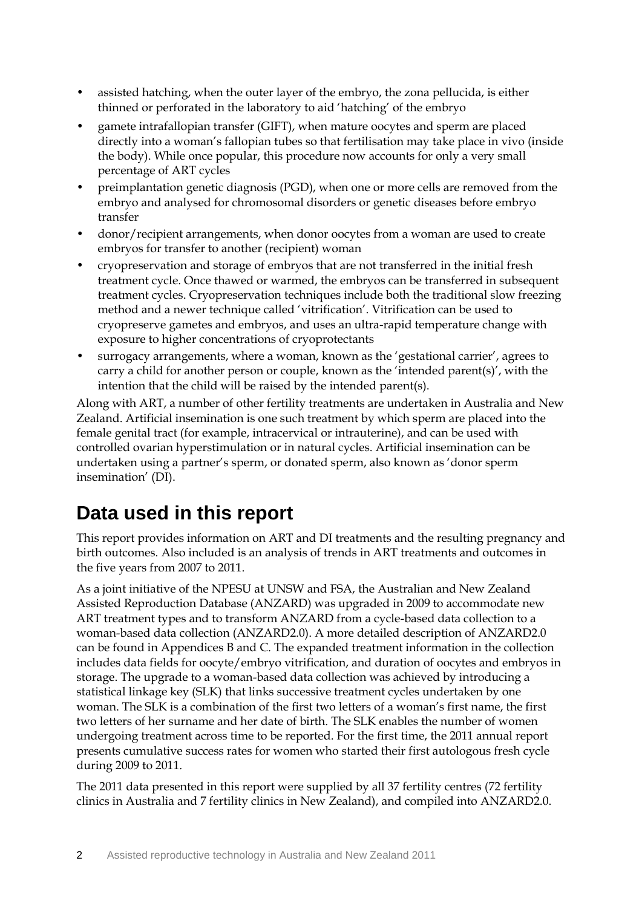- assisted hatching, when the outer layer of the embryo, the zona pellucida, is either thinned or perforated in the laboratory to aid 'hatching' of the embryo
- gamete intrafallopian transfer (GIFT), when mature oocytes and sperm are placed directly into a woman's fallopian tubes so that fertilisation may take place in vivo (inside the body). While once popular, this procedure now accounts for only a very small percentage of ART cycles
- preimplantation genetic diagnosis (PGD), when one or more cells are removed from the embryo and analysed for chromosomal disorders or genetic diseases before embryo transfer
- donor/recipient arrangements, when donor oocytes from a woman are used to create embryos for transfer to another (recipient) woman
- cryopreservation and storage of embryos that are not transferred in the initial fresh treatment cycle. Once thawed or warmed, the embryos can be transferred in subsequent treatment cycles. Cryopreservation techniques include both the traditional slow freezing method and a newer technique called 'vitrification'. Vitrification can be used to cryopreserve gametes and embryos, and uses an ultra-rapid temperature change with exposure to higher concentrations of cryoprotectants
- surrogacy arrangements, where a woman, known as the 'gestational carrier', agrees to carry a child for another person or couple, known as the 'intended parent(s)', with the intention that the child will be raised by the intended parent(s).

Along with ART, a number of other fertility treatments are undertaken in Australia and New Zealand. Artificial insemination is one such treatment by which sperm are placed into the female genital tract (for example, intracervical or intrauterine), and can be used with controlled ovarian hyperstimulation or in natural cycles. Artificial insemination can be undertaken using a partner's sperm, or donated sperm, also known as 'donor sperm insemination' (DI).

## **Data used in this report**

This report provides information on ART and DI treatments and the resulting pregnancy and birth outcomes. Also included is an analysis of trends in ART treatments and outcomes in the five years from 2007 to 2011.

As a joint initiative of the NPESU at UNSW and FSA, the Australian and New Zealand Assisted Reproduction Database (ANZARD) was upgraded in 2009 to accommodate new ART treatment types and to transform ANZARD from a cycle-based data collection to a woman-based data collection (ANZARD2.0). A more detailed description of ANZARD2.0 can be found in Appendices B and C. The expanded treatment information in the collection includes data fields for oocyte/embryo vitrification, and duration of oocytes and embryos in storage. The upgrade to a woman-based data collection was achieved by introducing a statistical linkage key (SLK) that links successive treatment cycles undertaken by one woman. The SLK is a combination of the first two letters of a woman's first name, the first two letters of her surname and her date of birth. The SLK enables the number of women undergoing treatment across time to be reported. For the first time, the 2011 annual report presents cumulative success rates for women who started their first autologous fresh cycle during 2009 to 2011.

The 2011 data presented in this report were supplied by all 37 fertility centres (72 fertility clinics in Australia and 7 fertility clinics in New Zealand), and compiled into ANZARD2.0.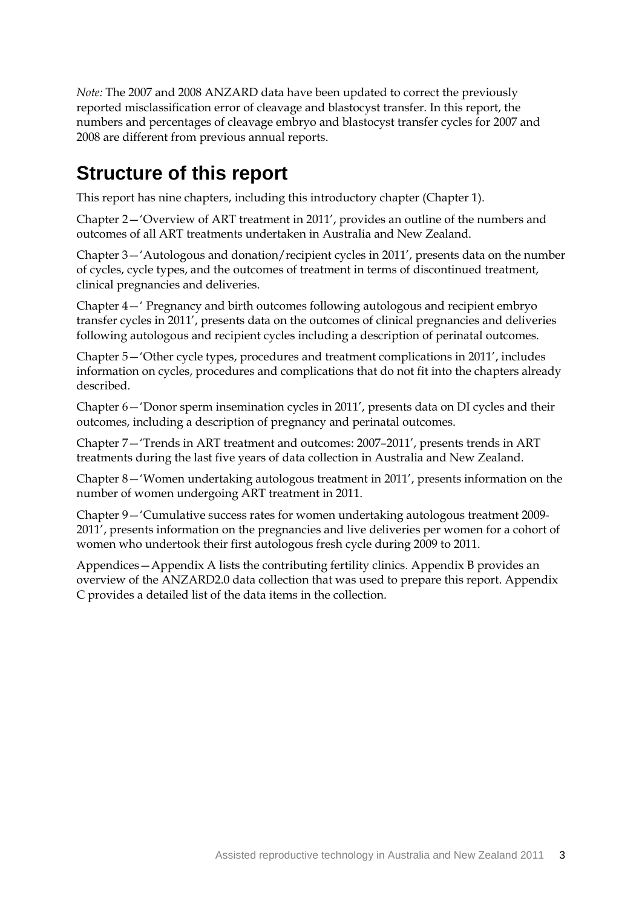*Note:* The 2007 and 2008 ANZARD data have been updated to correct the previously reported misclassification error of cleavage and blastocyst transfer. In this report, the numbers and percentages of cleavage embryo and blastocyst transfer cycles for 2007 and 2008 are different from previous annual reports.

## **Structure of this report**

This report has nine chapters, including this introductory chapter (Chapter 1).

Chapter 2—'Overview of ART treatment in 2011', provides an outline of the numbers and outcomes of all ART treatments undertaken in Australia and New Zealand.

Chapter 3—'Autologous and donation/recipient cycles in 2011', presents data on the number of cycles, cycle types, and the outcomes of treatment in terms of discontinued treatment, clinical pregnancies and deliveries.

Chapter 4—' Pregnancy and birth outcomes following autologous and recipient embryo transfer cycles in 2011', presents data on the outcomes of clinical pregnancies and deliveries following autologous and recipient cycles including a description of perinatal outcomes.

Chapter 5—'Other cycle types, procedures and treatment complications in 2011', includes information on cycles, procedures and complications that do not fit into the chapters already described.

Chapter 6—'Donor sperm insemination cycles in 2011', presents data on DI cycles and their outcomes, including a description of pregnancy and perinatal outcomes.

Chapter 7—'Trends in ART treatment and outcomes: 2007–2011', presents trends in ART treatments during the last five years of data collection in Australia and New Zealand.

Chapter 8—'Women undertaking autologous treatment in 2011', presents information on the number of women undergoing ART treatment in 2011.

Chapter 9—'Cumulative success rates for women undertaking autologous treatment 2009- 2011', presents information on the pregnancies and live deliveries per women for a cohort of women who undertook their first autologous fresh cycle during 2009 to 2011.

Appendices—Appendix A lists the contributing fertility clinics. Appendix B provides an overview of the ANZARD2.0 data collection that was used to prepare this report. Appendix C provides a detailed list of the data items in the collection.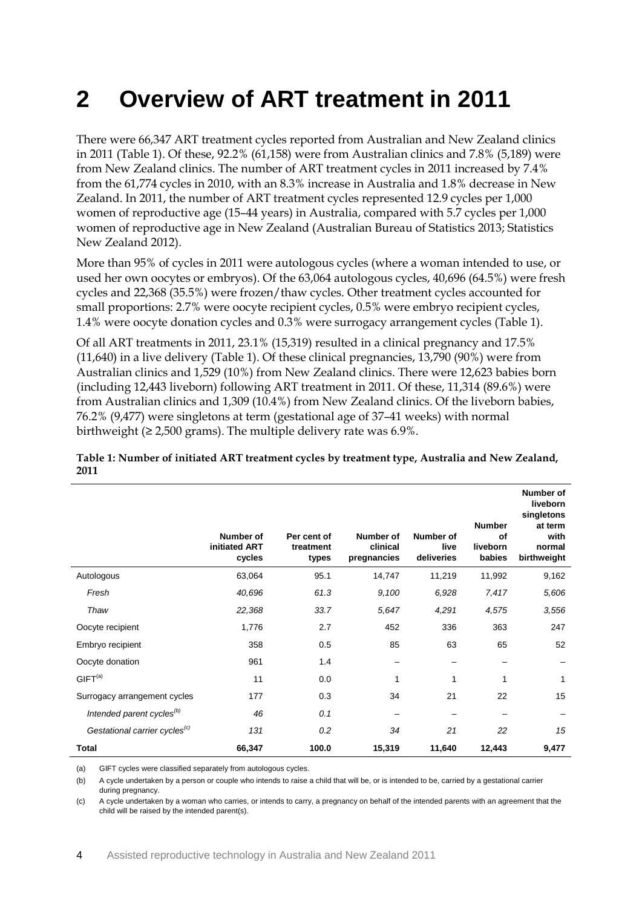# <span id="page-10-0"></span>**2 Overview of ART treatment in 2011**

There were 66,347 ART treatment cycles reported from Australian and New Zealand clinics in 2011 (Table 1). Of these, 92.2% (61,158) were from Australian clinics and 7.8% (5,189) were from New Zealand clinics. The number of ART treatment cycles in 2011 increased by 7.4% from the 61,774 cycles in 2010, with an 8.3% increase in Australia and 1.8% decrease in New Zealand. In 2011, the number of ART treatment cycles represented 12.9 cycles per 1,000 women of reproductive age (15–44 years) in Australia, compared with 5.7 cycles per 1,000 women of reproductive age in New Zealand (Australian Bureau of Statistics 2013; Statistics New Zealand 2012).

More than 95% of cycles in 2011 were autologous cycles (where a woman intended to use, or used her own oocytes or embryos). Of the 63,064 autologous cycles, 40,696 (64.5%) were fresh cycles and 22,368 (35.5%) were frozen/thaw cycles. Other treatment cycles accounted for small proportions: 2.7% were oocyte recipient cycles, 0.5% were embryo recipient cycles, 1.4% were oocyte donation cycles and 0.3% were surrogacy arrangement cycles (Table 1).

Of all ART treatments in 2011, 23.1% (15,319) resulted in a clinical pregnancy and 17.5% (11,640) in a live delivery (Table 1). Of these clinical pregnancies, 13,790 (90%) were from Australian clinics and 1,529 (10%) from New Zealand clinics. There were 12,623 babies born (including 12,443 liveborn) following ART treatment in 2011. Of these, 11,314 (89.6%) were from Australian clinics and 1,309 (10.4%) from New Zealand clinics. Of the liveborn babies, 76.2% (9,477) were singletons at term (gestational age of 37–41 weeks) with normal birthweight ( $\geq 2,500$  grams). The multiple delivery rate was 6.9%.

**Table 1: Number of initiated ART treatment cycles by treatment type, Australia and New Zealand, 2011**

|                                           | Number of<br>initiated ART<br>cycles | Per cent of<br>treatment<br>types | Number of<br>clinical<br>pregnancies | Number of<br>live<br>deliveries | <b>Number</b><br>οf<br>liveborn<br>babies | Number of<br>liveborn<br>singletons<br>at term<br>with<br>normal<br>birthweight |
|-------------------------------------------|--------------------------------------|-----------------------------------|--------------------------------------|---------------------------------|-------------------------------------------|---------------------------------------------------------------------------------|
| Autologous                                | 63,064                               | 95.1                              | 14,747                               | 11,219                          | 11,992                                    | 9,162                                                                           |
| Fresh                                     | 40,696                               | 61.3                              | 9,100                                | 6,928                           | 7,417                                     | 5,606                                                                           |
| Thaw                                      | 22,368                               | 33.7                              | 5,647                                | 4,291                           | 4,575                                     | 3,556                                                                           |
| Oocyte recipient                          | 1,776                                | 2.7                               | 452                                  | 336                             | 363                                       | 247                                                                             |
| Embryo recipient                          | 358                                  | 0.5                               | 85                                   | 63                              | 65                                        | 52                                                                              |
| Oocyte donation                           | 961                                  | 1.4                               |                                      |                                 |                                           |                                                                                 |
| GIFT <sup>(a)</sup>                       | 11                                   | 0.0                               | 1                                    | 1                               |                                           | 1                                                                               |
| Surrogacy arrangement cycles              | 177                                  | 0.3                               | 34                                   | 21                              | 22                                        | 15                                                                              |
| Intended parent cycles <sup>(b)</sup>     | 46                                   | 0.1                               |                                      |                                 |                                           |                                                                                 |
| Gestational carrier cycles <sup>(c)</sup> | 131                                  | 0.2                               | 34                                   | 21                              | 22                                        | 15                                                                              |
| <b>Total</b>                              | 66,347                               | 100.0                             | 15,319                               | 11,640                          | 12,443                                    | 9,477                                                                           |

(a) GIFT cycles were classified separately from autologous cycles.

(b) A cycle undertaken by a person or couple who intends to raise a child that will be, or is intended to be, carried by a gestational carrier during pregnancy.

(c) A cycle undertaken by a woman who carries, or intends to carry, a pregnancy on behalf of the intended parents with an agreement that the child will be raised by the intended parent(s).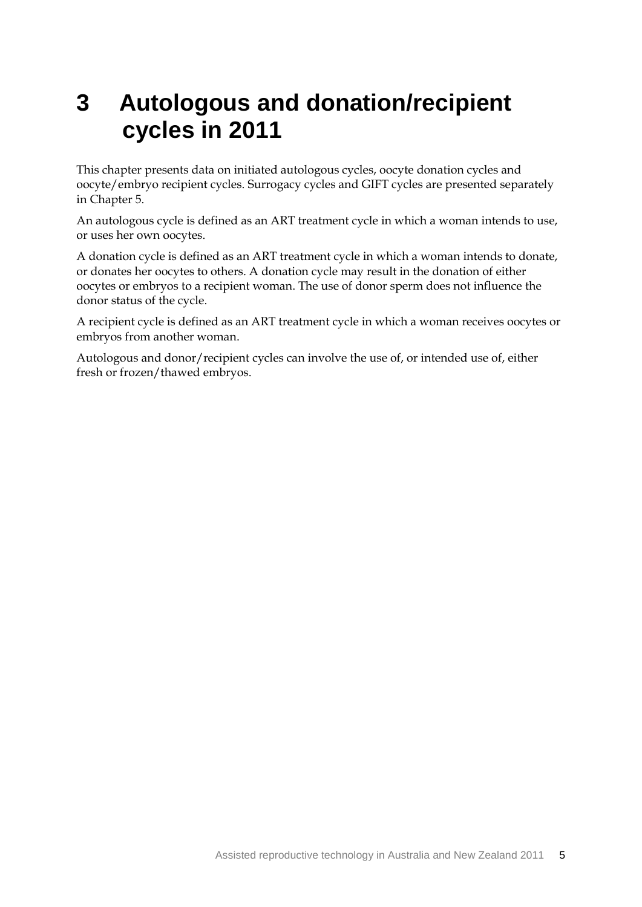## <span id="page-11-0"></span>**3 Autologous and donation/recipient cycles in 2011**

This chapter presents data on initiated autologous cycles, oocyte donation cycles and oocyte/embryo recipient cycles. Surrogacy cycles and GIFT cycles are presented separately in Chapter 5.

An autologous cycle is defined as an ART treatment cycle in which a woman intends to use, or uses her own oocytes.

A donation cycle is defined as an ART treatment cycle in which a woman intends to donate, or donates her oocytes to others. A donation cycle may result in the donation of either oocytes or embryos to a recipient woman. The use of donor sperm does not influence the donor status of the cycle.

A recipient cycle is defined as an ART treatment cycle in which a woman receives oocytes or embryos from another woman.

Autologous and donor/recipient cycles can involve the use of, or intended use of, either fresh or frozen/thawed embryos.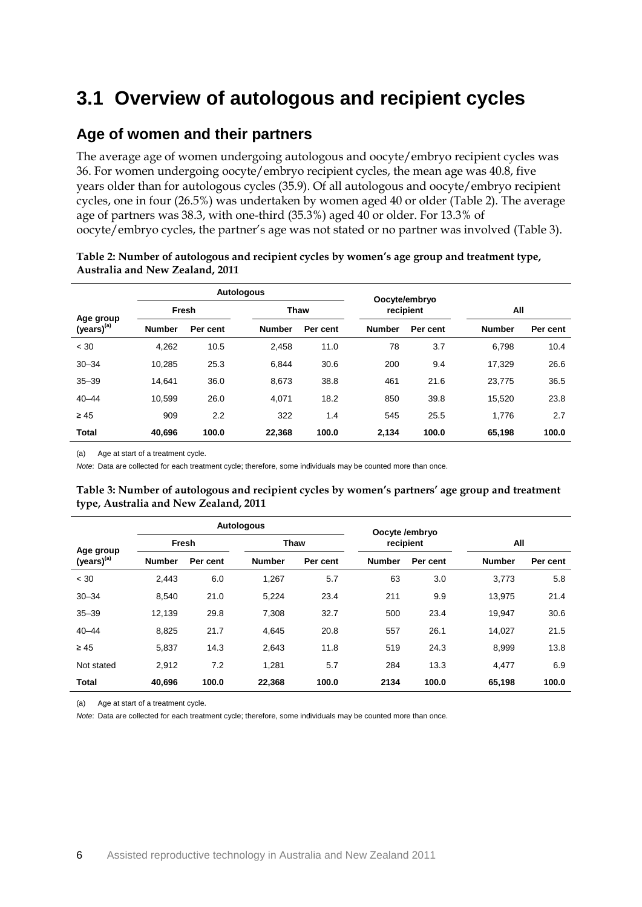## <span id="page-12-0"></span>**3.1 Overview of autologous and recipient cycles**

#### **Age of women and their partners**

The average age of women undergoing autologous and oocyte/embryo recipient cycles was 36. For women undergoing oocyte/embryo recipient cycles, the mean age was 40.8, five years older than for autologous cycles (35.9). Of all autologous and oocyte/embryo recipient cycles, one in four (26.5%) was undertaken by women aged 40 or older (Table 2). The average age of partners was 38.3, with one-third (35.3%) aged 40 or older. For 13.3% of oocyte/embryo cycles, the partner's age was not stated or no partner was involved (Table 3).

|                 |               |          | <b>Autologous</b> |             |               | Oocyte/embryo |               |          |  |
|-----------------|---------------|----------|-------------------|-------------|---------------|---------------|---------------|----------|--|
| Age group       | Fresh         |          |                   | <b>Thaw</b> |               | recipient     |               | All      |  |
| $(years)^{(a)}$ | <b>Number</b> | Per cent | <b>Number</b>     | Per cent    | <b>Number</b> | Per cent      | <b>Number</b> | Per cent |  |
| < 30            | 4,262         | 10.5     | 2,458             | 11.0        | 78            | 3.7           | 6.798         | 10.4     |  |
| $30 - 34$       | 10,285        | 25.3     | 6,844             | 30.6        | 200           | 9.4           | 17,329        | 26.6     |  |
| $35 - 39$       | 14.641        | 36.0     | 8,673             | 38.8        | 461           | 21.6          | 23,775        | 36.5     |  |
| $40 - 44$       | 10.599        | 26.0     | 4.071             | 18.2        | 850           | 39.8          | 15.520        | 23.8     |  |
| $\geq 45$       | 909           | 2.2      | 322               | 1.4         | 545           | 25.5          | 1.776         | 2.7      |  |
| <b>Total</b>    | 40,696        | 100.0    | 22.368            | 100.0       | 2,134         | 100.0         | 65,198        | 100.0    |  |

#### **Table 2: Number of autologous and recipient cycles by women's age group and treatment type, Australia and New Zealand, 2011**

(a) Age at start of a treatment cycle.

*Note*: Data are collected for each treatment cycle; therefore, some individuals may be counted more than once.

| Table 3: Number of autologous and recipient cycles by women's partners' age group and treatment |  |  |
|-------------------------------------------------------------------------------------------------|--|--|
| type, Australia and New Zealand, 2011                                                           |  |  |

|                 |               |          | <b>Autologous</b> |             |               | Oocyte /embryo |               |          |  |
|-----------------|---------------|----------|-------------------|-------------|---------------|----------------|---------------|----------|--|
| Age group       |               | Fresh    |                   | <b>Thaw</b> |               | recipient      |               | All      |  |
| $(years)^{(a)}$ | <b>Number</b> | Per cent | <b>Number</b>     | Per cent    | <b>Number</b> | Per cent       | <b>Number</b> | Per cent |  |
| < 30            | 2.443         | 6.0      | 1,267             | 5.7         | 63            | 3.0            | 3.773         | 5.8      |  |
| $30 - 34$       | 8,540         | 21.0     | 5,224             | 23.4        | 211           | 9.9            | 13,975        | 21.4     |  |
| $35 - 39$       | 12,139        | 29.8     | 7.308             | 32.7        | 500           | 23.4           | 19.947        | 30.6     |  |
| $40 - 44$       | 8,825         | 21.7     | 4,645             | 20.8        | 557           | 26.1           | 14,027        | 21.5     |  |
| $\geq 45$       | 5,837         | 14.3     | 2,643             | 11.8        | 519           | 24.3           | 8,999         | 13.8     |  |
| Not stated      | 2,912         | 7.2      | 1,281             | 5.7         | 284           | 13.3           | 4,477         | 6.9      |  |
| <b>Total</b>    | 40,696        | 100.0    | 22,368            | 100.0       | 2134          | 100.0          | 65,198        | 100.0    |  |

(a) Age at start of a treatment cycle.

*Note*: Data are collected for each treatment cycle; therefore, some individuals may be counted more than once.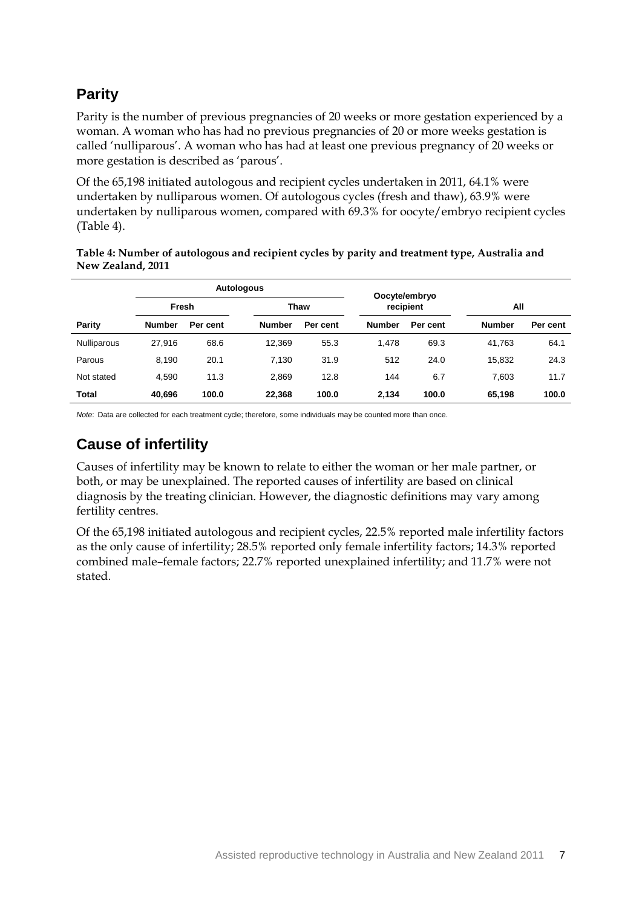## **Parity**

Parity is the number of previous pregnancies of 20 weeks or more gestation experienced by a woman. A woman who has had no previous pregnancies of 20 or more weeks gestation is called 'nulliparous'. A woman who has had at least one previous pregnancy of 20 weeks or more gestation is described as 'parous'.

Of the 65,198 initiated autologous and recipient cycles undertaken in 2011, 64.1% were undertaken by nulliparous women. Of autologous cycles (fresh and thaw), 63.9% were undertaken by nulliparous women, compared with 69.3% for oocyte/embryo recipient cycles (Table 4).

**Table 4: Number of autologous and recipient cycles by parity and treatment type, Australia and New Zealand, 2011**

|                    |               | <b>Autologous</b> |               |          | Oocyte/embryo |          |               |          |
|--------------------|---------------|-------------------|---------------|----------|---------------|----------|---------------|----------|
|                    | Fresh         |                   | Thaw          |          | recipient     |          | All           |          |
| Parity             | <b>Number</b> | Per cent          | <b>Number</b> | Per cent | <b>Number</b> | Per cent | <b>Number</b> | Per cent |
| <b>Nulliparous</b> | 27.916        | 68.6              | 12.369        | 55.3     | 1.478         | 69.3     | 41.763        | 64.1     |
| Parous             | 8.190         | 20.1              | 7.130         | 31.9     | 512           | 24.0     | 15,832        | 24.3     |
| Not stated         | 4.590         | 11.3              | 2,869         | 12.8     | 144           | 6.7      | 7.603         | 11.7     |
| <b>Total</b>       | 40.696        | 100.0             | 22,368        | 100.0    | 2.134         | 100.0    | 65.198        | 100.0    |

*Note*: Data are collected for each treatment cycle; therefore, some individuals may be counted more than once.

## **Cause of infertility**

Causes of infertility may be known to relate to either the woman or her male partner, or both, or may be unexplained. The reported causes of infertility are based on clinical diagnosis by the treating clinician. However, the diagnostic definitions may vary among fertility centres.

Of the 65,198 initiated autologous and recipient cycles, 22.5% reported male infertility factors as the only cause of infertility; 28.5% reported only female infertility factors; 14.3% reported combined male–female factors; 22.7% reported unexplained infertility; and 11.7% were not stated.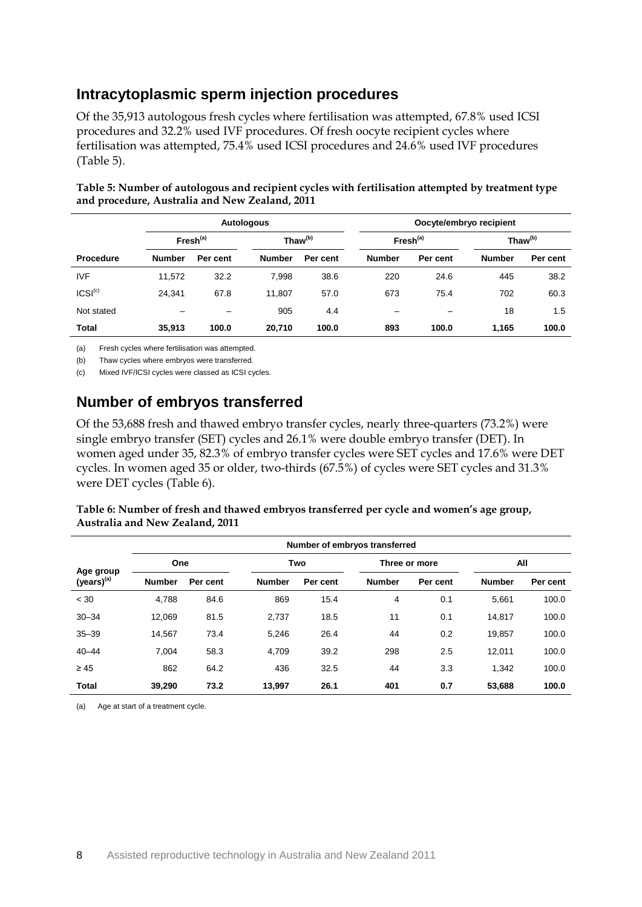#### **Intracytoplasmic sperm injection procedures**

Of the 35,913 autologous fresh cycles where fertilisation was attempted, 67.8% used ICSI procedures and 32.2% used IVF procedures. Of fresh oocyte recipient cycles where fertilisation was attempted, 75.4% used ICSI procedures and 24.6% used IVF procedures (Table 5).

|                     |                      |          | <b>Autologous</b>   |          | Oocyte/embryo recipient |          |                     |          |
|---------------------|----------------------|----------|---------------------|----------|-------------------------|----------|---------------------|----------|
|                     | Fresh <sup>(a)</sup> |          | Thaw <sup>(b)</sup> |          | Fresh <sup>(a)</sup>    |          | Thaw <sup>(b)</sup> |          |
| <b>Procedure</b>    | <b>Number</b>        | Per cent | <b>Number</b>       | Per cent | <b>Number</b>           | Per cent | <b>Number</b>       | Per cent |
| <b>IVF</b>          | 11,572               | 32.2     | 7,998               | 38.6     | 220                     | 24.6     | 445                 | 38.2     |
| ICSI <sup>(c)</sup> | 24.341               | 67.8     | 11.807              | 57.0     | 673                     | 75.4     | 702                 | 60.3     |
| Not stated          |                      |          | 905                 | 4.4      | $\qquad \qquad$         | -        | 18                  | 1.5      |
| <b>Total</b>        | 35,913               | 100.0    | 20,710              | 100.0    | 893                     | 100.0    | 1,165               | 100.0    |

**Table 5: Number of autologous and recipient cycles with fertilisation attempted by treatment type and procedure, Australia and New Zealand, 2011**

(a) Fresh cycles where fertilisation was attempted.

(b) Thaw cycles where embryos were transferred.

(c) Mixed IVF/ICSI cycles were classed as ICSI cycles.

#### **Number of embryos transferred**

Of the 53,688 fresh and thawed embryo transfer cycles, nearly three-quarters (73.2%) were single embryo transfer (SET) cycles and 26.1% were double embryo transfer (DET). In women aged under 35, 82.3% of embryo transfer cycles were SET cycles and 17.6% were DET cycles. In women aged 35 or older, two-thirds (67.5%) of cycles were SET cycles and 31.3% were DET cycles (Table 6).

| Table 6: Number of fresh and thawed embryos transferred per cycle and women's age group, |  |
|------------------------------------------------------------------------------------------|--|
| Australia and New Zealand, 2011                                                          |  |

|                        | Number of embryos transferred |          |               |          |               |          |               |          |  |
|------------------------|-------------------------------|----------|---------------|----------|---------------|----------|---------------|----------|--|
| Age group              | <b>One</b>                    |          | Two           |          | Three or more |          |               | All      |  |
| (years) <sup>(a)</sup> | <b>Number</b>                 | Per cent | <b>Number</b> | Per cent | <b>Number</b> | Per cent | <b>Number</b> | Per cent |  |
| < 30                   | 4,788                         | 84.6     | 869           | 15.4     | 4             | 0.1      | 5,661         | 100.0    |  |
| $30 - 34$              | 12,069                        | 81.5     | 2,737         | 18.5     | 11            | 0.1      | 14.817        | 100.0    |  |
| $35 - 39$              | 14.567                        | 73.4     | 5.246         | 26.4     | 44            | 0.2      | 19,857        | 100.0    |  |
| $40 - 44$              | 7,004                         | 58.3     | 4,709         | 39.2     | 298           | 2.5      | 12,011        | 100.0    |  |
| $\geq 45$              | 862                           | 64.2     | 436           | 32.5     | 44            | 3.3      | 1,342         | 100.0    |  |
| <b>Total</b>           | 39,290                        | 73.2     | 13.997        | 26.1     | 401           | 0.7      | 53.688        | 100.0    |  |

(a) Age at start of a treatment cycle.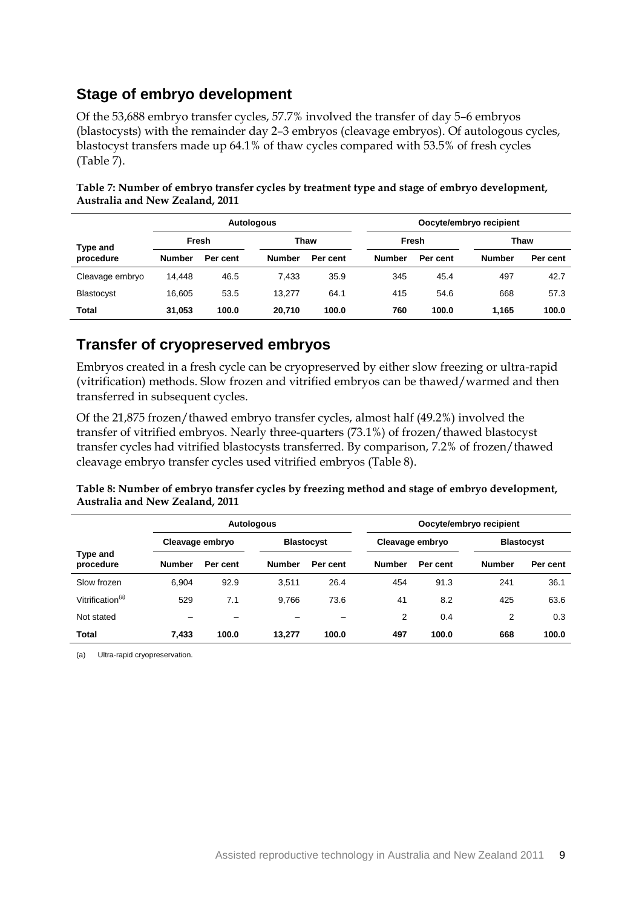#### **Stage of embryo development**

Of the 53,688 embryo transfer cycles, 57.7% involved the transfer of day 5–6 embryos (blastocysts) with the remainder day 2–3 embryos (cleavage embryos). Of autologous cycles, blastocyst transfers made up 64.1% of thaw cycles compared with 53.5% of fresh cycles (Table 7).

|                   |               |          | Autologous    |          | Oocyte/embryo recipient |          |               |          |  |
|-------------------|---------------|----------|---------------|----------|-------------------------|----------|---------------|----------|--|
| Type and          |               | Fresh    | Thaw          |          |                         | Fresh    |               | Thaw     |  |
| procedure         | <b>Number</b> | Per cent | <b>Number</b> | Per cent | <b>Number</b>           | Per cent | <b>Number</b> | Per cent |  |
| Cleavage embryo   | 14.448        | 46.5     | 7.433         | 35.9     | 345                     | 45.4     | 497           | 42.7     |  |
| <b>Blastocyst</b> | 16.605        | 53.5     | 13.277        | 64.1     | 415                     | 54.6     | 668           | 57.3     |  |
| Total             | 31,053        | 100.0    | 20.710        | 100.0    | 760                     | 100.0    | 1.165         | 100.0    |  |

**Table 7: Number of embryo transfer cycles by treatment type and stage of embryo development, Australia and New Zealand, 2011**

#### **Transfer of cryopreserved embryos**

Embryos created in a fresh cycle can be cryopreserved by either slow freezing or ultra-rapid (vitrification) methods. Slow frozen and vitrified embryos can be thawed/warmed and then transferred in subsequent cycles.

Of the 21,875 frozen/thawed embryo transfer cycles, almost half (49.2%) involved the transfer of vitrified embryos. Nearly three-quarters (73.1%) of frozen/thawed blastocyst transfer cycles had vitrified blastocysts transferred. By comparison, 7.2% of frozen/thawed cleavage embryo transfer cycles used vitrified embryos (Table 8).

#### **Table 8: Number of embryo transfer cycles by freezing method and stage of embryo development, Australia and New Zealand, 2011**

|                              |                 |          | <b>Autologous</b> |          | Oocyte/embryo recipient |          |                   |          |
|------------------------------|-----------------|----------|-------------------|----------|-------------------------|----------|-------------------|----------|
|                              | Cleavage embryo |          | <b>Blastocyst</b> |          | Cleavage embryo         |          | <b>Blastocyst</b> |          |
| Type and<br>procedure        | <b>Number</b>   | Per cent | <b>Number</b>     | Per cent | <b>Number</b>           | Per cent | <b>Number</b>     | Per cent |
| Slow frozen                  | 6.904           | 92.9     | 3,511             | 26.4     | 454                     | 91.3     | 241               | 36.1     |
| Vitrification <sup>(a)</sup> | 529             | 7.1      | 9.766             | 73.6     | 41                      | 8.2      | 425               | 63.6     |
| Not stated                   |                 | -        |                   | -        | 2                       | 0.4      | 2                 | 0.3      |
| <b>Total</b>                 | 7,433           | 100.0    | 13.277            | 100.0    | 497                     | 100.0    | 668               | 100.0    |

(a) Ultra-rapid cryopreservation.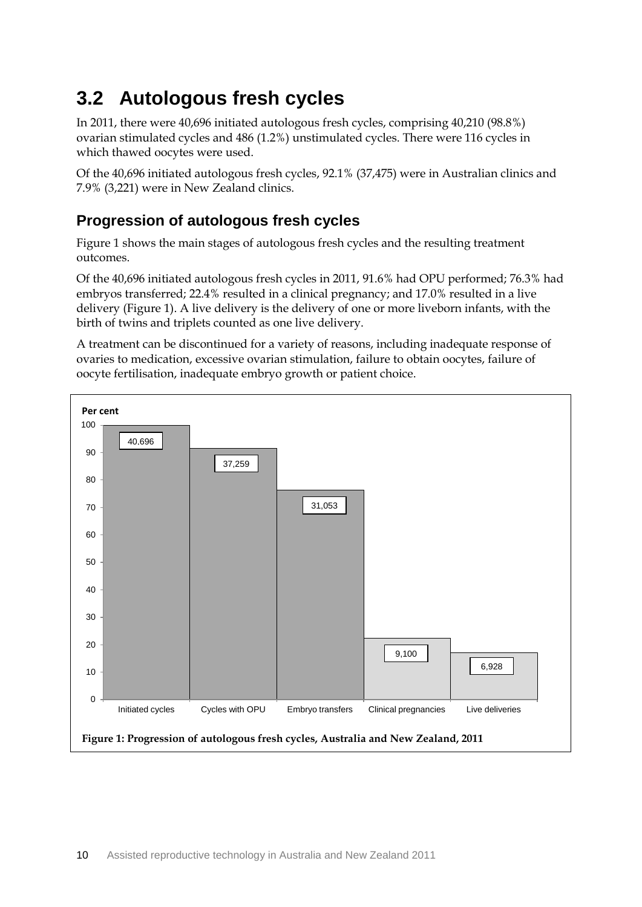## <span id="page-16-0"></span>**3.2 Autologous fresh cycles**

In 2011, there were 40,696 initiated autologous fresh cycles, comprising 40,210 (98.8%) ovarian stimulated cycles and 486 (1.2%) unstimulated cycles. There were 116 cycles in which thawed oocytes were used.

Of the 40,696 initiated autologous fresh cycles, 92.1% (37,475) were in Australian clinics and 7.9% (3,221) were in New Zealand clinics.

## **Progression of autologous fresh cycles**

Figure 1 shows the main stages of autologous fresh cycles and the resulting treatment outcomes.

Of the 40,696 initiated autologous fresh cycles in 2011, 91.6% had OPU performed; 76.3% had embryos transferred; 22.4% resulted in a clinical pregnancy; and 17.0% resulted in a live delivery (Figure 1). A live delivery is the delivery of one or more liveborn infants, with the birth of twins and triplets counted as one live delivery.

A treatment can be discontinued for a variety of reasons, including inadequate response of ovaries to medication, excessive ovarian stimulation, failure to obtain oocytes, failure of oocyte fertilisation, inadequate embryo growth or patient choice.

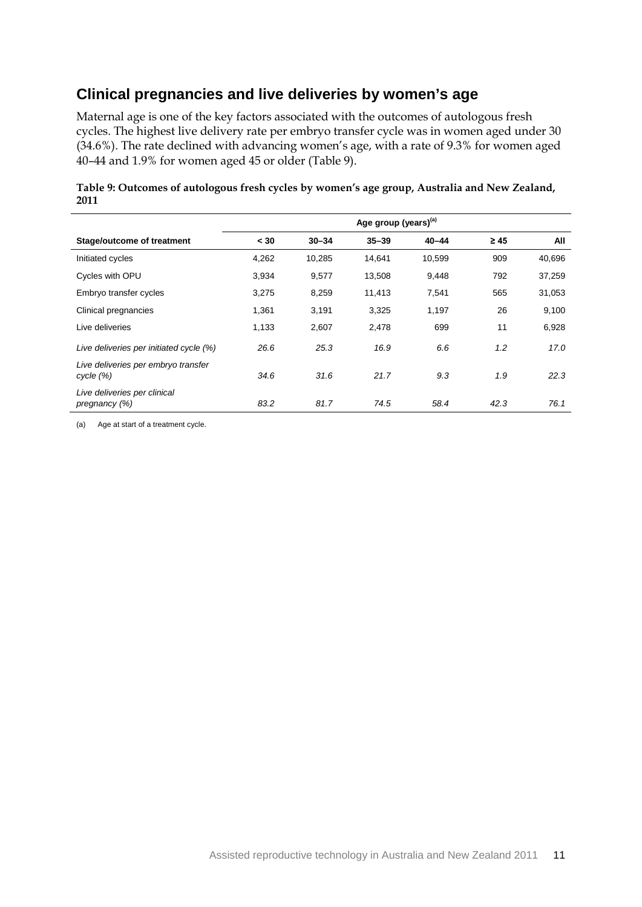### **Clinical pregnancies and live deliveries by women's age**

Maternal age is one of the key factors associated with the outcomes of autologous fresh cycles. The highest live delivery rate per embryo transfer cycle was in women aged under 30 (34.6%). The rate declined with advancing women's age, with a rate of 9.3% for women aged 40–44 and 1.9% for women aged 45 or older (Table 9).

| Table 9: Outcomes of autologous fresh cycles by women's age group, Australia and New Zealand, |  |
|-----------------------------------------------------------------------------------------------|--|
| 2011                                                                                          |  |

|                                                  | Age group (years) <sup>(a)</sup> |           |           |           |           |        |  |  |
|--------------------------------------------------|----------------------------------|-----------|-----------|-----------|-----------|--------|--|--|
| Stage/outcome of treatment                       | < 30                             | $30 - 34$ | $35 - 39$ | $40 - 44$ | $\geq 45$ | All    |  |  |
| Initiated cycles                                 | 4,262                            | 10,285    | 14,641    | 10,599    | 909       | 40,696 |  |  |
| Cycles with OPU                                  | 3,934                            | 9,577     | 13,508    | 9,448     | 792       | 37,259 |  |  |
| Embryo transfer cycles                           | 3,275                            | 8,259     | 11,413    | 7,541     | 565       | 31,053 |  |  |
| Clinical pregnancies                             | 1,361                            | 3,191     | 3,325     | 1,197     | 26        | 9,100  |  |  |
| Live deliveries                                  | 1,133                            | 2,607     | 2,478     | 699       | 11        | 6,928  |  |  |
| Live deliveries per initiated cycle (%)          | 26.6                             | 25.3      | 16.9      | 6.6       | 1.2       | 17.0   |  |  |
| Live deliveries per embryo transfer<br>cycle (%) | 34.6                             | 31.6      | 21.7      | 9.3       | 1.9       | 22.3   |  |  |
| Live deliveries per clinical<br>pregnancy (%)    | 83.2                             | 81.7      | 74.5      | 58.4      | 42.3      | 76.1   |  |  |

(a) Age at start of a treatment cycle.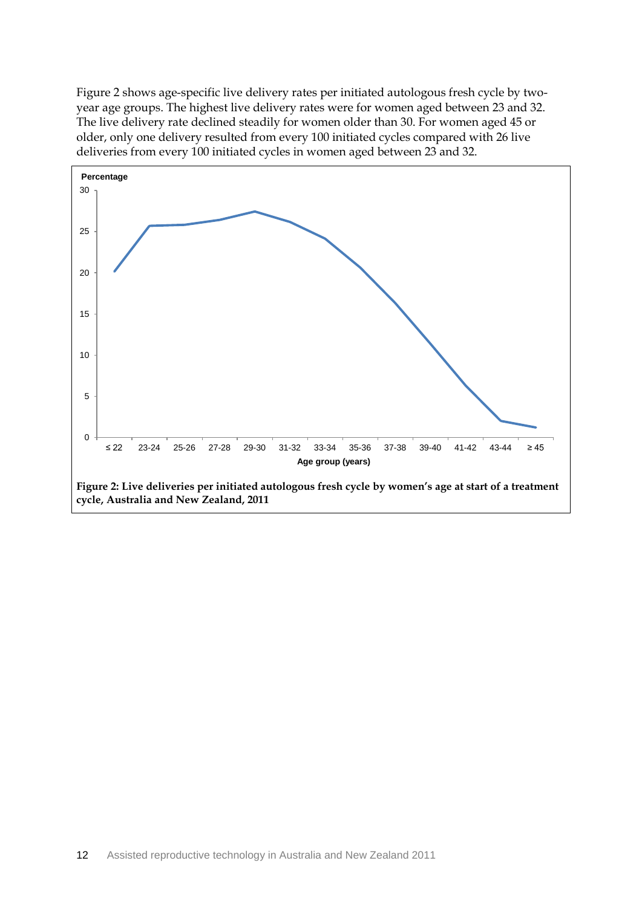Figure 2 shows age-specific live delivery rates per initiated autologous fresh cycle by twoyear age groups. The highest live delivery rates were for women aged between 23 and 32. The live delivery rate declined steadily for women older than 30. For women aged 45 or older, only one delivery resulted from every 100 initiated cycles compared with 26 live deliveries from every 100 initiated cycles in women aged between 23 and 32.

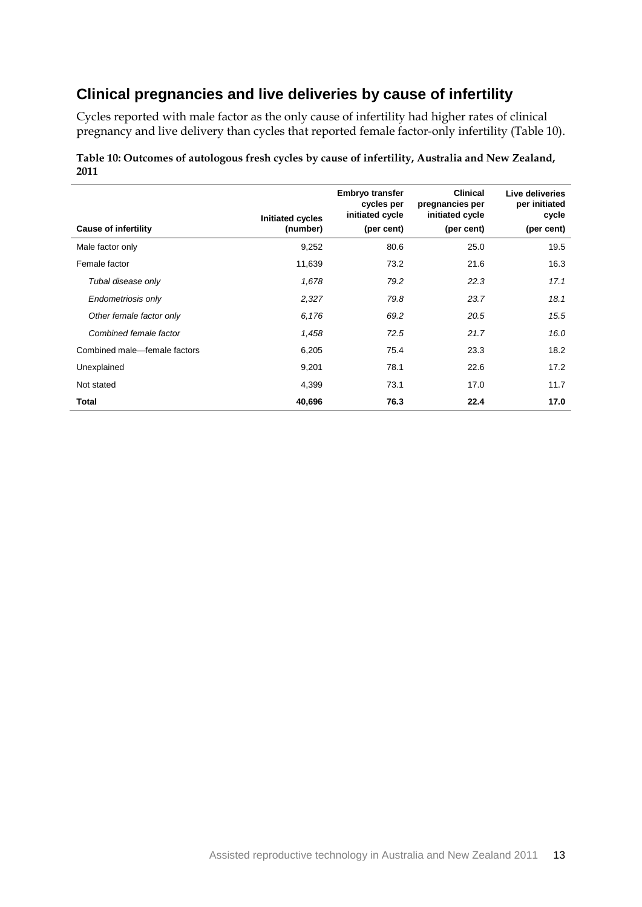### **Clinical pregnancies and live deliveries by cause of infertility**

Cycles reported with male factor as the only cause of infertility had higher rates of clinical pregnancy and live delivery than cycles that reported female factor-only infertility (Table 10).

|                              | Initiated cycles | <b>Embryo transfer</b><br>cycles per<br>initiated cycle | <b>Clinical</b><br>pregnancies per<br>initiated cycle | Live deliveries<br>per initiated<br>cycle |
|------------------------------|------------------|---------------------------------------------------------|-------------------------------------------------------|-------------------------------------------|
| <b>Cause of infertility</b>  | (number)         | (per cent)                                              | (per cent)                                            | (per cent)                                |
| Male factor only             | 9,252            | 80.6                                                    | 25.0                                                  | 19.5                                      |
| Female factor                | 11,639           | 73.2                                                    | 21.6                                                  | 16.3                                      |
| Tubal disease only           | 1,678            | 79.2                                                    | 22.3                                                  | 17.1                                      |
| Endometriosis only           | 2,327            | 79.8                                                    | 23.7                                                  | 18.1                                      |
| Other female factor only     | 6,176            | 69.2                                                    | 20.5                                                  | 15.5                                      |
| Combined female factor       | 1,458            | 72.5                                                    | 21.7                                                  | 16.0                                      |
| Combined male-female factors | 6,205            | 75.4                                                    | 23.3                                                  | 18.2                                      |
| Unexplained                  | 9,201            | 78.1                                                    | 22.6                                                  | 17.2                                      |
| Not stated                   | 4,399            | 73.1                                                    | 17.0                                                  | 11.7                                      |
| Total                        | 40,696           | 76.3                                                    | 22.4                                                  | 17.0                                      |

#### **Table 10: Outcomes of autologous fresh cycles by cause of infertility, Australia and New Zealand, 2011**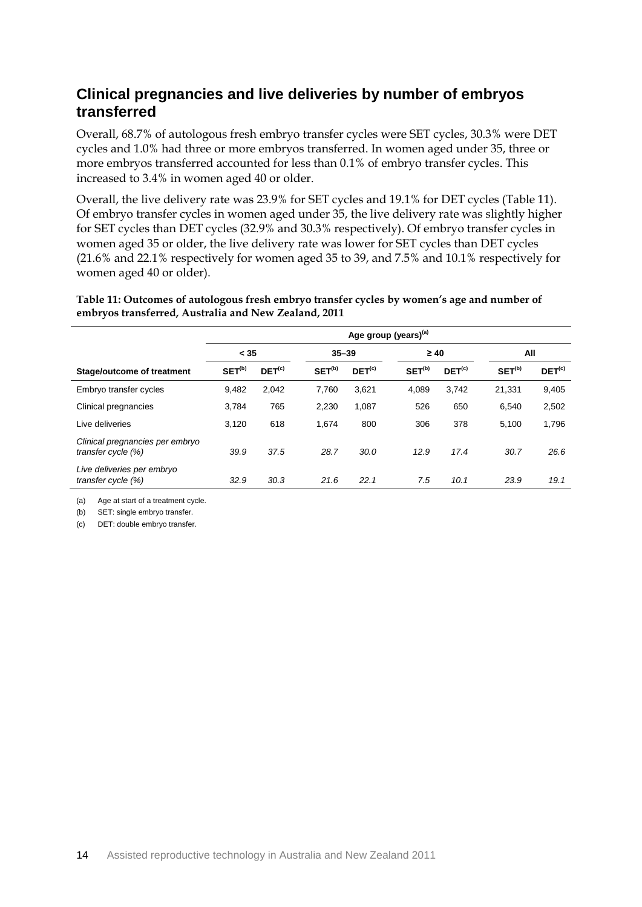### **Clinical pregnancies and live deliveries by number of embryos transferred**

Overall, 68.7% of autologous fresh embryo transfer cycles were SET cycles, 30.3% were DET cycles and 1.0% had three or more embryos transferred. In women aged under 35, three or more embryos transferred accounted for less than 0.1% of embryo transfer cycles. This increased to 3.4% in women aged 40 or older.

Overall, the live delivery rate was 23.9% for SET cycles and 19.1% for DET cycles (Table 11). Of embryo transfer cycles in women aged under 35, the live delivery rate was slightly higher for SET cycles than DET cycles (32.9% and 30.3% respectively). Of embryo transfer cycles in women aged 35 or older, the live delivery rate was lower for SET cycles than DET cycles (21.6% and 22.1% respectively for women aged 35 to 39, and 7.5% and 10.1% respectively for women aged 40 or older).

**Table 11: Outcomes of autologous fresh embryo transfer cycles by women's age and number of embryos transferred, Australia and New Zealand, 2011**

|                                                       | Age group (years) <sup>(a)</sup> |                    |                    |                    |                    |                    |                    |                    |  |
|-------------------------------------------------------|----------------------------------|--------------------|--------------------|--------------------|--------------------|--------------------|--------------------|--------------------|--|
|                                                       | < 35                             |                    | $35 - 39$          |                    |                    | $\geq 40$          |                    | All                |  |
| Stage/outcome of treatment                            | SET <sup>(b)</sup>               | DET <sup>(c)</sup> | SET <sup>(b)</sup> | DEF <sup>(c)</sup> | SET <sup>(b)</sup> | DEF <sup>(c)</sup> | SET <sup>(b)</sup> | DEF <sup>(c)</sup> |  |
| Embryo transfer cycles                                | 9,482                            | 2,042              | 7,760              | 3,621              | 4,089              | 3.742              | 21,331             | 9,405              |  |
| Clinical pregnancies                                  | 3.784                            | 765                | 2.230              | 1.087              | 526                | 650                | 6.540              | 2,502              |  |
| Live deliveries                                       | 3.120                            | 618                | 1.674              | 800                | 306                | 378                | 5.100              | 1,796              |  |
| Clinical pregnancies per embryo<br>transfer cycle (%) | 39.9                             | 37.5               | 28.7               | 30.0               | 12.9               | 17.4               | 30.7               | 26.6               |  |
| Live deliveries per embryo<br>transfer cycle (%)      | 32.9                             | 30.3               | 21.6               | 22.1               | 7.5                | 10.1               | 23.9               | 19.1               |  |

(a) Age at start of a treatment cycle.

(b) SET: single embryo transfer.

(c) DET: double embryo transfer.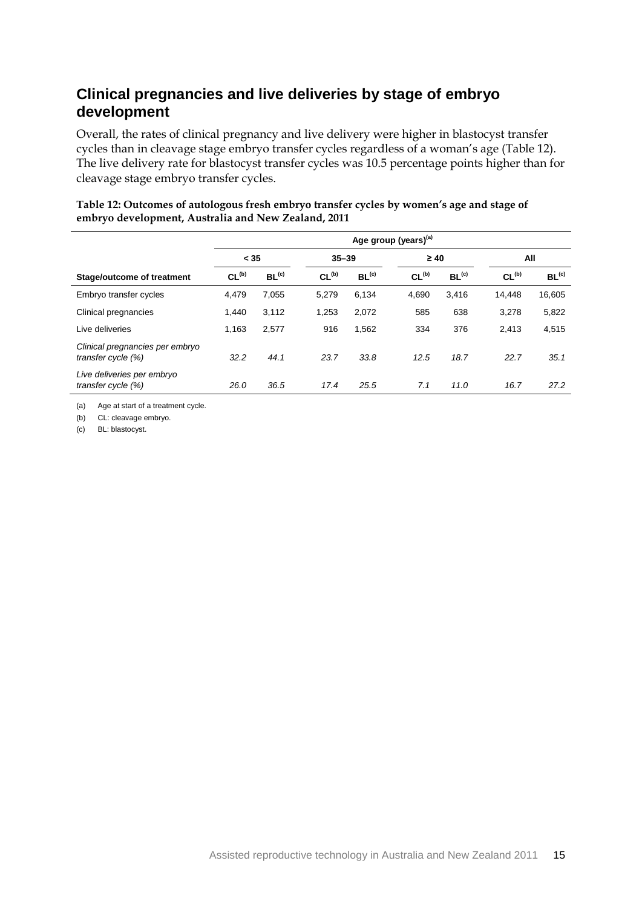## **Clinical pregnancies and live deliveries by stage of embryo development**

Overall, the rates of clinical pregnancy and live delivery were higher in blastocyst transfer cycles than in cleavage stage embryo transfer cycles regardless of a woman's age (Table 12). The live delivery rate for blastocyst transfer cycles was 10.5 percentage points higher than for cleavage stage embryo transfer cycles.

|                                                       | Age group (years) <sup>(a)</sup> |                   |                   |                   |                   |                   |                   |                   |  |
|-------------------------------------------------------|----------------------------------|-------------------|-------------------|-------------------|-------------------|-------------------|-------------------|-------------------|--|
|                                                       | < 35                             |                   |                   | $35 - 39$         |                   | $\geq 40$         |                   | All               |  |
| <b>Stage/outcome of treatment</b>                     | CL <sub>(b)</sub>                | BL <sup>(c)</sup> | CL <sub>(b)</sub> | BL <sup>(c)</sup> | CL <sub>(b)</sub> | BL <sup>(c)</sup> | CL <sub>(b)</sub> | BL <sup>(c)</sup> |  |
| Embryo transfer cycles                                | 4,479                            | 7,055             | 5,279             | 6,134             | 4.690             | 3.416             | 14,448            | 16,605            |  |
| Clinical pregnancies                                  | 1,440                            | 3,112             | 1,253             | 2,072             | 585               | 638               | 3,278             | 5,822             |  |
| Live deliveries                                       | 1,163                            | 2,577             | 916               | 1,562             | 334               | 376               | 2,413             | 4,515             |  |
| Clinical pregnancies per embryo<br>transfer cycle (%) | 32.2                             | 44.1              | 23.7              | 33.8              | 12.5              | 18.7              | 22.7              | 35.1              |  |
| Live deliveries per embryo<br>transfer cycle (%)      | 26.0                             | 36.5              | 17.4              | 25.5              | 7.1               | 11.0              | 16.7              | 27.2              |  |

#### **Table 12: Outcomes of autologous fresh embryo transfer cycles by women's age and stage of embryo development, Australia and New Zealand, 2011**

(a) Age at start of a treatment cycle.

(b) CL: cleavage embryo.

(c) BL: blastocyst.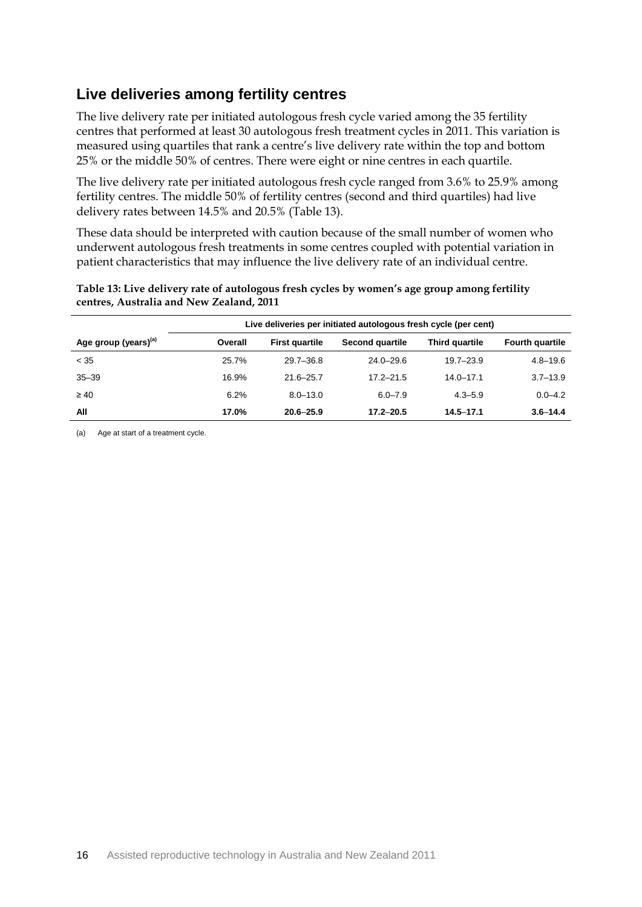### **Live deliveries among fertility centres**

The live delivery rate per initiated autologous fresh cycle varied among the 35 fertility centres that performed at least 30 autologous fresh treatment cycles in 2011. This variation is measured using quartiles that rank a centre's live delivery rate within the top and bottom 25% or the middle 50% of centres. There were eight or nine centres in each quartile.

The live delivery rate per initiated autologous fresh cycle ranged from 3.6% to 25.9% among fertility centres. The middle 50% of fertility centres (second and third quartiles) had live delivery rates between 14.5% and 20.5% (Table 13).

These data should be interpreted with caution because of the small number of women who underwent autologous fresh treatments in some centres coupled with potential variation in patient characteristics that may influence the live delivery rate of an individual centre.

|                                  | Live deliveries per initiated autologous fresh cycle (per cent) |                       |                        |                |                        |  |  |  |
|----------------------------------|-----------------------------------------------------------------|-----------------------|------------------------|----------------|------------------------|--|--|--|
| Age group (years) <sup>(a)</sup> | Overall                                                         | <b>First quartile</b> | <b>Second quartile</b> | Third quartile | <b>Fourth quartile</b> |  |  |  |
| < 35                             | 25.7%                                                           | $29.7 - 36.8$         | $24.0 - 29.6$          | $19.7 - 23.9$  | $4.8 - 19.6$           |  |  |  |
| $35 - 39$                        | 16.9%                                                           | $21.6 - 25.7$         | $17.2 - 21.5$          | $14.0 - 17.1$  | $3.7 - 13.9$           |  |  |  |
| $\geq 40$                        | 6.2%                                                            | $8.0 - 13.0$          | $6.0 - 7.9$            | $4.3 - 5.9$    | $0.0 - 4.2$            |  |  |  |
| All                              | 17.0%                                                           | $20.6 - 25.9$         | $17.2 - 20.5$          | $14.5 - 17.1$  | $3.6 - 14.4$           |  |  |  |

#### **Table 13: Live delivery rate of autologous fresh cycles by women's age group among fertility centres, Australia and New Zealand, 2011**

(a) Age at start of a treatment cycle.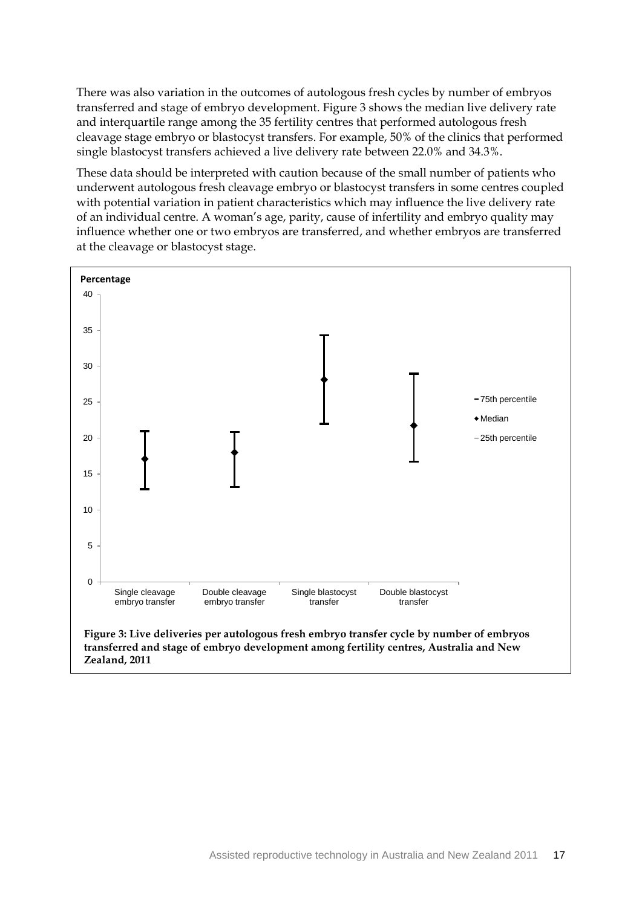There was also variation in the outcomes of autologous fresh cycles by number of embryos transferred and stage of embryo development. Figure 3 shows the median live delivery rate and interquartile range among the 35 fertility centres that performed autologous fresh cleavage stage embryo or blastocyst transfers. For example, 50% of the clinics that performed single blastocyst transfers achieved a live delivery rate between 22.0% and 34.3%.

These data should be interpreted with caution because of the small number of patients who underwent autologous fresh cleavage embryo or blastocyst transfers in some centres coupled with potential variation in patient characteristics which may influence the live delivery rate of an individual centre. A woman's age, parity, cause of infertility and embryo quality may influence whether one or two embryos are transferred, and whether embryos are transferred at the cleavage or blastocyst stage.

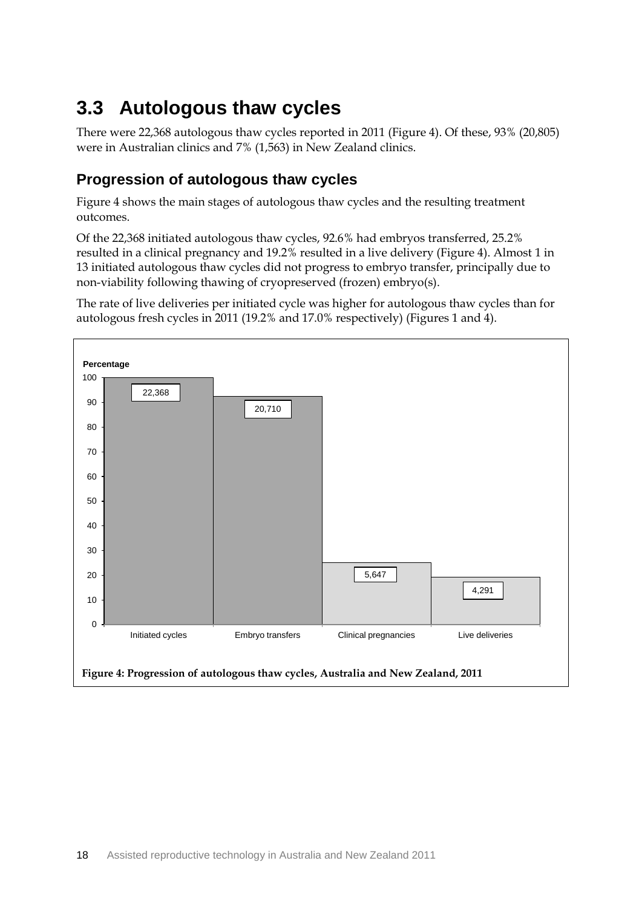## <span id="page-24-0"></span>**3.3 Autologous thaw cycles**

There were 22,368 autologous thaw cycles reported in 2011 (Figure 4). Of these, 93% (20,805) were in Australian clinics and 7% (1,563) in New Zealand clinics.

## **Progression of autologous thaw cycles**

Figure 4 shows the main stages of autologous thaw cycles and the resulting treatment outcomes.

Of the 22,368 initiated autologous thaw cycles, 92.6% had embryos transferred, 25.2% resulted in a clinical pregnancy and 19.2% resulted in a live delivery (Figure 4). Almost 1 in 13 initiated autologous thaw cycles did not progress to embryo transfer, principally due to non-viability following thawing of cryopreserved (frozen) embryo(s).

The rate of live deliveries per initiated cycle was higher for autologous thaw cycles than for autologous fresh cycles in 2011 (19.2% and 17.0% respectively) (Figures 1 and 4).

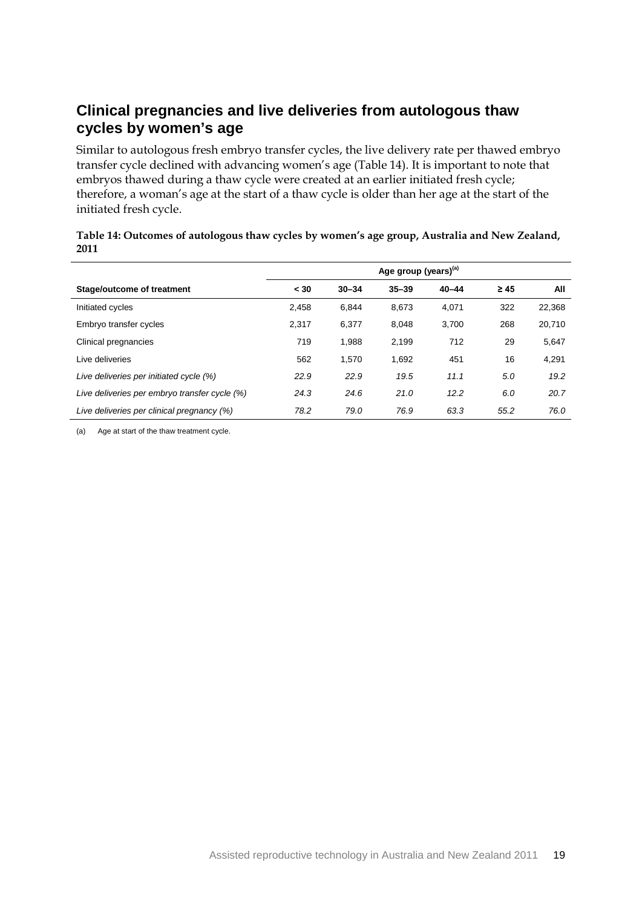## **Clinical pregnancies and live deliveries from autologous thaw cycles by women's age**

Similar to autologous fresh embryo transfer cycles, the live delivery rate per thawed embryo transfer cycle declined with advancing women's age (Table 14). It is important to note that embryos thawed during a thaw cycle were created at an earlier initiated fresh cycle; therefore, a woman's age at the start of a thaw cycle is older than her age at the start of the initiated fresh cycle.

|                                               | Age group (years) <sup>(a)</sup> |           |           |           |           |        |  |  |
|-----------------------------------------------|----------------------------------|-----------|-----------|-----------|-----------|--------|--|--|
| Stage/outcome of treatment                    | < 30                             | $30 - 34$ | $35 - 39$ | $40 - 44$ | $\geq 45$ | All    |  |  |
| Initiated cycles                              | 2.458                            | 6.844     | 8.673     | 4,071     | 322       | 22,368 |  |  |
| Embryo transfer cycles                        | 2.317                            | 6,377     | 8.048     | 3.700     | 268       | 20,710 |  |  |
| Clinical pregnancies                          | 719                              | 1,988     | 2.199     | 712       | 29        | 5,647  |  |  |
| Live deliveries                               | 562                              | 1.570     | 1,692     | 451       | 16        | 4,291  |  |  |
| Live deliveries per initiated cycle (%)       | 22.9                             | 22.9      | 19.5      | 11.1      | 5.0       | 19.2   |  |  |
| Live deliveries per embryo transfer cycle (%) | 24.3                             | 24.6      | 21.0      | 12.2      | 6.0       | 20.7   |  |  |
| Live deliveries per clinical pregnancy (%)    | 78.2                             | 79.0      | 76.9      | 63.3      | 55.2      | 76.0   |  |  |

#### **Table 14: Outcomes of autologous thaw cycles by women's age group, Australia and New Zealand, 2011**

(a) Age at start of the thaw treatment cycle.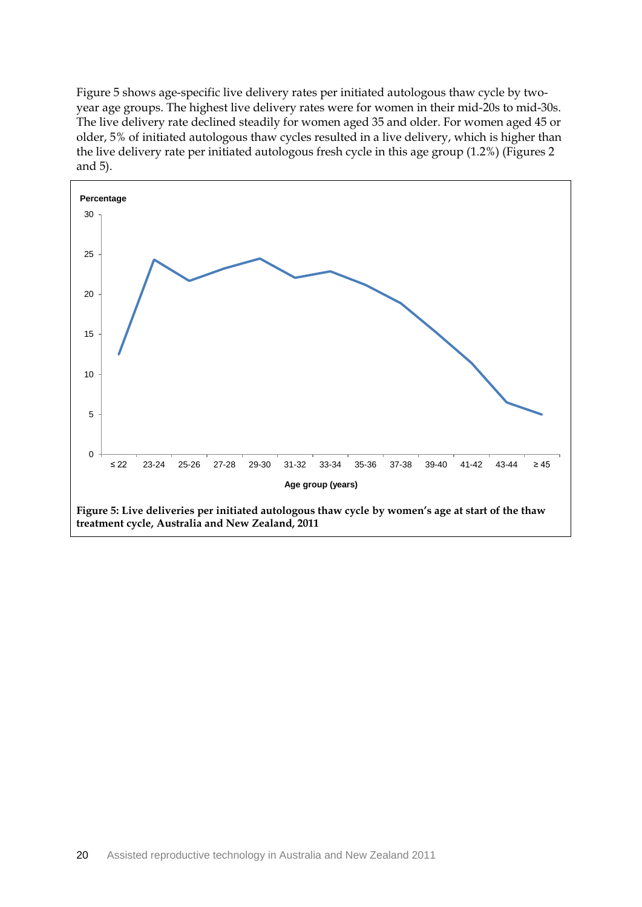Figure 5 shows age-specific live delivery rates per initiated autologous thaw cycle by twoyear age groups. The highest live delivery rates were for women in their mid-20s to mid-30s. The live delivery rate declined steadily for women aged 35 and older. For women aged 45 or older, 5% of initiated autologous thaw cycles resulted in a live delivery, which is higher than the live delivery rate per initiated autologous fresh cycle in this age group (1.2%) (Figures 2 and 5).

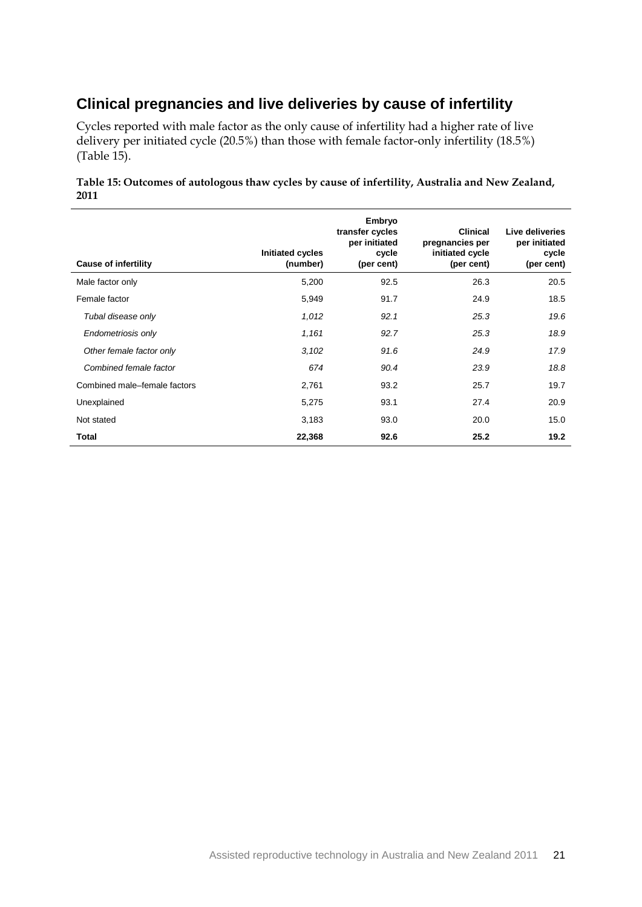## **Clinical pregnancies and live deliveries by cause of infertility**

Cycles reported with male factor as the only cause of infertility had a higher rate of live delivery per initiated cycle (20.5%) than those with female factor-only infertility (18.5%) (Table 15).

#### **Table 15: Outcomes of autologous thaw cycles by cause of infertility, Australia and New Zealand, 2011**

| <b>Cause of infertility</b>  | Initiated cycles<br>(number) | Embryo<br>transfer cycles<br>per initiated<br>cycle<br>(per cent) | <b>Clinical</b><br>pregnancies per<br>initiated cycle<br>(per cent) | Live deliveries<br>per initiated<br>cycle<br>(per cent) |
|------------------------------|------------------------------|-------------------------------------------------------------------|---------------------------------------------------------------------|---------------------------------------------------------|
| Male factor only             | 5,200                        | 92.5                                                              | 26.3                                                                | 20.5                                                    |
| Female factor                | 5,949                        | 91.7                                                              | 24.9                                                                | 18.5                                                    |
| Tubal disease only           | 1,012                        | 92.1                                                              | 25.3                                                                | 19.6                                                    |
| Endometriosis only           | 1,161                        | 92.7                                                              | 25.3                                                                | 18.9                                                    |
| Other female factor only     | 3,102                        | 91.6                                                              | 24.9                                                                | 17.9                                                    |
| Combined female factor       | 674                          | 90.4                                                              | 23.9                                                                | 18.8                                                    |
| Combined male-female factors | 2,761                        | 93.2                                                              | 25.7                                                                | 19.7                                                    |
| Unexplained                  | 5,275                        | 93.1                                                              | 27.4                                                                | 20.9                                                    |
| Not stated                   | 3,183                        | 93.0                                                              | 20.0                                                                | 15.0                                                    |
| Total                        | 22,368                       | 92.6                                                              | 25.2                                                                | 19.2                                                    |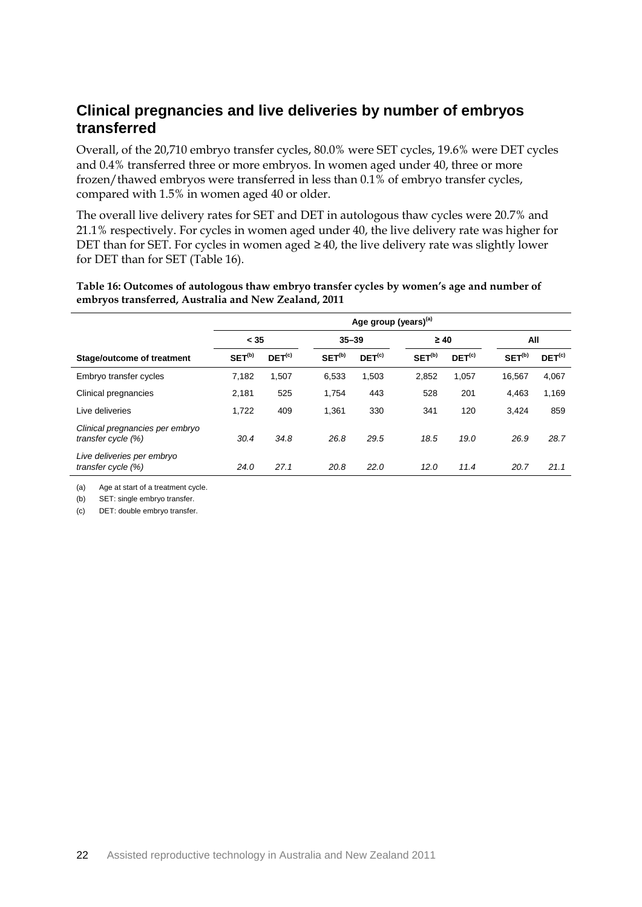### **Clinical pregnancies and live deliveries by number of embryos transferred**

Overall, of the 20,710 embryo transfer cycles, 80.0% were SET cycles, 19.6% were DET cycles and 0.4% transferred three or more embryos. In women aged under 40, three or more frozen/thawed embryos were transferred in less than 0.1% of embryo transfer cycles, compared with 1.5% in women aged 40 or older.

The overall live delivery rates for SET and DET in autologous thaw cycles were 20.7% and 21.1% respectively. For cycles in women aged under 40, the live delivery rate was higher for DET than for SET. For cycles in women aged  $\geq 40$ , the live delivery rate was slightly lower for DET than for SET (Table 16).

**Table 16: Outcomes of autologous thaw embryo transfer cycles by women's age and number of embryos transferred, Australia and New Zealand, 2011**

|                                                       | Age group (years) <sup>(a)</sup> |                    |                    |             |                    |             |                    |                    |  |
|-------------------------------------------------------|----------------------------------|--------------------|--------------------|-------------|--------------------|-------------|--------------------|--------------------|--|
|                                                       | < 35                             |                    |                    | $35 - 39$   |                    | $\geq 40$   |                    | All                |  |
| <b>Stage/outcome of treatment</b>                     | SET <sup>(b)</sup>               | DEF <sup>(c)</sup> | SET <sup>(b)</sup> | $DEF^{(c)}$ | SET <sup>(b)</sup> | $DEF^{(c)}$ | SET <sup>(b)</sup> | DEF <sup>(c)</sup> |  |
| Embryo transfer cycles                                | 7,182                            | 1,507              | 6,533              | 1,503       | 2,852              | 1,057       | 16.567             | 4,067              |  |
| Clinical pregnancies                                  | 2,181                            | 525                | 1,754              | 443         | 528                | 201         | 4,463              | 1,169              |  |
| Live deliveries                                       | 1,722                            | 409                | 1,361              | 330         | 341                | 120         | 3,424              | 859                |  |
| Clinical pregnancies per embryo<br>transfer cycle (%) | 30.4                             | 34.8               | 26.8               | 29.5        | 18.5               | 19.0        | 26.9               | 28.7               |  |
| Live deliveries per embryo<br>transfer cycle (%)      | 24.0                             | 27.1               | 20.8               | 22.0        | 12.0               | 11.4        | 20.7               | 21.1               |  |

(a) Age at start of a treatment cycle.

(b) SET: single embryo transfer.

(c) DET: double embryo transfer.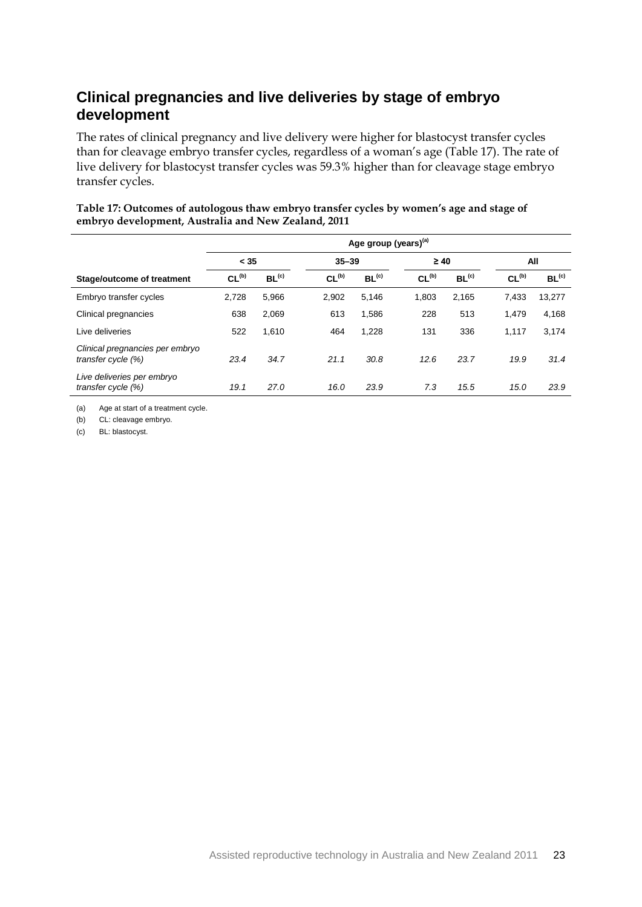## **Clinical pregnancies and live deliveries by stage of embryo development**

The rates of clinical pregnancy and live delivery were higher for blastocyst transfer cycles than for cleavage embryo transfer cycles, regardless of a woman's age (Table 17). The rate of live delivery for blastocyst transfer cycles was 59.3% higher than for cleavage stage embryo transfer cycles.

|                                                       | Age group (years) <sup>(a)</sup> |                   |                   |                   |                   |                   |                   |                   |  |
|-------------------------------------------------------|----------------------------------|-------------------|-------------------|-------------------|-------------------|-------------------|-------------------|-------------------|--|
|                                                       | < 35                             |                   |                   | $35 - 39$         |                   | $\geq 40$         |                   | All               |  |
| Stage/outcome of treatment                            | CL <sub>(b)</sub>                | BL <sup>(c)</sup> | CL <sub>(b)</sub> | BL <sup>(c)</sup> | CL <sub>(b)</sub> | BL <sup>(c)</sup> | CL <sub>(b)</sub> | BL <sup>(c)</sup> |  |
| Embryo transfer cycles                                | 2,728                            | 5,966             | 2.902             | 5,146             | 1,803             | 2.165             | 7.433             | 13,277            |  |
| Clinical pregnancies                                  | 638                              | 2,069             | 613               | 1,586             | 228               | 513               | 1.479             | 4,168             |  |
| Live deliveries                                       | 522                              | 1,610             | 464               | 1,228             | 131               | 336               | 1,117             | 3,174             |  |
| Clinical pregnancies per embryo<br>transfer cycle (%) | 23.4                             | 34.7              | 21.1              | 30.8              | 12.6              | 23.7              | 19.9              | 31.4              |  |
| Live deliveries per embryo<br>transfer cycle (%)      | 19.1                             | 27.0              | 16.0              | 23.9              | 7.3               | 15.5              | 15.0              | 23.9              |  |

#### **Table 17: Outcomes of autologous thaw embryo transfer cycles by women's age and stage of embryo development, Australia and New Zealand, 2011**

(a) Age at start of a treatment cycle.

(b) CL: cleavage embryo.

(c) BL: blastocyst.

j.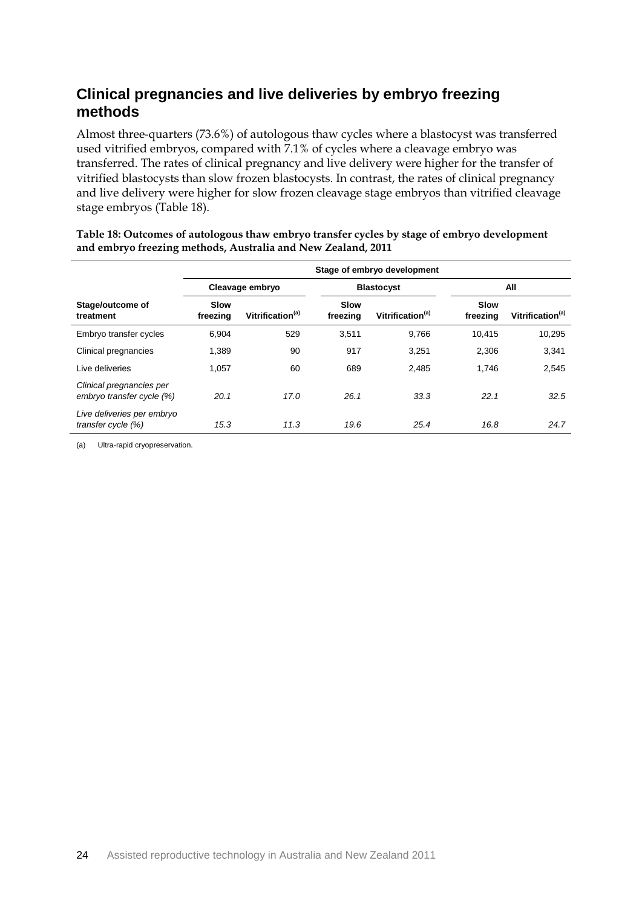## **Clinical pregnancies and live deliveries by embryo freezing methods**

Almost three-quarters (73.6%) of autologous thaw cycles where a blastocyst was transferred used vitrified embryos, compared with 7.1% of cycles where a cleavage embryo was transferred. The rates of clinical pregnancy and live delivery were higher for the transfer of vitrified blastocysts than slow frozen blastocysts. In contrast, the rates of clinical pregnancy and live delivery were higher for slow frozen cleavage stage embryos than vitrified cleavage stage embryos (Table 18).

|                                                       | Stage of embryo development |                              |                         |                              |                  |                              |  |  |  |
|-------------------------------------------------------|-----------------------------|------------------------------|-------------------------|------------------------------|------------------|------------------------------|--|--|--|
|                                                       |                             | Cleavage embryo              |                         | <b>Blastocyst</b>            |                  | All                          |  |  |  |
| Stage/outcome of<br>treatment                         | Slow<br>freezing            | Vitrification <sup>(a)</sup> | <b>Slow</b><br>freezing | Vitrification <sup>(a)</sup> | Slow<br>freezing | Vitrification <sup>(a)</sup> |  |  |  |
| Embryo transfer cycles                                | 6.904                       | 529                          | 3.511                   | 9.766                        | 10.415           | 10,295                       |  |  |  |
| Clinical pregnancies                                  | 1,389                       | 90                           | 917                     | 3,251                        | 2,306            | 3,341                        |  |  |  |
| I ive deliveries                                      | 1.057                       | 60                           | 689                     | 2.485                        | 1.746            | 2,545                        |  |  |  |
| Clinical pregnancies per<br>embryo transfer cycle (%) | 20.1                        | 17.0                         | 26.1                    | 33.3                         | 22.1             | 32.5                         |  |  |  |
| Live deliveries per embryo<br>transfer cycle (%)      | 15.3                        | 11.3                         | 19.6                    | 25.4                         | 16.8             | 24.7                         |  |  |  |

**Table 18: Outcomes of autologous thaw embryo transfer cycles by stage of embryo development and embryo freezing methods, Australia and New Zealand, 2011**

(a) Ultra-rapid cryopreservation.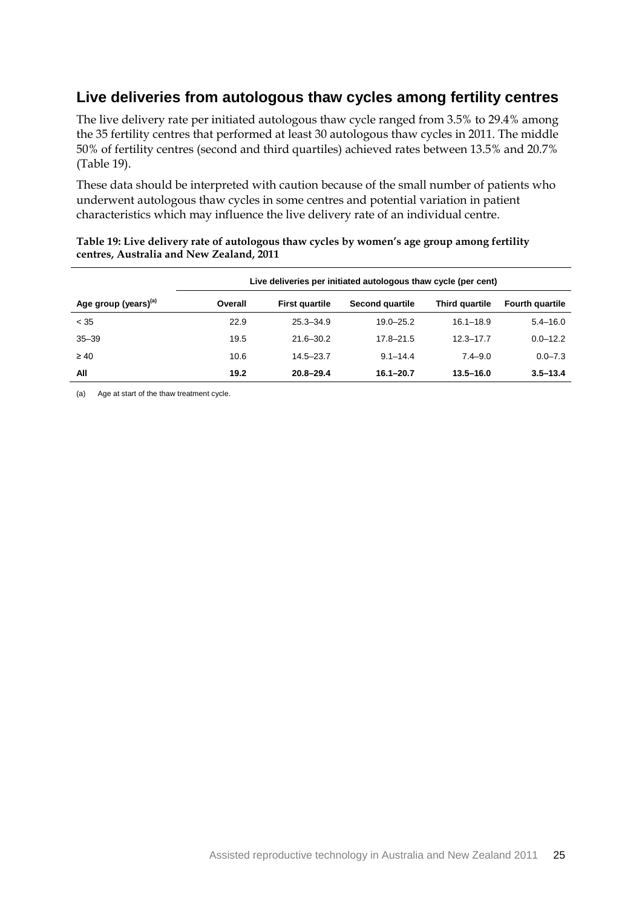### **Live deliveries from autologous thaw cycles among fertility centres**

The live delivery rate per initiated autologous thaw cycle ranged from 3.5% to 29.4% among the 35 fertility centres that performed at least 30 autologous thaw cycles in 2011. The middle 50% of fertility centres (second and third quartiles) achieved rates between 13.5% and 20.7% (Table 19).

These data should be interpreted with caution because of the small number of patients who underwent autologous thaw cycles in some centres and potential variation in patient characteristics which may influence the live delivery rate of an individual centre.

|                                  | Live deliveries per initiated autologous thaw cycle (per cent) |                       |                 |                |                        |  |  |  |  |
|----------------------------------|----------------------------------------------------------------|-----------------------|-----------------|----------------|------------------------|--|--|--|--|
| Age group (years) <sup>(a)</sup> | Overall                                                        | <b>First quartile</b> | Second quartile | Third quartile | <b>Fourth quartile</b> |  |  |  |  |
| < 35                             | 22.9                                                           | $25.3 - 34.9$         | $19.0 - 25.2$   | $16.1 - 18.9$  | $5.4 - 16.0$           |  |  |  |  |
| $35 - 39$                        | 19.5                                                           | $21.6 - 30.2$         | $17.8 - 21.5$   | $12.3 - 17.7$  | $0.0 - 12.2$           |  |  |  |  |
| $\geq 40$                        | 10.6                                                           | $14.5 - 23.7$         | $9.1 - 14.4$    | $7.4 - 9.0$    | $0.0 - 7.3$            |  |  |  |  |
| All                              | 19.2                                                           | $20.8 - 29.4$         | $16.1 - 20.7$   | $13.5 - 16.0$  | $3.5 - 13.4$           |  |  |  |  |

#### **Table 19: Live delivery rate of autologous thaw cycles by women's age group among fertility centres, Australia and New Zealand, 2011**

(a) Age at start of the thaw treatment cycle.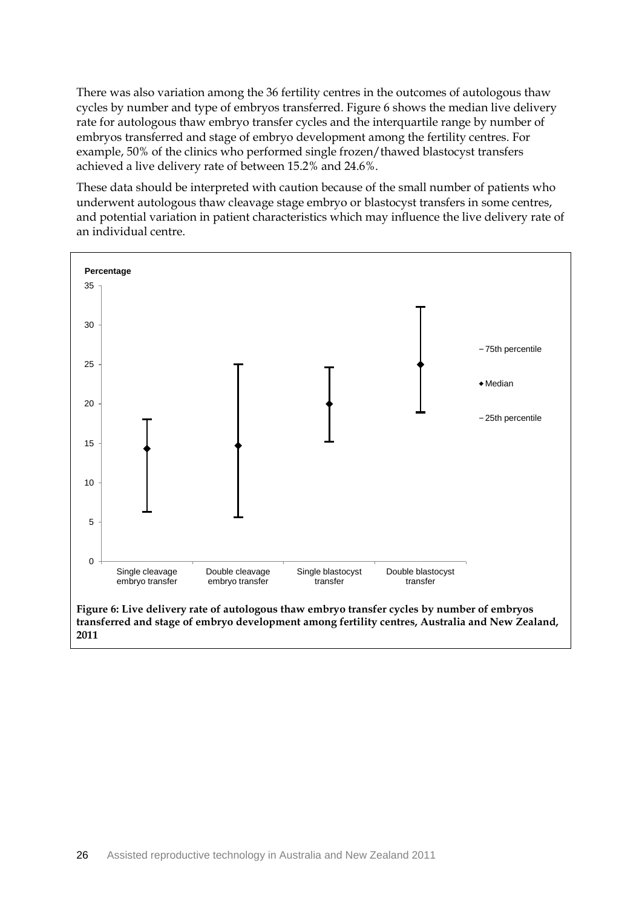There was also variation among the 36 fertility centres in the outcomes of autologous thaw cycles by number and type of embryos transferred. Figure 6 shows the median live delivery rate for autologous thaw embryo transfer cycles and the interquartile range by number of embryos transferred and stage of embryo development among the fertility centres. For example, 50% of the clinics who performed single frozen/thawed blastocyst transfers achieved a live delivery rate of between 15.2% and 24.6%.

These data should be interpreted with caution because of the small number of patients who underwent autologous thaw cleavage stage embryo or blastocyst transfers in some centres, and potential variation in patient characteristics which may influence the live delivery rate of an individual centre.

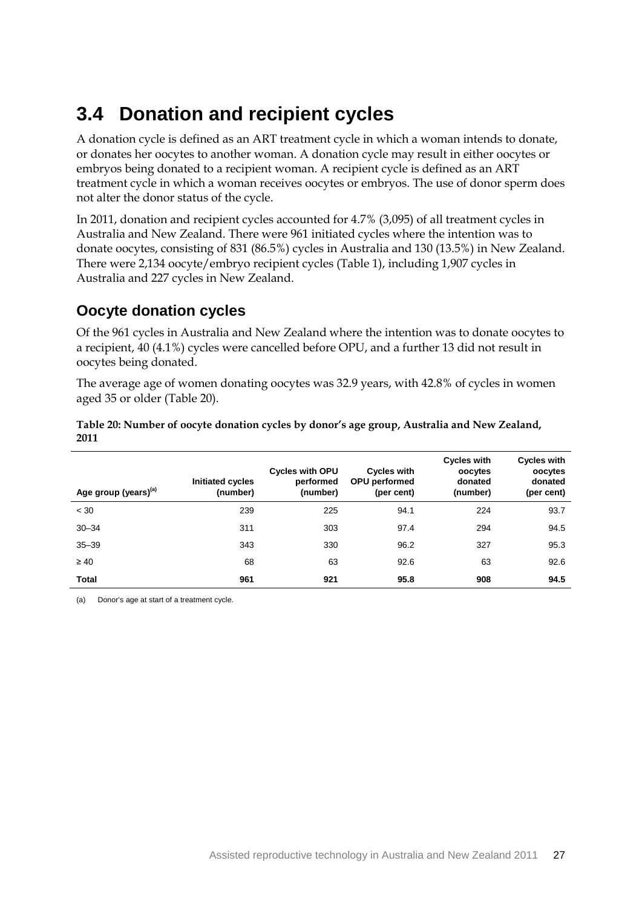## <span id="page-33-0"></span>**3.4 Donation and recipient cycles**

A donation cycle is defined as an ART treatment cycle in which a woman intends to donate, or donates her oocytes to another woman. A donation cycle may result in either oocytes or embryos being donated to a recipient woman. A recipient cycle is defined as an ART treatment cycle in which a woman receives oocytes or embryos. The use of donor sperm does not alter the donor status of the cycle.

In 2011, donation and recipient cycles accounted for 4.7% (3,095) of all treatment cycles in Australia and New Zealand. There were 961 initiated cycles where the intention was to donate oocytes, consisting of 831 (86.5%) cycles in Australia and 130 (13.5%) in New Zealand. There were 2,134 oocyte/embryo recipient cycles (Table 1), including 1,907 cycles in Australia and 227 cycles in New Zealand.

### **Oocyte donation cycles**

Of the 961 cycles in Australia and New Zealand where the intention was to donate oocytes to a recipient, 40 (4.1%) cycles were cancelled before OPU, and a further 13 did not result in oocytes being donated.

The average age of women donating oocytes was 32.9 years, with 42.8% of cycles in women aged 35 or older (Table 20).

#### **Table 20: Number of oocyte donation cycles by donor's age group, Australia and New Zealand, 2011**

| Age group (years) <sup>(a)</sup> | Initiated cycles<br>(number) | <b>Cycles with OPU</b><br>performed<br>(number) | <b>Cycles with</b><br><b>OPU</b> performed<br>(per cent) | <b>Cycles with</b><br>oocytes<br>donated<br>(number) | <b>Cycles with</b><br>oocytes<br>donated<br>(per cent) |
|----------------------------------|------------------------------|-------------------------------------------------|----------------------------------------------------------|------------------------------------------------------|--------------------------------------------------------|
| < 30                             | 239                          | 225                                             | 94.1                                                     | 224                                                  | 93.7                                                   |
| $30 - 34$                        | 311                          | 303                                             | 97.4                                                     | 294                                                  | 94.5                                                   |
| $35 - 39$                        | 343                          | 330                                             | 96.2                                                     | 327                                                  | 95.3                                                   |
| $\geq 40$                        | 68                           | 63                                              | 92.6                                                     | 63                                                   | 92.6                                                   |
| Total                            | 961                          | 921                                             | 95.8                                                     | 908                                                  | 94.5                                                   |

(a) Donor's age at start of a treatment cycle.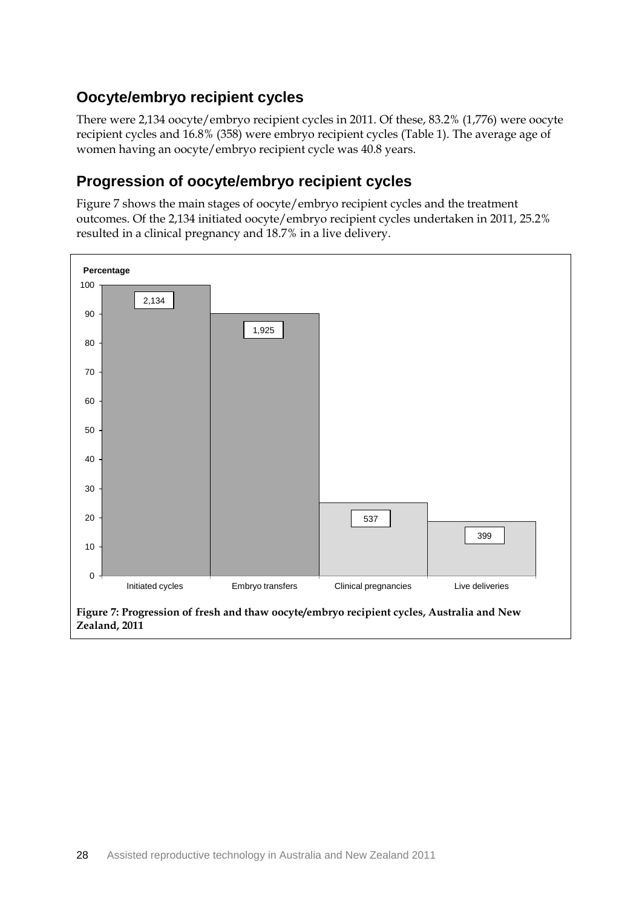## **Oocyte/embryo recipient cycles**

There were 2,134 oocyte/embryo recipient cycles in 2011. Of these, 83.2% (1,776) were oocyte recipient cycles and 16.8% (358) were embryo recipient cycles (Table 1). The average age of women having an oocyte/embryo recipient cycle was 40.8 years.

### **Progression of oocyte/embryo recipient cycles**

Figure 7 shows the main stages of oocyte/embryo recipient cycles and the treatment outcomes. Of the 2,134 initiated oocyte/embryo recipient cycles undertaken in 2011, 25.2% resulted in a clinical pregnancy and 18.7% in a live delivery.

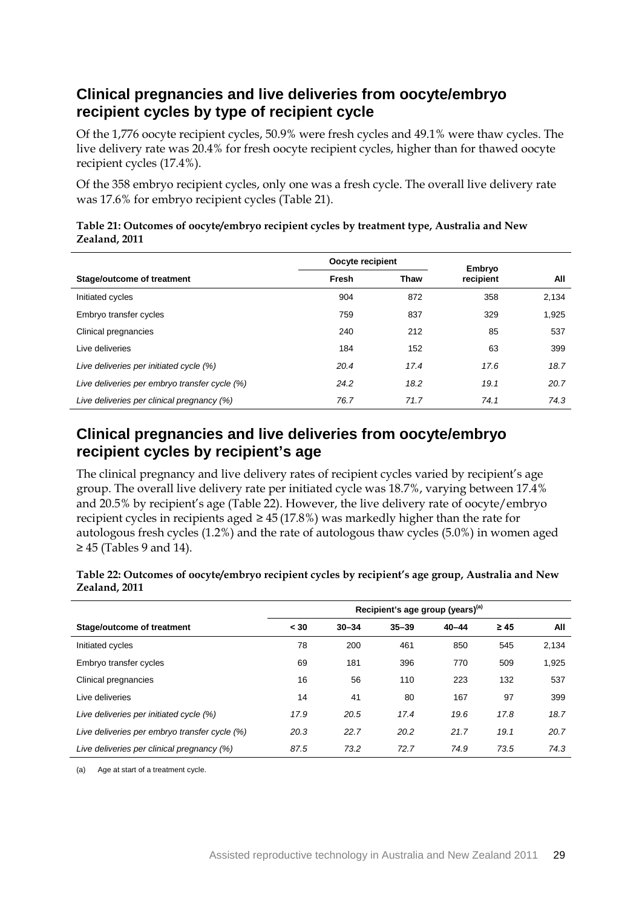### **Clinical pregnancies and live deliveries from oocyte/embryo recipient cycles by type of recipient cycle**

Of the 1,776 oocyte recipient cycles, 50.9% were fresh cycles and 49.1% were thaw cycles. The live delivery rate was 20.4% for fresh oocyte recipient cycles, higher than for thawed oocyte recipient cycles (17.4%).

Of the 358 embryo recipient cycles, only one was a fresh cycle. The overall live delivery rate was 17.6% for embryo recipient cycles (Table 21).

|                                               | Oocyte recipient |             | Embryo    |       |
|-----------------------------------------------|------------------|-------------|-----------|-------|
| Stage/outcome of treatment                    | Fresh            | <b>Thaw</b> | recipient | All   |
| Initiated cycles                              | 904              | 872         | 358       | 2,134 |
| Embryo transfer cycles                        | 759              | 837         | 329       | 1,925 |
| Clinical pregnancies                          | 240              | 212         | 85        | 537   |
| Live deliveries                               | 184              | 152         | 63        | 399   |
| Live deliveries per initiated cycle (%)       | 20.4             | 17.4        | 17.6      | 18.7  |
| Live deliveries per embryo transfer cycle (%) | 24.2             | 18.2        | 19.1      | 20.7  |
| Live deliveries per clinical pregnancy (%)    | 76.7             | 71.7        | 74.1      | 74.3  |

#### **Table 21: Outcomes of oocyte/embryo recipient cycles by treatment type, Australia and New Zealand, 2011**

## **Clinical pregnancies and live deliveries from oocyte/embryo recipient cycles by recipient's age**

The clinical pregnancy and live delivery rates of recipient cycles varied by recipient's age group. The overall live delivery rate per initiated cycle was 18.7%, varying between 17.4% and 20.5% by recipient's age (Table 22). However, the live delivery rate of oocyte/embryo recipient cycles in recipients aged  $\geq 45$  (17.8%) was markedly higher than the rate for autologous fresh cycles (1.2%) and the rate of autologous thaw cycles (5.0%) in women aged  $\geq$  45 (Tables 9 and 14).

| Table 22: Outcomes of oocyte/embryo recipient cycles by recipient's age group, Australia and New<br>Zealand, 2011 |  |
|-------------------------------------------------------------------------------------------------------------------|--|
| Recipient's age group (years) <sup>(a)</sup>                                                                      |  |

|                                               | Recipient's age group (years) <sup>(a)</sup> |           |           |           |           |       |
|-----------------------------------------------|----------------------------------------------|-----------|-----------|-----------|-----------|-------|
| Stage/outcome of treatment                    | < 30                                         | $30 - 34$ | $35 - 39$ | $40 - 44$ | $\geq 45$ | All   |
| Initiated cycles                              | 78                                           | 200       | 461       | 850       | 545       | 2,134 |
| Embryo transfer cycles                        | 69                                           | 181       | 396       | 770       | 509       | 1,925 |
| Clinical pregnancies                          | 16                                           | 56        | 110       | 223       | 132       | 537   |
| Live deliveries                               | 14                                           | 41        | 80        | 167       | 97        | 399   |
| Live deliveries per initiated cycle (%)       | 17.9                                         | 20.5      | 17.4      | 19.6      | 17.8      | 18.7  |
| Live deliveries per embryo transfer cycle (%) | 20.3                                         | 22.7      | 20.2      | 21.7      | 19.1      | 20.7  |
| Live deliveries per clinical pregnancy (%)    | 87.5                                         | 73.2      | 72.7      | 74.9      | 73.5      | 74.3  |

(a) Age at start of a treatment cycle.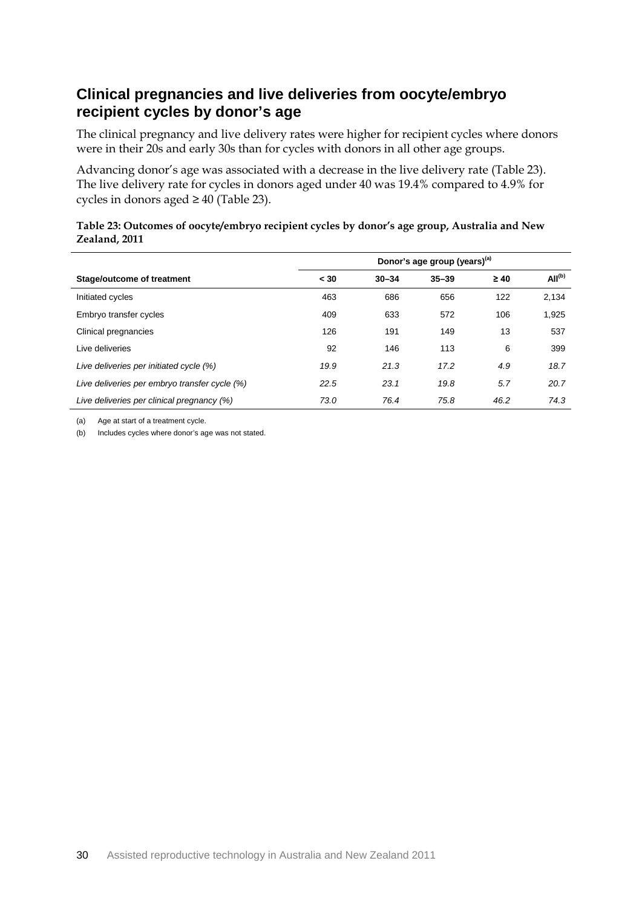### **Clinical pregnancies and live deliveries from oocyte/embryo recipient cycles by donor's age**

The clinical pregnancy and live delivery rates were higher for recipient cycles where donors were in their 20s and early 30s than for cycles with donors in all other age groups.

Advancing donor's age was associated with a decrease in the live delivery rate (Table 23). The live delivery rate for cycles in donors aged under 40 was 19.4% compared to 4.9% for cycles in donors aged  $\geq 40$  (Table 23).

#### **Table 23: Outcomes of oocyte/embryo recipient cycles by donor's age group, Australia and New Zealand, 2011**

|                                               | Donor's age group (years) <sup>(a)</sup> |           |           |           |                    |
|-----------------------------------------------|------------------------------------------|-----------|-----------|-----------|--------------------|
| Stage/outcome of treatment                    | < 30                                     | $30 - 34$ | $35 - 39$ | $\geq 40$ | All <sup>(b)</sup> |
| Initiated cycles                              | 463                                      | 686       | 656       | 122       | 2,134              |
| Embryo transfer cycles                        | 409                                      | 633       | 572       | 106       | 1,925              |
| Clinical pregnancies                          | 126                                      | 191       | 149       | 13        | 537                |
| Live deliveries                               | 92                                       | 146       | 113       | 6         | 399                |
| Live deliveries per initiated cycle (%)       | 19.9                                     | 21.3      | 17.2      | 4.9       | 18.7               |
| Live deliveries per embryo transfer cycle (%) | 22.5                                     | 23.1      | 19.8      | 5.7       | 20.7               |
| Live deliveries per clinical pregnancy (%)    | 73.0                                     | 76.4      | 75.8      | 46.2      | 74.3               |

(a) Age at start of a treatment cycle.

(b) Includes cycles where donor's age was not stated.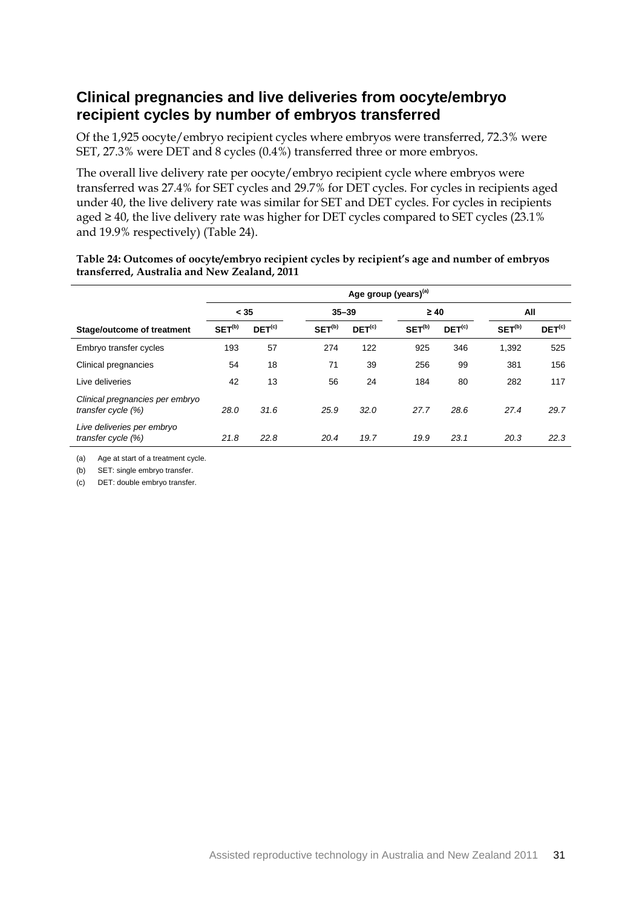### **Clinical pregnancies and live deliveries from oocyte/embryo recipient cycles by number of embryos transferred**

Of the 1,925 oocyte/embryo recipient cycles where embryos were transferred, 72.3% were SET, 27.3% were DET and 8 cycles (0.4%) transferred three or more embryos.

The overall live delivery rate per oocyte/embryo recipient cycle where embryos were transferred was 27.4% for SET cycles and 29.7% for DET cycles. For cycles in recipients aged under 40, the live delivery rate was similar for SET and DET cycles. For cycles in recipients aged ≥ 40, the live delivery rate was higher for DET cycles compared to SET cycles (23.1% and 19.9% respectively) (Table 24).

| Table 24: Outcomes of oocyte/embryo recipient cycles by recipient's age and number of embryos |  |
|-----------------------------------------------------------------------------------------------|--|
| transferred, Australia and New Zealand, 2011                                                  |  |

|                                                       | Age group (years) <sup>(a)</sup> |                    |                    |                    |                    |                    |                    |                    |
|-------------------------------------------------------|----------------------------------|--------------------|--------------------|--------------------|--------------------|--------------------|--------------------|--------------------|
|                                                       | < 35                             |                    | $35 - 39$          |                    | $\geq 40$          |                    | All                |                    |
| Stage/outcome of treatment                            | SET <sup>(b)</sup>               | DET <sup>(c)</sup> | SET <sup>(b)</sup> | DEF <sup>(c)</sup> | SET <sup>(b)</sup> | DET <sup>(c)</sup> | SET <sup>(b)</sup> | DET <sup>(c)</sup> |
| Embryo transfer cycles                                | 193                              | 57                 | 274                | 122                | 925                | 346                | 1,392              | 525                |
| Clinical pregnancies                                  | 54                               | 18                 | 71                 | 39                 | 256                | 99                 | 381                | 156                |
| Live deliveries                                       | 42                               | 13                 | 56                 | 24                 | 184                | 80                 | 282                | 117                |
| Clinical pregnancies per embryo<br>transfer cycle (%) | 28.0                             | 31.6               | 25.9               | 32.0               | 27.7               | 28.6               | 27.4               | 29.7               |
| Live deliveries per embryo<br>transfer cycle (%)      | 21.8                             | 22.8               | 20.4               | 19.7               | 19.9               | 23.1               | 20.3               | 22.3               |

(a) Age at start of a treatment cycle.

(b) SET: single embryo transfer.

(c) DET: double embryo transfer.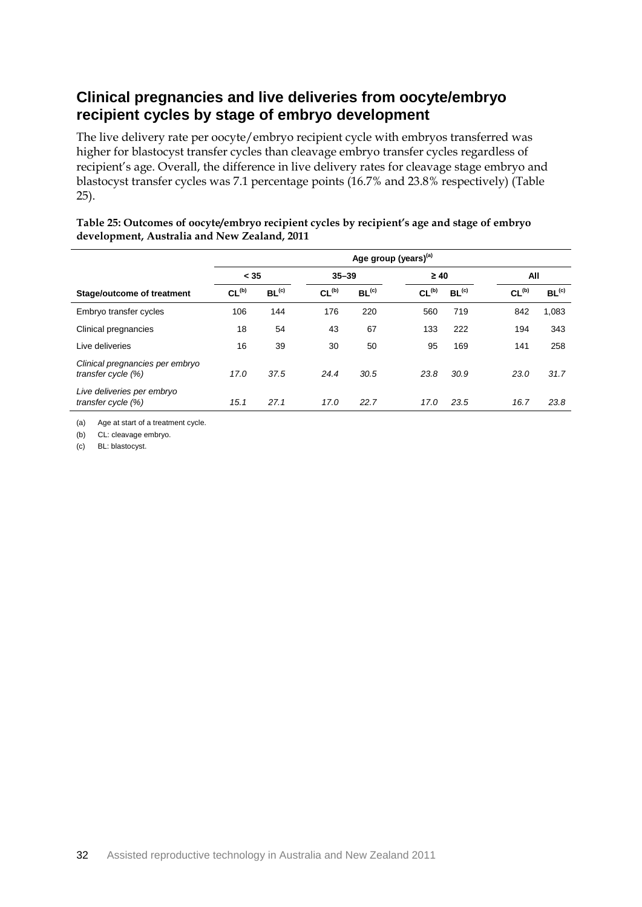### **Clinical pregnancies and live deliveries from oocyte/embryo recipient cycles by stage of embryo development**

The live delivery rate per oocyte/embryo recipient cycle with embryos transferred was higher for blastocyst transfer cycles than cleavage embryo transfer cycles regardless of recipient's age. Overall, the difference in live delivery rates for cleavage stage embryo and blastocyst transfer cycles was 7.1 percentage points (16.7% and 23.8% respectively) (Table 25).

#### **Table 25: Outcomes of oocyte/embryo recipient cycles by recipient's age and stage of embryo development, Australia and New Zealand, 2011**

|                                                       | Age group (years) <sup>(a)</sup> |                   |                   |                   |                   |                   |                   |                   |
|-------------------------------------------------------|----------------------------------|-------------------|-------------------|-------------------|-------------------|-------------------|-------------------|-------------------|
|                                                       | < 35                             |                   | $35 - 39$         |                   | $\geq 40$         |                   | All               |                   |
| Stage/outcome of treatment                            | CL <sub>(b)</sub>                | BL <sup>(c)</sup> | CL <sub>(b)</sub> | BL <sup>(c)</sup> | CL <sub>(b)</sub> | BL <sup>(c)</sup> | CL <sub>(b)</sub> | BL <sup>(c)</sup> |
| Embryo transfer cycles                                | 106                              | 144               | 176               | 220               | 560               | 719               | 842               | 1,083             |
| Clinical pregnancies                                  | 18                               | 54                | 43                | 67                | 133               | 222               | 194               | 343               |
| Live deliveries                                       | 16                               | 39                | 30                | 50                | 95                | 169               | 141               | 258               |
| Clinical pregnancies per embryo<br>transfer cycle (%) | 17.0                             | 37.5              | 24.4              | 30.5              | 23.8              | 30.9              | 23.0              | 31.7              |
| Live deliveries per embryo<br>transfer cycle (%)      | 15.1                             | 27.1              | 17.0              | 22.7              | 17.0              | 23.5              | 16.7              | 23.8              |

(a) Age at start of a treatment cycle.

(b) CL: cleavage embryo.

(c) BL: blastocyst.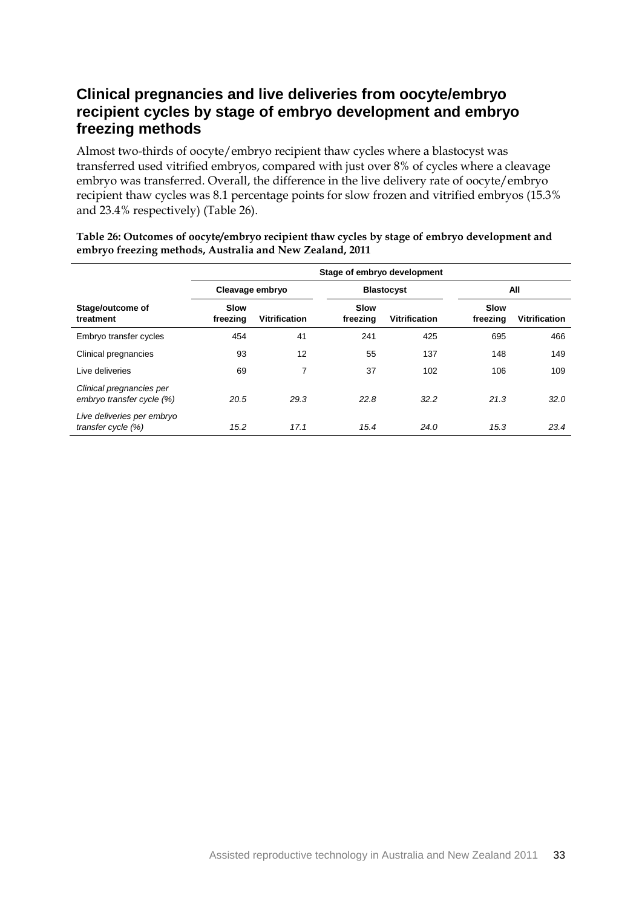### **Clinical pregnancies and live deliveries from oocyte/embryo recipient cycles by stage of embryo development and embryo freezing methods**

Almost two-thirds of oocyte/embryo recipient thaw cycles where a blastocyst was transferred used vitrified embryos, compared with just over 8% of cycles where a cleavage embryo was transferred. Overall, the difference in the live delivery rate of oocyte/embryo recipient thaw cycles was 8.1 percentage points for slow frozen and vitrified embryos (15.3% and 23.4% respectively) (Table 26).

|                                                       | Stage of embryo development |                      |                         |                      |                         |                      |  |  |
|-------------------------------------------------------|-----------------------------|----------------------|-------------------------|----------------------|-------------------------|----------------------|--|--|
|                                                       | Cleavage embryo             |                      |                         | <b>Blastocyst</b>    |                         | All                  |  |  |
| Stage/outcome of<br>treatment                         | <b>Slow</b><br>freezing     | <b>Vitrification</b> | <b>Slow</b><br>freezing | <b>Vitrification</b> | <b>Slow</b><br>freezing | <b>Vitrification</b> |  |  |
| Embryo transfer cycles                                | 454                         | 41                   | 241                     | 425                  | 695                     | 466                  |  |  |
| Clinical pregnancies                                  | 93                          | 12                   | 55                      | 137                  | 148                     | 149                  |  |  |
| Live deliveries                                       | 69                          | 7                    | 37                      | 102                  | 106                     | 109                  |  |  |
| Clinical pregnancies per<br>embryo transfer cycle (%) | 20.5                        | 29.3                 | 22.8                    | 32.2                 | 21.3                    | 32.0                 |  |  |
| Live deliveries per embryo<br>transfer cycle (%)      | 15.2                        | 17.1                 | 15.4                    | 24.0                 | 15.3                    | 23.4                 |  |  |

**Table 26: Outcomes of oocyte/embryo recipient thaw cycles by stage of embryo development and embryo freezing methods, Australia and New Zealand, 2011**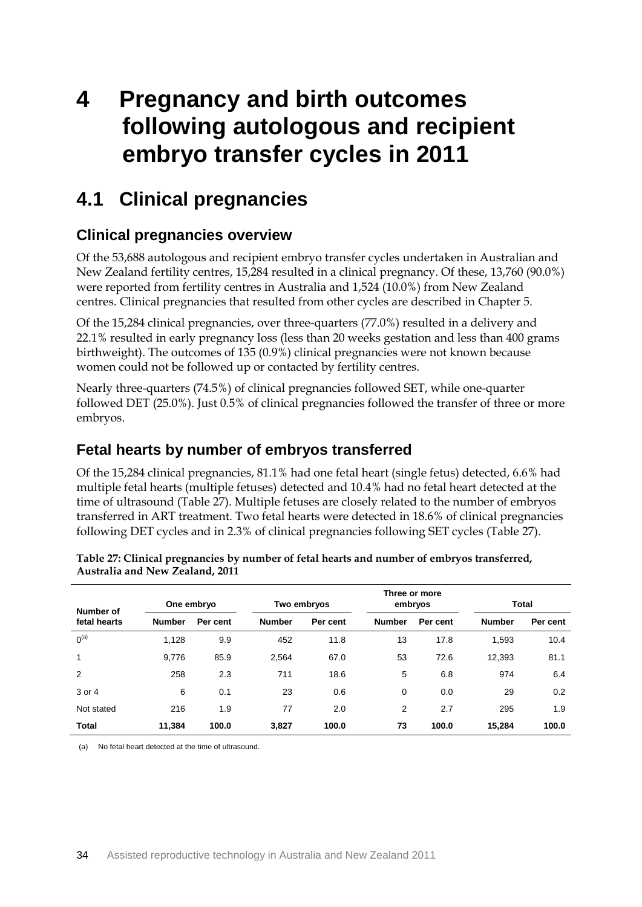# **4 Pregnancy and birth outcomes following autologous and recipient embryo transfer cycles in 2011**

### **4.1 Clinical pregnancies**

### **Clinical pregnancies overview**

Of the 53,688 autologous and recipient embryo transfer cycles undertaken in Australian and New Zealand fertility centres, 15,284 resulted in a clinical pregnancy. Of these, 13,760 (90.0%) were reported from fertility centres in Australia and 1,524 (10.0%) from New Zealand centres. Clinical pregnancies that resulted from other cycles are described in Chapter 5.

Of the 15,284 clinical pregnancies, over three-quarters (77.0%) resulted in a delivery and 22.1% resulted in early pregnancy loss (less than 20 weeks gestation and less than 400 grams birthweight). The outcomes of 135 (0.9%) clinical pregnancies were not known because women could not be followed up or contacted by fertility centres.

Nearly three-quarters (74.5%) of clinical pregnancies followed SET, while one-quarter followed DET (25.0%). Just 0.5% of clinical pregnancies followed the transfer of three or more embryos.

### **Fetal hearts by number of embryos transferred**

Of the 15,284 clinical pregnancies, 81.1% had one fetal heart (single fetus) detected, 6.6% had multiple fetal hearts (multiple fetuses) detected and 10.4% had no fetal heart detected at the time of ultrasound (Table 27). Multiple fetuses are closely related to the number of embryos transferred in ART treatment. Two fetal hearts were detected in 18.6% of clinical pregnancies following DET cycles and in 2.3% of clinical pregnancies following SET cycles (Table 27).

| Number of    |               | Three or more<br>One embryo<br>Two embryos<br>embryos |               |          |               | <b>Total</b> |               |          |
|--------------|---------------|-------------------------------------------------------|---------------|----------|---------------|--------------|---------------|----------|
| fetal hearts | <b>Number</b> | Per cent                                              | <b>Number</b> | Per cent | <b>Number</b> | Per cent     | <b>Number</b> | Per cent |
| $0^{(a)}$    | 1,128         | 9.9                                                   | 452           | 11.8     | 13            | 17.8         | 1,593         | 10.4     |
| $\mathbf{1}$ | 9,776         | 85.9                                                  | 2,564         | 67.0     | 53            | 72.6         | 12,393        | 81.1     |
| 2            | 258           | 2.3                                                   | 711           | 18.6     | 5             | 6.8          | 974           | 6.4      |
| 3 or 4       | 6             | 0.1                                                   | 23            | 0.6      | 0             | 0.0          | 29            | 0.2      |
| Not stated   | 216           | 1.9                                                   | 77            | 2.0      | 2             | 2.7          | 295           | 1.9      |
| <b>Total</b> | 11,384        | 100.0                                                 | 3,827         | 100.0    | 73            | 100.0        | 15.284        | 100.0    |

|                                 | Table 27: Clinical pregnancies by number of fetal hearts and number of embryos transferred, |
|---------------------------------|---------------------------------------------------------------------------------------------|
| Australia and New Zealand, 2011 |                                                                                             |

(a) No fetal heart detected at the time of ultrasound.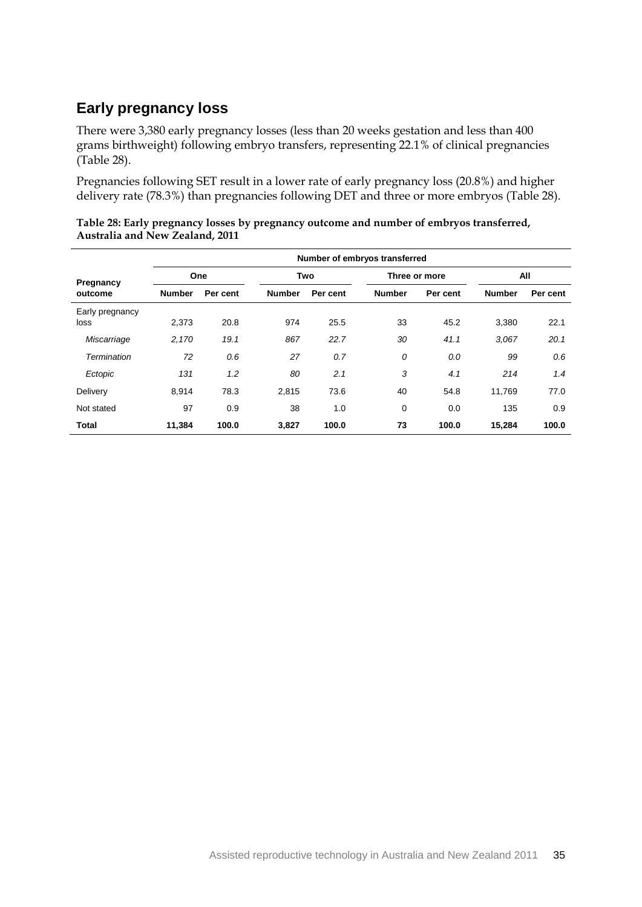### **Early pregnancy loss**

There were 3,380 early pregnancy losses (less than 20 weeks gestation and less than 400 grams birthweight) following embryo transfers, representing 22.1% of clinical pregnancies (Table 28).

Pregnancies following SET result in a lower rate of early pregnancy loss (20.8%) and higher delivery rate (78.3%) than pregnancies following DET and three or more embryos (Table 28).

| Table 28: Early pregnancy losses by pregnancy outcome and number of embryos transferred, |  |
|------------------------------------------------------------------------------------------|--|
| Australia and New Zealand, 2011                                                          |  |

|                         | Number of embryos transferred |          |               |          |               |               |               |          |  |
|-------------------------|-------------------------------|----------|---------------|----------|---------------|---------------|---------------|----------|--|
| Pregnancy               | One                           |          | Two           |          |               | Three or more |               | All      |  |
| outcome                 | <b>Number</b>                 | Per cent | <b>Number</b> | Per cent | <b>Number</b> | Per cent      | <b>Number</b> | Per cent |  |
| Early pregnancy<br>loss | 2,373                         | 20.8     | 974           | 25.5     | 33            | 45.2          | 3,380         | 22.1     |  |
| Miscarriage             | 2,170                         | 19.1     | 867           | 22.7     | 30            | 41.1          | 3.067         | 20.1     |  |
| Termination             | 72                            | 0.6      | 27            | 0.7      | 0             | 0.0           | 99            | 0.6      |  |
| Ectopic                 | 131                           | 1.2      | 80            | 2.1      | 3             | 4.1           | 214           | 1.4      |  |
| Delivery                | 8,914                         | 78.3     | 2,815         | 73.6     | 40            | 54.8          | 11,769        | 77.0     |  |
| Not stated              | 97                            | 0.9      | 38            | 1.0      | 0             | 0.0           | 135           | 0.9      |  |
| <b>Total</b>            | 11,384                        | 100.0    | 3,827         | 100.0    | 73            | 100.0         | 15,284        | 100.0    |  |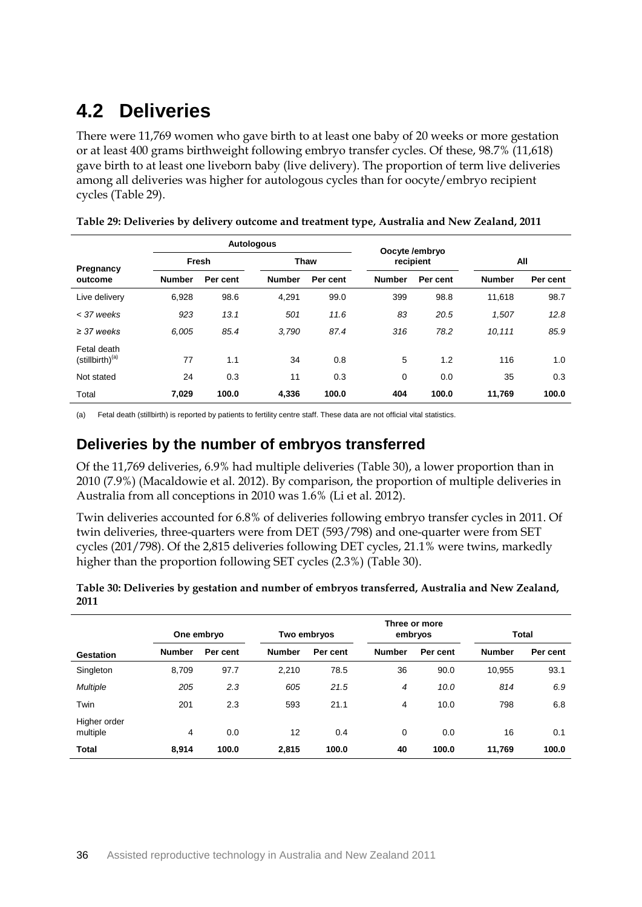# **4.2 Deliveries**

There were 11,769 women who gave birth to at least one baby of 20 weeks or more gestation or at least 400 grams birthweight following embryo transfer cycles. Of these, 98.7% (11,618) gave birth to at least one liveborn baby (live delivery). The proportion of term live deliveries among all deliveries was higher for autologous cycles than for oocyte/embryo recipient cycles (Table 29).

|                                            |               |          | <b>Autologous</b> | Oocyte /embryo |               |           |               |          |  |
|--------------------------------------------|---------------|----------|-------------------|----------------|---------------|-----------|---------------|----------|--|
| Pregnancy                                  |               | Fresh    |                   | Thaw           |               | recipient |               | All      |  |
| outcome                                    | <b>Number</b> | Per cent | <b>Number</b>     | Per cent       | <b>Number</b> | Per cent  | <b>Number</b> | Per cent |  |
| Live delivery                              | 6,928         | 98.6     | 4,291             | 99.0           | 399           | 98.8      | 11,618        | 98.7     |  |
| < 37 weeks                                 | 923           | 13.1     | 501               | 11.6           | 83            | 20.5      | 1,507         | 12.8     |  |
| $\geq$ 37 weeks                            | 6.005         | 85.4     | 3.790             | 87.4           | 316           | 78.2      | 10.111        | 85.9     |  |
| Fetal death<br>(stillbirth) <sup>(a)</sup> | 77            | 1.1      | 34                | 0.8            | 5             | 1.2       | 116           | 1.0      |  |
| Not stated                                 | 24            | 0.3      | 11                | 0.3            | 0             | 0.0       | 35            | 0.3      |  |
| Total                                      | 7.029         | 100.0    | 4,336             | 100.0          | 404           | 100.0     | 11,769        | 100.0    |  |

| Table 29: Deliveries by delivery outcome and treatment type, Australia and New Zealand, 2011 |  |  |
|----------------------------------------------------------------------------------------------|--|--|
|                                                                                              |  |  |

(a) Fetal death (stillbirth) is reported by patients to fertility centre staff. These data are not official vital statistics.

### **Deliveries by the number of embryos transferred**

Of the 11,769 deliveries, 6.9% had multiple deliveries (Table 30), a lower proportion than in 2010 (7.9%) (Macaldowie et al. 2012). By comparison, the proportion of multiple deliveries in Australia from all conceptions in 2010 was 1.6% (Li et al. 2012).

Twin deliveries accounted for 6.8% of deliveries following embryo transfer cycles in 2011. Of twin deliveries, three-quarters were from DET (593/798) and one-quarter were from SET cycles (201/798). Of the 2,815 deliveries following DET cycles, 21.1% were twins, markedly higher than the proportion following SET cycles (2.3%) (Table 30).

| Table 30: Deliveries by gestation and number of embryos transferred, Australia and New Zealand, |  |
|-------------------------------------------------------------------------------------------------|--|
| 2011                                                                                            |  |

|                          |               | One embryo | Three or more<br>embryos<br>Two embryos |          |                | Total    |               |          |
|--------------------------|---------------|------------|-----------------------------------------|----------|----------------|----------|---------------|----------|
| Gestation                | <b>Number</b> | Per cent   | <b>Number</b>                           | Per cent | <b>Number</b>  | Per cent | <b>Number</b> | Per cent |
| Singleton                | 8,709         | 97.7       | 2,210                                   | 78.5     | 36             | 90.0     | 10,955        | 93.1     |
| <b>Multiple</b>          | 205           | 2.3        | 605                                     | 21.5     | $\overline{4}$ | 10.0     | 814           | 6.9      |
| Twin                     | 201           | 2.3        | 593                                     | 21.1     | 4              | 10.0     | 798           | 6.8      |
| Higher order<br>multiple | 4             | 0.0        | 12                                      | 0.4      | 0              | 0.0      | 16            | 0.1      |
| <b>Total</b>             | 8,914         | 100.0      | 2,815                                   | 100.0    | 40             | 100.0    | 11,769        | 100.0    |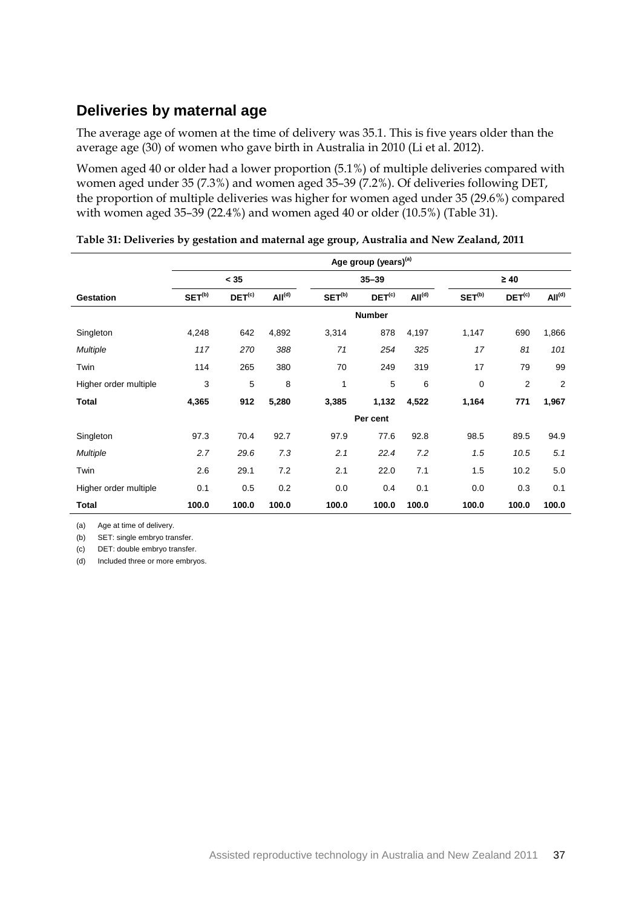### **Deliveries by maternal age**

The average age of women at the time of delivery was 35.1. This is five years older than the average age (30) of women who gave birth in Australia in 2010 (Li et al. 2012).

Women aged 40 or older had a lower proportion (5.1%) of multiple deliveries compared with women aged under 35 (7.3%) and women aged 35–39 (7.2%). Of deliveries following DET, the proportion of multiple deliveries was higher for women aged under 35 (29.6%) compared with women aged 35–39 (22.4%) and women aged 40 or older (10.5%) (Table 31).

|                       | Age group (years) <sup>(a)</sup> |                    |                    |                    |                    |                    |                    |                    |                    |
|-----------------------|----------------------------------|--------------------|--------------------|--------------------|--------------------|--------------------|--------------------|--------------------|--------------------|
|                       |                                  | < 35               |                    |                    | $35 - 39$          |                    |                    | $\geq 40$          |                    |
| <b>Gestation</b>      | SET <sup>(b)</sup>               | DET <sup>(c)</sup> | All <sup>(d)</sup> | SET <sup>(b)</sup> | DET <sup>(c)</sup> | All <sup>(d)</sup> | SET <sup>(b)</sup> | DET <sup>(c)</sup> | All <sup>(d)</sup> |
|                       |                                  |                    |                    |                    | <b>Number</b>      |                    |                    |                    |                    |
| Singleton             | 4,248                            | 642                | 4,892              | 3,314              | 878                | 4,197              | 1,147              | 690                | 1,866              |
| <b>Multiple</b>       | 117                              | 270                | 388                | 71                 | 254                | 325                | 17                 | 81                 | 101                |
| Twin                  | 114                              | 265                | 380                | 70                 | 249                | 319                | 17                 | 79                 | 99                 |
| Higher order multiple | 3                                | 5                  | 8                  | 1                  | 5                  | 6                  | $\mathbf 0$        | $\overline{2}$     | $\overline{2}$     |
| <b>Total</b>          | 4,365                            | 912                | 5,280              | 3,385              | 1,132              | 4,522              | 1,164              | 771                | 1,967              |
|                       |                                  |                    |                    |                    | Per cent           |                    |                    |                    |                    |
| Singleton             | 97.3                             | 70.4               | 92.7               | 97.9               | 77.6               | 92.8               | 98.5               | 89.5               | 94.9               |
| <b>Multiple</b>       | 2.7                              | 29.6               | 7.3                | 2.1                | 22.4               | 7.2                | 1.5                | 10.5               | 5.1                |
| Twin                  | 2.6                              | 29.1               | 7.2                | 2.1                | 22.0               | 7.1                | 1.5                | 10.2               | 5.0                |
| Higher order multiple | 0.1                              | 0.5                | 0.2                | 0.0                | 0.4                | 0.1                | 0.0                | 0.3                | 0.1                |
| Total                 | 100.0                            | 100.0              | 100.0              | 100.0              | 100.0              | 100.0              | 100.0              | 100.0              | 100.0              |

|  | Table 31: Deliveries by gestation and maternal age group, Australia and New Zealand, 2011 |  |  |  |
|--|-------------------------------------------------------------------------------------------|--|--|--|
|  |                                                                                           |  |  |  |

(a) Age at time of delivery.

(b) SET: single embryo transfer.

(c) DET: double embryo transfer.

(d) Included three or more embryos.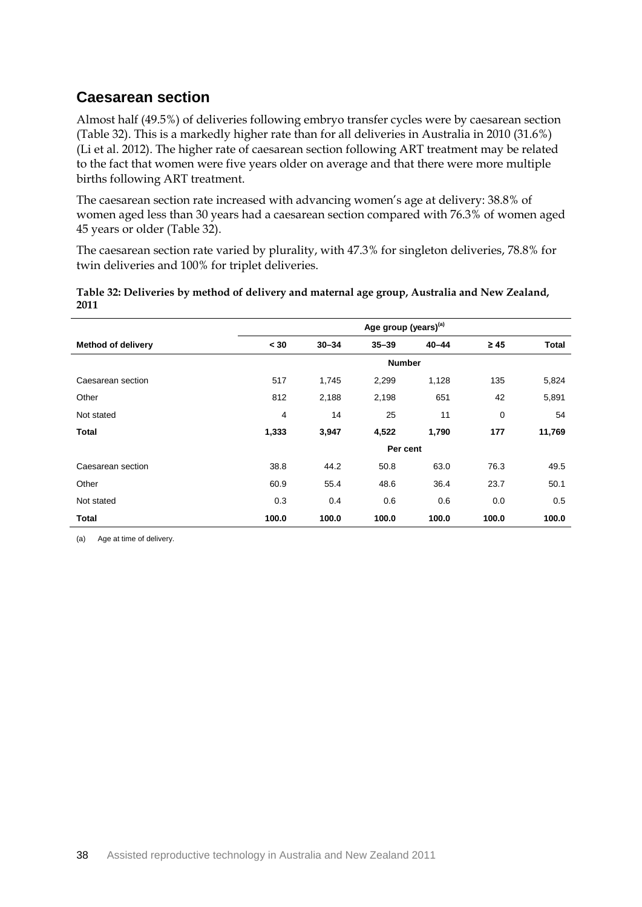### **Caesarean section**

Almost half (49.5%) of deliveries following embryo transfer cycles were by caesarean section (Table 32). This is a markedly higher rate than for all deliveries in Australia in 2010 (31.6%) (Li et al. 2012). The higher rate of caesarean section following ART treatment may be related to the fact that women were five years older on average and that there were more multiple births following ART treatment.

The caesarean section rate increased with advancing women's age at delivery: 38.8% of women aged less than 30 years had a caesarean section compared with 76.3% of women aged 45 years or older (Table 32).

The caesarean section rate varied by plurality, with 47.3% for singleton deliveries, 78.8% for twin deliveries and 100% for triplet deliveries.

#### **Table 32: Deliveries by method of delivery and maternal age group, Australia and New Zealand, 2011**

|                           | Age group (years) <sup>(a)</sup> |           |           |           |           |              |  |  |  |  |
|---------------------------|----------------------------------|-----------|-----------|-----------|-----------|--------------|--|--|--|--|
| <b>Method of delivery</b> | < 30                             | $30 - 34$ | $35 - 39$ | $40 - 44$ | $\geq 45$ | <b>Total</b> |  |  |  |  |
|                           | <b>Number</b>                    |           |           |           |           |              |  |  |  |  |
| Caesarean section         | 517                              | 1,745     | 2,299     | 1,128     | 135       | 5,824        |  |  |  |  |
| Other                     | 812                              | 2,188     | 2,198     | 651       | 42        | 5,891        |  |  |  |  |
| Not stated                | 4                                | 14        | 25        | 11        | 0         | 54           |  |  |  |  |
| <b>Total</b>              | 1,333                            | 3,947     | 4,522     | 1,790     | 177       | 11,769       |  |  |  |  |
|                           |                                  |           | Per cent  |           |           |              |  |  |  |  |
| Caesarean section         | 38.8                             | 44.2      | 50.8      | 63.0      | 76.3      | 49.5         |  |  |  |  |
| Other                     | 60.9                             | 55.4      | 48.6      | 36.4      | 23.7      | 50.1         |  |  |  |  |
| Not stated                | 0.3                              | 0.4       | 0.6       | 0.6       | 0.0       | 0.5          |  |  |  |  |
| Total                     | 100.0                            | 100.0     | 100.0     | 100.0     | 100.0     | 100.0        |  |  |  |  |

(a) Age at time of delivery.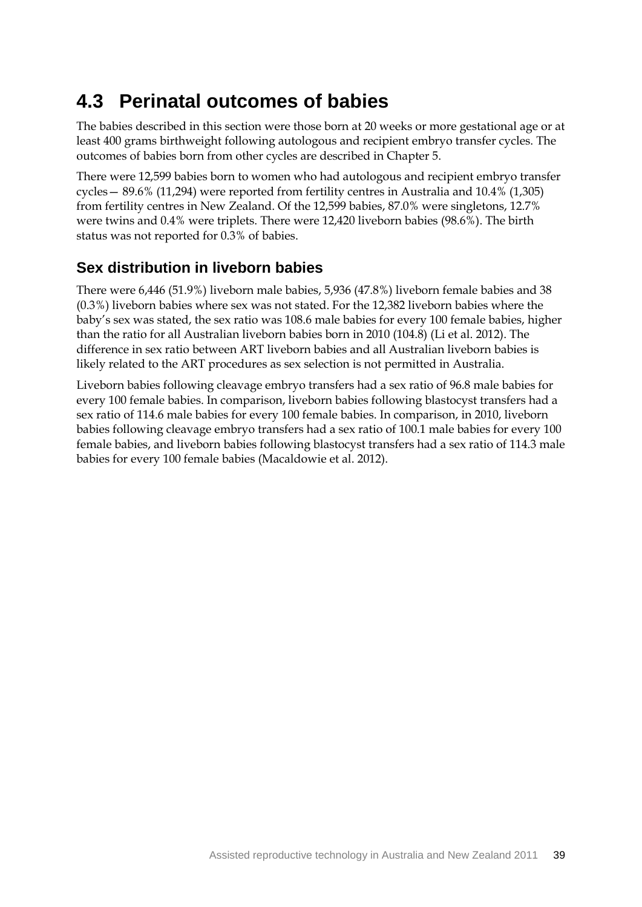## **4.3 Perinatal outcomes of babies**

The babies described in this section were those born at 20 weeks or more gestational age or at least 400 grams birthweight following autologous and recipient embryo transfer cycles. The outcomes of babies born from other cycles are described in Chapter 5.

There were 12,599 babies born to women who had autologous and recipient embryo transfer cycles— 89.6% (11,294) were reported from fertility centres in Australia and 10.4% (1,305) from fertility centres in New Zealand. Of the 12,599 babies, 87.0% were singletons, 12.7% were twins and 0.4% were triplets. There were 12,420 liveborn babies (98.6%). The birth status was not reported for 0.3% of babies.

### **Sex distribution in liveborn babies**

There were 6,446 (51.9%) liveborn male babies, 5,936 (47.8%) liveborn female babies and 38 (0.3%) liveborn babies where sex was not stated. For the 12,382 liveborn babies where the baby's sex was stated, the sex ratio was 108.6 male babies for every 100 female babies, higher than the ratio for all Australian liveborn babies born in 2010 (104.8) (Li et al. 2012). The difference in sex ratio between ART liveborn babies and all Australian liveborn babies is likely related to the ART procedures as sex selection is not permitted in Australia.

Liveborn babies following cleavage embryo transfers had a sex ratio of 96.8 male babies for every 100 female babies. In comparison, liveborn babies following blastocyst transfers had a sex ratio of 114.6 male babies for every 100 female babies. In comparison, in 2010, liveborn babies following cleavage embryo transfers had a sex ratio of 100.1 male babies for every 100 female babies, and liveborn babies following blastocyst transfers had a sex ratio of 114.3 male babies for every 100 female babies (Macaldowie et al. 2012).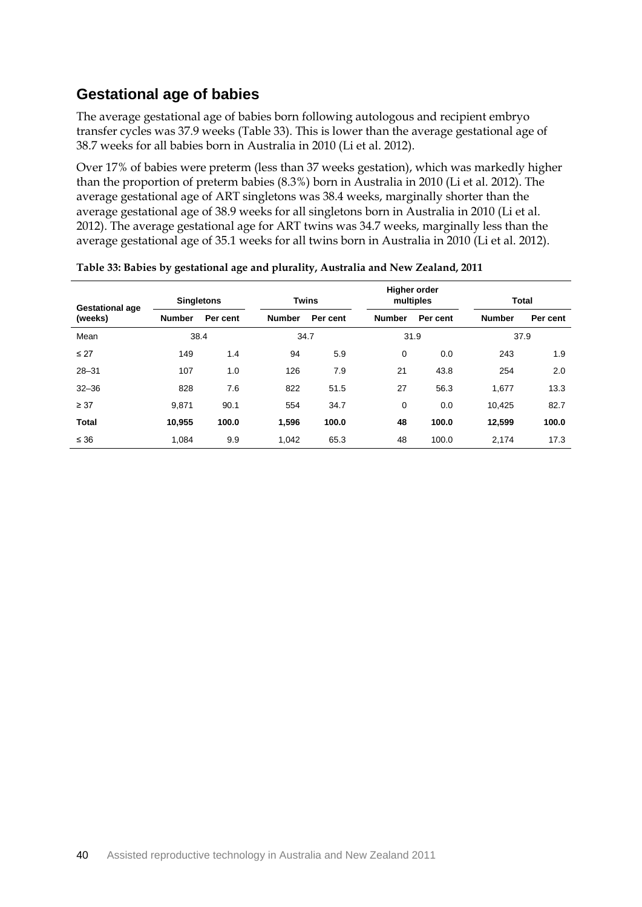### **Gestational age of babies**

The average gestational age of babies born following autologous and recipient embryo transfer cycles was 37.9 weeks (Table 33). This is lower than the average gestational age of 38.7 weeks for all babies born in Australia in 2010 (Li et al. 2012).

Over 17% of babies were preterm (less than 37 weeks gestation), which was markedly higher than the proportion of preterm babies (8.3%) born in Australia in 2010 (Li et al. 2012). The average gestational age of ART singletons was 38.4 weeks, marginally shorter than the average gestational age of 38.9 weeks for all singletons born in Australia in 2010 (Li et al. 2012). The average gestational age for ART twins was 34.7 weeks, marginally less than the average gestational age of 35.1 weeks for all twins born in Australia in 2010 (Li et al. 2012).

| <b>Gestational age</b> | <b>Singletons</b> |          |               | <b>Twins</b> |               | <b>Higher order</b><br>multiples |               | <b>Total</b> |  |
|------------------------|-------------------|----------|---------------|--------------|---------------|----------------------------------|---------------|--------------|--|
| (weeks)                | <b>Number</b>     | Per cent | <b>Number</b> | Per cent     | <b>Number</b> | Per cent                         | <b>Number</b> | Per cent     |  |
| Mean                   |                   | 38.4     | 34.7          |              |               | 31.9                             |               | 37.9         |  |
| $\leq$ 27              | 149               | 1.4      | 94            | 5.9          | 0             | 0.0                              | 243           | 1.9          |  |
| $28 - 31$              | 107               | 1.0      | 126           | 7.9          | 21            | 43.8                             | 254           | 2.0          |  |
| $32 - 36$              | 828               | 7.6      | 822           | 51.5         | 27            | 56.3                             | 1,677         | 13.3         |  |
| $\geq 37$              | 9,871             | 90.1     | 554           | 34.7         | 0             | 0.0                              | 10,425        | 82.7         |  |
| <b>Total</b>           | 10,955            | 100.0    | 1,596         | 100.0        | 48            | 100.0                            | 12,599        | 100.0        |  |
| $\leq 36$              | 1.084             | 9.9      | 1.042         | 65.3         | 48            | 100.0                            | 2.174         | 17.3         |  |

**Table 33: Babies by gestational age and plurality, Australia and New Zealand, 2011**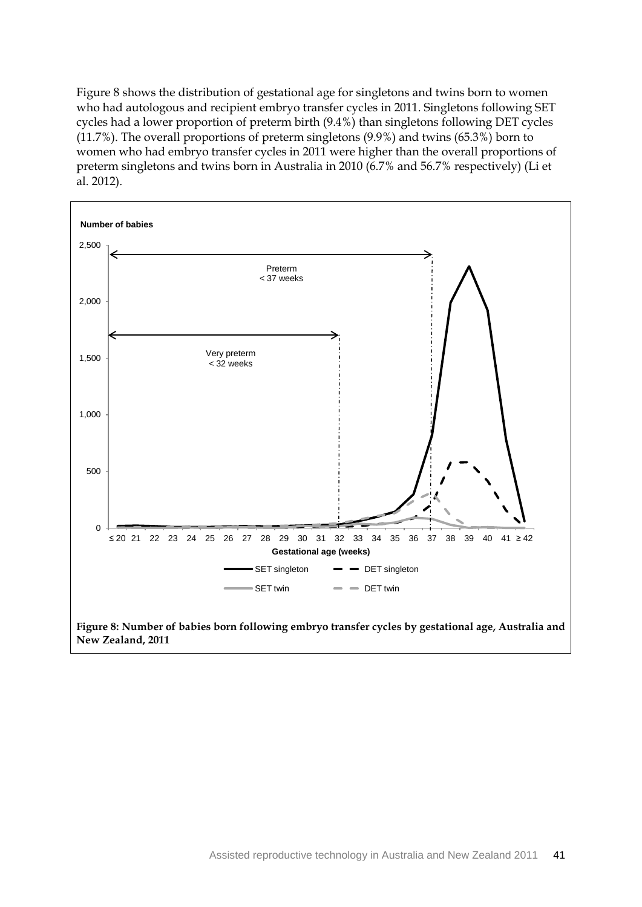Figure 8 shows the distribution of gestational age for singletons and twins born to women who had autologous and recipient embryo transfer cycles in 2011. Singletons following SET cycles had a lower proportion of preterm birth (9.4%) than singletons following DET cycles (11.7%). The overall proportions of preterm singletons (9.9%) and twins (65.3%) born to women who had embryo transfer cycles in 2011 were higher than the overall proportions of preterm singletons and twins born in Australia in 2010 (6.7% and 56.7% respectively) (Li et al. 2012).



**New Zealand, 2011**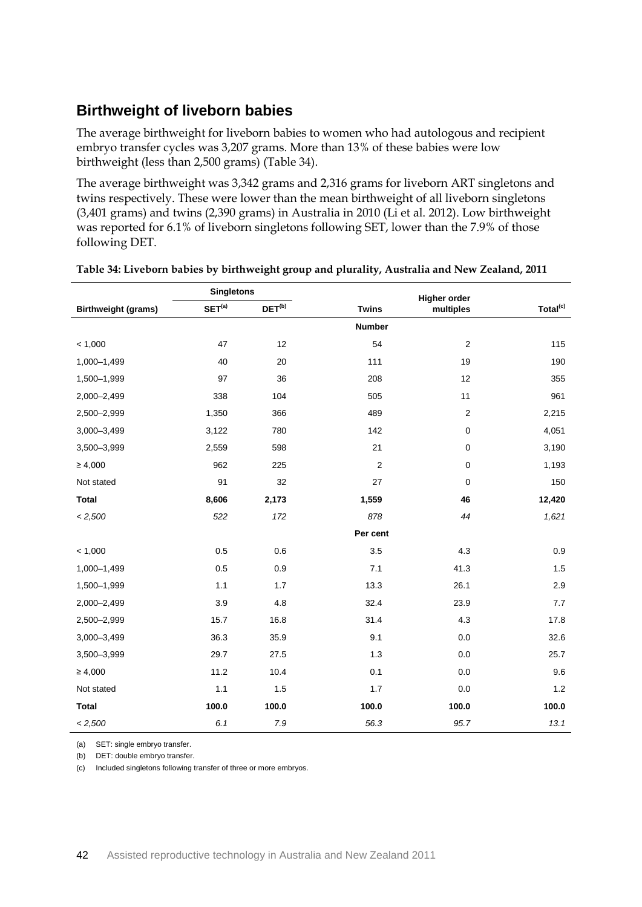### **Birthweight of liveborn babies**

The average birthweight for liveborn babies to women who had autologous and recipient embryo transfer cycles was 3,207 grams. More than 13% of these babies were low birthweight (less than 2,500 grams) (Table 34).

The average birthweight was 3,342 grams and 2,316 grams for liveborn ART singletons and twins respectively. These were lower than the mean birthweight of all liveborn singletons (3,401 grams) and twins (2,390 grams) in Australia in 2010 (Li et al. 2012). Low birthweight was reported for 6.1% of liveborn singletons following SET, lower than the 7.9% of those following DET.

|                            | <b>Singletons</b>  |             |                  | <b>Higher order</b> |                      |
|----------------------------|--------------------|-------------|------------------|---------------------|----------------------|
| <b>Birthweight (grams)</b> | SET <sup>(a)</sup> | $DEF^{(b)}$ | <b>Twins</b>     | multiples           | Total <sup>(c)</sup> |
|                            |                    |             | <b>Number</b>    |                     |                      |
| < 1,000                    | 47                 | 12          | 54               | $\mathbf 2$         | 115                  |
| 1,000-1,499                | 40                 | 20          | 111              | 19                  | 190                  |
| 1,500-1,999                | 97                 | 36          | 208              | 12                  | 355                  |
| 2,000-2,499                | 338                | 104         | 505              | 11                  | 961                  |
| 2,500-2,999                | 1,350              | 366         | 489              | $\mathbf 2$         | 2,215                |
| 3,000-3,499                | 3,122              | 780         | 142              | $\pmb{0}$           | 4,051                |
| 3,500-3,999                | 2,559              | 598         | 21               | $\mathsf 0$         | 3,190                |
| $\geq 4,000$               | 962                | 225         | $\boldsymbol{2}$ | $\pmb{0}$           | 1,193                |
| Not stated                 | 91                 | 32          | 27               | $\pmb{0}$           | 150                  |
| <b>Total</b>               | 8,606              | 2,173       | 1,559            | 46                  | 12,420               |
| < 2,500                    | 522                | 172         | 878              | 44                  | 1,621                |
|                            |                    |             | Per cent         |                     |                      |
| < 1,000                    | 0.5                | 0.6         | 3.5              | 4.3                 | 0.9                  |
| 1,000-1,499                | 0.5                | 0.9         | 7.1              | 41.3                | 1.5                  |
| 1,500-1,999                | $1.1$              | 1.7         | 13.3             | 26.1                | 2.9                  |
| 2,000-2,499                | 3.9                | 4.8         | 32.4             | 23.9                | 7.7                  |
| 2,500-2,999                | 15.7               | 16.8        | 31.4             | 4.3                 | 17.8                 |
| $3,000 - 3,499$            | 36.3               | 35.9        | 9.1              | 0.0                 | 32.6                 |
| 3,500-3,999                | 29.7               | 27.5        | 1.3              | 0.0                 | 25.7                 |
| $\geq 4,000$               | 11.2               | 10.4        | 0.1              | 0.0                 | 9.6                  |
| Not stated                 | 1.1                | 1.5         | 1.7              | 0.0                 | 1.2                  |
| <b>Total</b>               | 100.0              | 100.0       | 100.0            | 100.0               | 100.0                |
| < 2,500                    | 6.1                | 7.9         | 56.3             | 95.7                | 13.1                 |

(a) SET: single embryo transfer.

(b) DET: double embryo transfer.

(c) Included singletons following transfer of three or more embryos.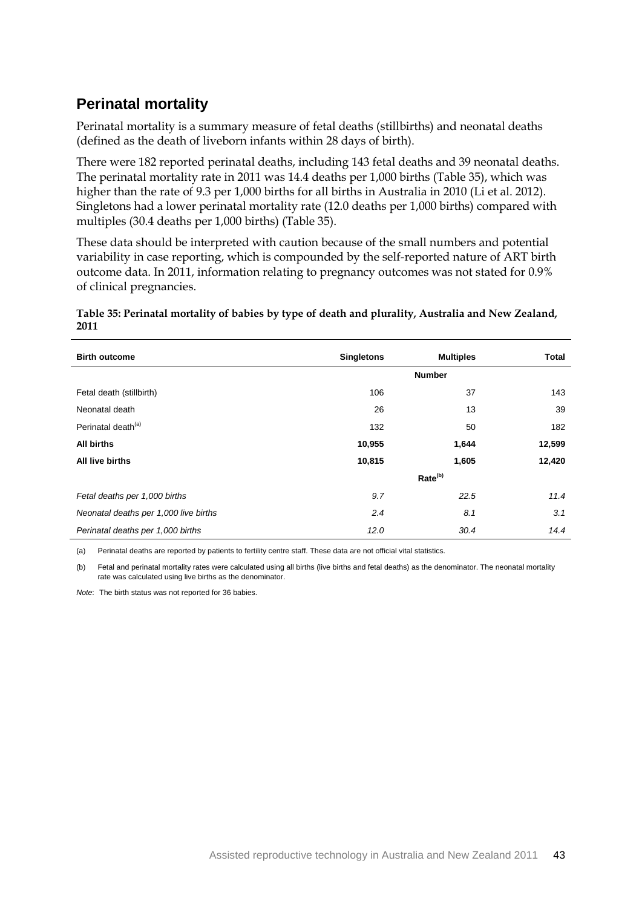### **Perinatal mortality**

Perinatal mortality is a summary measure of fetal deaths (stillbirths) and neonatal deaths (defined as the death of liveborn infants within 28 days of birth).

There were 182 reported perinatal deaths, including 143 fetal deaths and 39 neonatal deaths. The perinatal mortality rate in 2011 was 14.4 deaths per 1,000 births (Table 35), which was higher than the rate of 9.3 per 1,000 births for all births in Australia in 2010 (Li et al. 2012). Singletons had a lower perinatal mortality rate (12.0 deaths per 1,000 births) compared with multiples (30.4 deaths per 1,000 births) (Table 35).

These data should be interpreted with caution because of the small numbers and potential variability in case reporting, which is compounded by the self-reported nature of ART birth outcome data. In 2011, information relating to pregnancy outcomes was not stated for 0.9% of clinical pregnancies.

#### **Table 35: Perinatal mortality of babies by type of death and plurality, Australia and New Zealand, 2011**

| <b>Birth outcome</b>                  | <b>Singletons</b> | <b>Multiples</b>    | <b>Total</b> |
|---------------------------------------|-------------------|---------------------|--------------|
|                                       |                   | <b>Number</b>       |              |
| Fetal death (stillbirth)              | 106               | 37                  | 143          |
| Neonatal death                        | 26                | 13                  | 39           |
| Perinatal death <sup>(a)</sup>        | 132               | 50                  | 182          |
| All births                            | 10,955            | 1,644               | 12,599       |
| All live births                       | 10,815            | 1,605               | 12,420       |
|                                       |                   | Rate <sup>(b)</sup> |              |
| Fetal deaths per 1,000 births         | 9.7               | 22.5                | 11.4         |
| Neonatal deaths per 1,000 live births | 2.4               | 8.1                 | 3.1          |
| Perinatal deaths per 1,000 births     | 12.0              | 30.4                | 14.4         |

(a) Perinatal deaths are reported by patients to fertility centre staff. These data are not official vital statistics.

(b) Fetal and perinatal mortality rates were calculated using all births (live births and fetal deaths) as the denominator. The neonatal mortality rate was calculated using live births as the denominator.

*Note*: The birth status was not reported for 36 babies.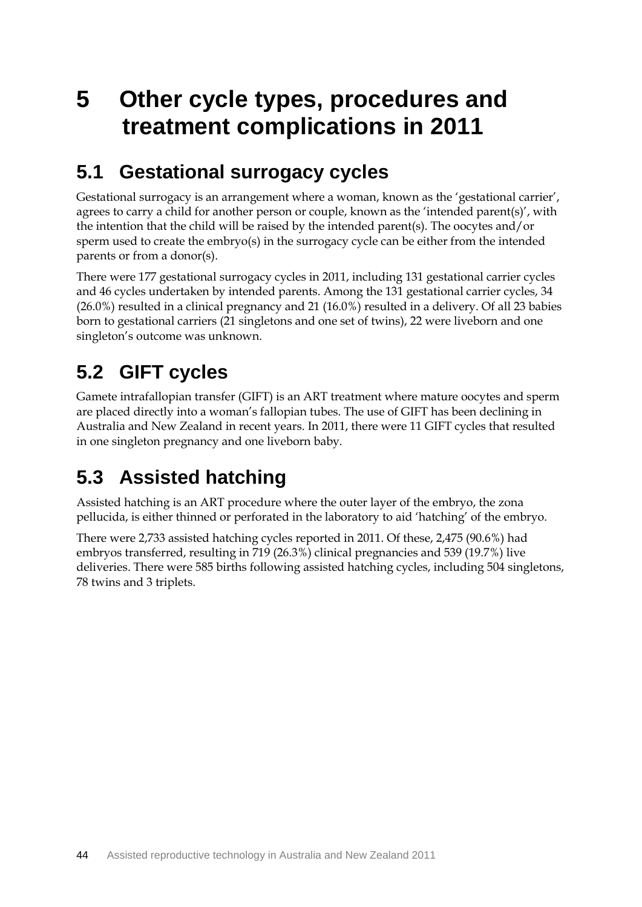# **5 Other cycle types, procedures and treatment complications in 2011**

### **5.1 Gestational surrogacy cycles**

Gestational surrogacy is an arrangement where a woman, known as the 'gestational carrier', agrees to carry a child for another person or couple, known as the 'intended parent(s)', with the intention that the child will be raised by the intended parent(s). The oocytes and/or sperm used to create the embryo(s) in the surrogacy cycle can be either from the intended parents or from a donor(s).

There were 177 gestational surrogacy cycles in 2011, including 131 gestational carrier cycles and 46 cycles undertaken by intended parents. Among the 131 gestational carrier cycles, 34 (26.0%) resulted in a clinical pregnancy and 21 (16.0%) resulted in a delivery. Of all 23 babies born to gestational carriers (21 singletons and one set of twins), 22 were liveborn and one singleton's outcome was unknown.

# **5.2 GIFT cycles**

Gamete intrafallopian transfer (GIFT) is an ART treatment where mature oocytes and sperm are placed directly into a woman's fallopian tubes. The use of GIFT has been declining in Australia and New Zealand in recent years. In 2011, there were 11 GIFT cycles that resulted in one singleton pregnancy and one liveborn baby.

# **5.3 Assisted hatching**

Assisted hatching is an ART procedure where the outer layer of the embryo, the zona pellucida, is either thinned or perforated in the laboratory to aid 'hatching' of the embryo.

There were 2,733 assisted hatching cycles reported in 2011. Of these, 2,475 (90.6%) had embryos transferred, resulting in 719 (26.3%) clinical pregnancies and 539 (19.7%) live deliveries. There were 585 births following assisted hatching cycles, including 504 singletons, 78 twins and 3 triplets.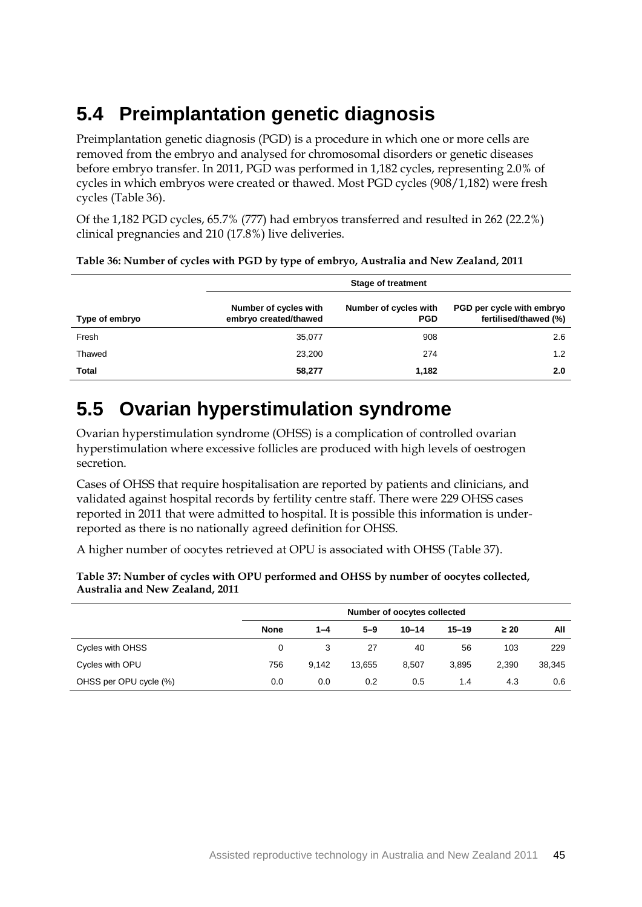# **5.4 Preimplantation genetic diagnosis**

Preimplantation genetic diagnosis (PGD) is a procedure in which one or more cells are removed from the embryo and analysed for chromosomal disorders or genetic diseases before embryo transfer. In 2011, PGD was performed in 1,182 cycles, representing 2.0% of cycles in which embryos were created or thawed. Most PGD cycles (908/1,182) were fresh cycles (Table 36).

Of the 1,182 PGD cycles, 65.7% (777) had embryos transferred and resulted in 262 (22.2%) clinical pregnancies and 210 (17.8%) live deliveries.

|                | <b>Stage of treatment</b>                      |                                     |                                                    |  |  |  |  |
|----------------|------------------------------------------------|-------------------------------------|----------------------------------------------------|--|--|--|--|
| Type of embryo | Number of cycles with<br>embryo created/thawed | Number of cycles with<br><b>PGD</b> | PGD per cycle with embryo<br>fertilised/thawed (%) |  |  |  |  |
| Fresh          | 35,077                                         | 908                                 | 2.6                                                |  |  |  |  |
| Thawed         | 23,200                                         | 274                                 | 1.2                                                |  |  |  |  |
| Total          | 58,277                                         | 1,182                               | 2.0                                                |  |  |  |  |

#### **Table 36: Number of cycles with PGD by type of embryo, Australia and New Zealand, 2011**

## **5.5 Ovarian hyperstimulation syndrome**

Ovarian hyperstimulation syndrome (OHSS) is a complication of controlled ovarian hyperstimulation where excessive follicles are produced with high levels of oestrogen secretion.

Cases of OHSS that require hospitalisation are reported by patients and clinicians, and validated against hospital records by fertility centre staff. There were 229 OHSS cases reported in 2011 that were admitted to hospital. It is possible this information is underreported as there is no nationally agreed definition for OHSS.

A higher number of oocytes retrieved at OPU is associated with OHSS (Table 37).

| Australia and New Zealand, 2011 |             |         |         |                             |           |           |        |
|---------------------------------|-------------|---------|---------|-----------------------------|-----------|-----------|--------|
|                                 |             |         |         | Number of oocytes collected |           |           |        |
|                                 | <b>None</b> | $1 - 4$ | $5 - 9$ | $10 - 14$                   | $15 - 19$ | $\geq 20$ | All    |
| Cycles with OHSS                |             |         | 27      | 40                          | 56        | 103       | 229    |
| Cycles with OPU                 | 756         | 9.142   | 13,655  | 8,507                       | 3,895     | 2,390     | 38,345 |

OHSS per OPU cycle (%) 0.0 0.0 0.0 0.2 0.5 1.4 4.3 0.6

**Table 37: Number of cycles with OPU performed and OHSS by number of oocytes collected, Australia and New Zealand, 2011**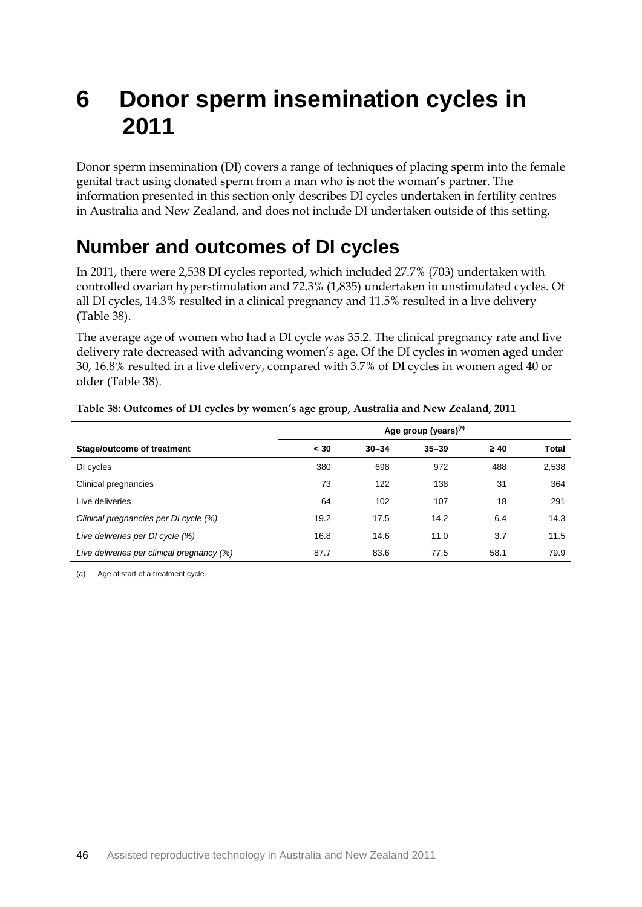# **6 Donor sperm insemination cycles in 2011**

Donor sperm insemination (DI) covers a range of techniques of placing sperm into the female genital tract using donated sperm from a man who is not the woman's partner. The information presented in this section only describes DI cycles undertaken in fertility centres in Australia and New Zealand, and does not include DI undertaken outside of this setting.

### **Number and outcomes of DI cycles**

In 2011, there were 2,538 DI cycles reported, which included 27.7% (703) undertaken with controlled ovarian hyperstimulation and 72.3% (1,835) undertaken in unstimulated cycles. Of all DI cycles, 14.3% resulted in a clinical pregnancy and 11.5% resulted in a live delivery (Table 38).

The average age of women who had a DI cycle was 35.2. The clinical pregnancy rate and live delivery rate decreased with advancing women's age. Of the DI cycles in women aged under 30, 16.8% resulted in a live delivery, compared with 3.7% of DI cycles in women aged 40 or older (Table 38).

|                                            | Age group (years) <sup>(a)</sup> |           |           |           |              |
|--------------------------------------------|----------------------------------|-----------|-----------|-----------|--------------|
| Stage/outcome of treatment                 | < 30                             | $30 - 34$ | $35 - 39$ | $\geq 40$ | <b>Total</b> |
| DI cycles                                  | 380                              | 698       | 972       | 488       | 2,538        |
| Clinical pregnancies                       | 73                               | 122       | 138       | 31        | 364          |
| Live deliveries                            | 64                               | 102       | 107       | 18        | 291          |
| Clinical pregnancies per DI cycle (%)      | 19.2                             | 17.5      | 14.2      | 6.4       | 14.3         |
| Live deliveries per DI cycle (%)           | 16.8                             | 14.6      | 11.0      | 3.7       | 11.5         |
| Live deliveries per clinical pregnancy (%) | 87.7                             | 83.6      | 77.5      | 58.1      | 79.9         |

#### **Table 38: Outcomes of DI cycles by women's age group, Australia and New Zealand, 2011**

(a) Age at start of a treatment cycle.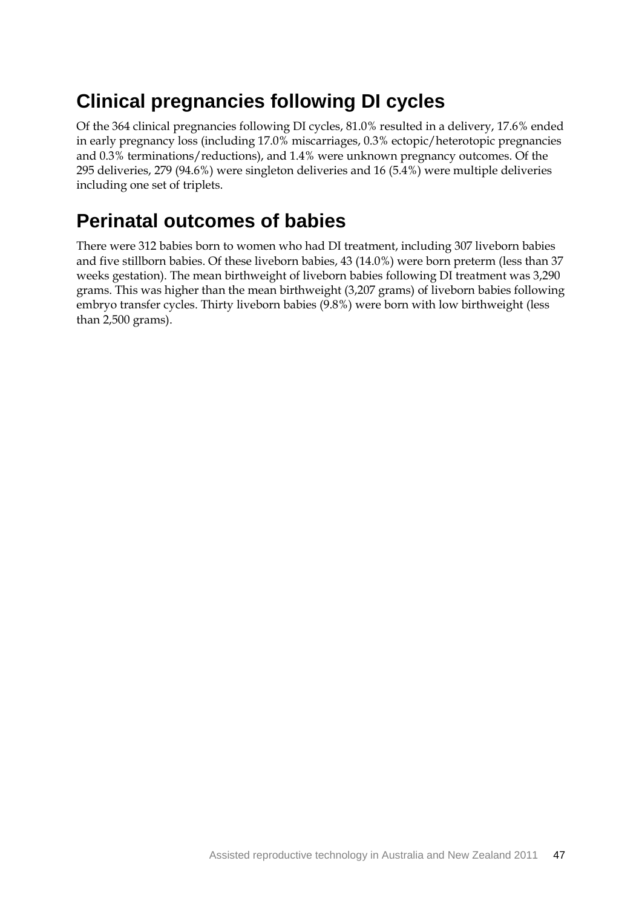## **Clinical pregnancies following DI cycles**

Of the 364 clinical pregnancies following DI cycles, 81.0% resulted in a delivery, 17.6% ended in early pregnancy loss (including 17.0% miscarriages, 0.3% ectopic/heterotopic pregnancies and 0.3% terminations/reductions), and 1.4% were unknown pregnancy outcomes. Of the 295 deliveries, 279 (94.6%) were singleton deliveries and 16 (5.4%) were multiple deliveries including one set of triplets.

### **Perinatal outcomes of babies**

There were 312 babies born to women who had DI treatment, including 307 liveborn babies and five stillborn babies. Of these liveborn babies, 43 (14.0%) were born preterm (less than 37 weeks gestation). The mean birthweight of liveborn babies following DI treatment was 3,290 grams. This was higher than the mean birthweight (3,207 grams) of liveborn babies following embryo transfer cycles. Thirty liveborn babies (9.8%) were born with low birthweight (less than 2,500 grams).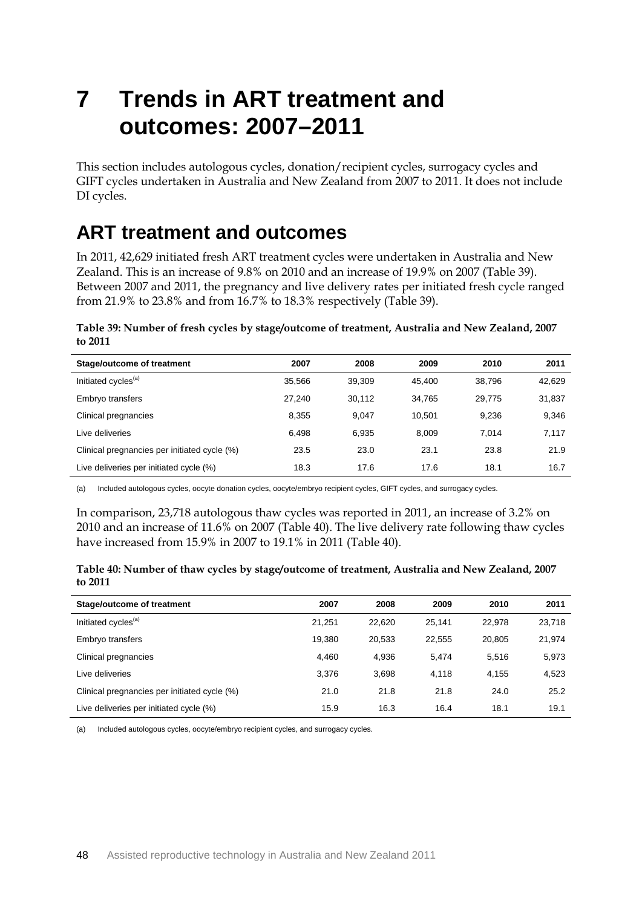# **7 Trends in ART treatment and outcomes: 2007–2011**

This section includes autologous cycles, donation/recipient cycles, surrogacy cycles and GIFT cycles undertaken in Australia and New Zealand from 2007 to 2011. It does not include DI cycles.

### **ART treatment and outcomes**

In 2011, 42,629 initiated fresh ART treatment cycles were undertaken in Australia and New Zealand. This is an increase of 9.8% on 2010 and an increase of 19.9% on 2007 (Table 39). Between 2007 and 2011, the pregnancy and live delivery rates per initiated fresh cycle ranged from 21.9% to 23.8% and from 16.7% to 18.3% respectively (Table 39).

**Table 39: Number of fresh cycles by stage/outcome of treatment, Australia and New Zealand, 2007 to 2011**

| Stage/outcome of treatment                   | 2007   | 2008   | 2009   | 2010   | 2011   |
|----------------------------------------------|--------|--------|--------|--------|--------|
| Initiated cycles <sup>(a)</sup>              | 35.566 | 39.309 | 45.400 | 38.796 | 42,629 |
| Embryo transfers                             | 27.240 | 30.112 | 34.765 | 29,775 | 31,837 |
| Clinical pregnancies                         | 8,355  | 9.047  | 10.501 | 9,236  | 9,346  |
| Live deliveries                              | 6,498  | 6,935  | 8.009  | 7.014  | 7,117  |
| Clinical pregnancies per initiated cycle (%) | 23.5   | 23.0   | 23.1   | 23.8   | 21.9   |
| Live deliveries per initiated cycle (%)      | 18.3   | 17.6   | 17.6   | 18.1   | 16.7   |

(a) Included autologous cycles, oocyte donation cycles, oocyte/embryo recipient cycles, GIFT cycles, and surrogacy cycles.

In comparison, 23,718 autologous thaw cycles was reported in 2011, an increase of 3.2% on 2010 and an increase of 11.6% on 2007 (Table 40). The live delivery rate following thaw cycles have increased from 15.9% in 2007 to 19.1% in 2011 (Table 40).

#### **Table 40: Number of thaw cycles by stage/outcome of treatment, Australia and New Zealand, 2007 to 2011**

| Stage/outcome of treatment                   | 2007   | 2008   | 2009   | 2010   | 2011   |
|----------------------------------------------|--------|--------|--------|--------|--------|
| Initiated cycles <sup>(a)</sup>              | 21,251 | 22,620 | 25.141 | 22.978 | 23,718 |
| Embryo transfers                             | 19.380 | 20,533 | 22.555 | 20.805 | 21,974 |
| Clinical pregnancies                         | 4,460  | 4.936  | 5.474  | 5.516  | 5,973  |
| Live deliveries                              | 3,376  | 3,698  | 4.118  | 4,155  | 4,523  |
| Clinical pregnancies per initiated cycle (%) | 21.0   | 21.8   | 21.8   | 24.0   | 25.2   |
| Live deliveries per initiated cycle (%)      | 15.9   | 16.3   | 16.4   | 18.1   | 19.1   |

(a) Included autologous cycles, oocyte/embryo recipient cycles, and surrogacy cycles.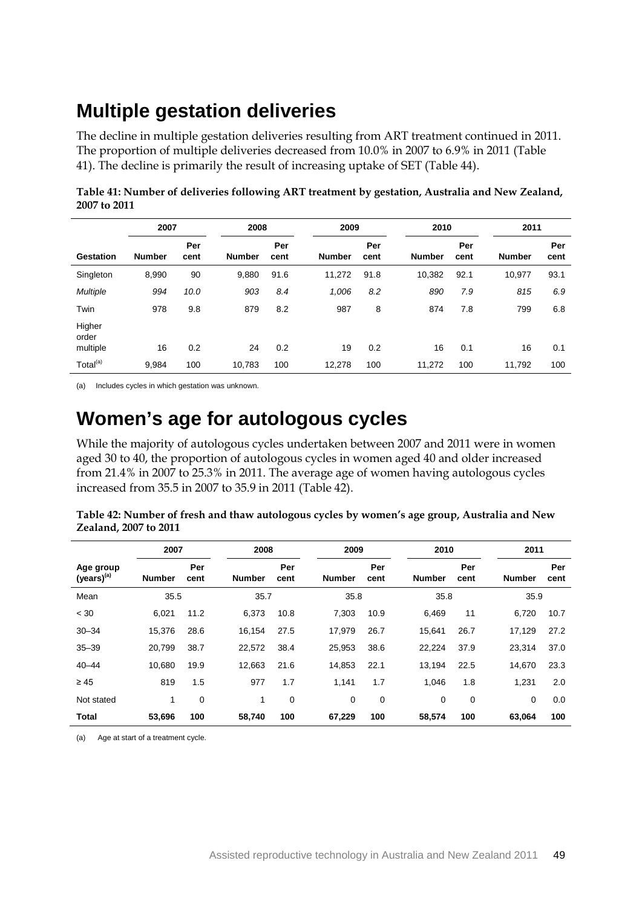## **Multiple gestation deliveries**

The decline in multiple gestation deliveries resulting from ART treatment continued in 2011. The proportion of multiple deliveries decreased from 10.0% in 2007 to 6.9% in 2011 (Table 41). The decline is primarily the result of increasing uptake of SET (Table 44).

| Table 41: Number of deliveries following ART treatment by gestation, Australia and New Zealand, |  |
|-------------------------------------------------------------------------------------------------|--|
| 2007 to 2011                                                                                    |  |

|                             | 2007          |             | 2008          |             |               | 2009        |               | 2010        |               | 2011        |  |
|-----------------------------|---------------|-------------|---------------|-------------|---------------|-------------|---------------|-------------|---------------|-------------|--|
| Gestation                   | <b>Number</b> | Per<br>cent | <b>Number</b> | Per<br>cent | <b>Number</b> | Per<br>cent | <b>Number</b> | Per<br>cent | <b>Number</b> | Per<br>cent |  |
| Singleton                   | 8,990         | 90          | 9,880         | 91.6        | 11,272        | 91.8        | 10,382        | 92.1        | 10,977        | 93.1        |  |
| <b>Multiple</b>             | 994           | 10.0        | 903           | 8.4         | 1,006         | 8.2         | 890           | 7.9         | 815           | 6.9         |  |
| Twin                        | 978           | 9.8         | 879           | 8.2         | 987           | 8           | 874           | 7.8         | 799           | 6.8         |  |
| Higher<br>order<br>multiple | 16            | 0.2         | 24            | 0.2         | 19            | 0.2         | 16            | 0.1         | 16            | 0.1         |  |
| Total <sup>(a)</sup>        | 9,984         | 100         | 10,783        | 100         | 12,278        | 100         | 11,272        | 100         | 11,792        | 100         |  |

(a) Includes cycles in which gestation was unknown.

### **Women's age for autologous cycles**

While the majority of autologous cycles undertaken between 2007 and 2011 were in women aged 30 to 40, the proportion of autologous cycles in women aged 40 and older increased from 21.4% in 2007 to 25.3% in 2011. The average age of women having autologous cycles increased from 35.5 in 2007 to 35.9 in 2011 (Table 42).

| Table 42: Number of fresh and thaw autologous cycles by women's age group, Australia and New |  |
|----------------------------------------------------------------------------------------------|--|
| Zealand, 2007 to 2011                                                                        |  |

|                              | 2007          |             | 2008          |             | 2009   |             | 2010          |             | 2011          |             |  |
|------------------------------|---------------|-------------|---------------|-------------|--------|-------------|---------------|-------------|---------------|-------------|--|
| Age group<br>$(years)^{(a)}$ | <b>Number</b> | Per<br>cent | <b>Number</b> | Per<br>cent | Number | Per<br>cent | <b>Number</b> | Per<br>cent | <b>Number</b> | Per<br>cent |  |
| Mean                         | 35.5          |             |               | 35.7        |        | 35.8        |               | 35.8        |               | 35.9        |  |
| < 30                         | 6,021         | 11.2        | 6,373         | 10.8        | 7,303  | 10.9        | 6,469         | 11          | 6,720         | 10.7        |  |
| $30 - 34$                    | 15,376        | 28.6        | 16,154        | 27.5        | 17,979 | 26.7        | 15,641        | 26.7        | 17,129        | 27.2        |  |
| $35 - 39$                    | 20,799        | 38.7        | 22.572        | 38.4        | 25,953 | 38.6        | 22,224        | 37.9        | 23.314        | 37.0        |  |
| $40 - 44$                    | 10.680        | 19.9        | 12,663        | 21.6        | 14,853 | 22.1        | 13,194        | 22.5        | 14,670        | 23.3        |  |
| $\geq 45$                    | 819           | 1.5         | 977           | 1.7         | 1,141  | 1.7         | 1.046         | 1.8         | 1,231         | 2.0         |  |
| Not stated                   | $\mathbf{1}$  | $\mathbf 0$ | 1             | 0           | 0      | 0           | 0             | 0           | 0             | 0.0         |  |
| <b>Total</b>                 | 53.696        | 100         | 58.740        | 100         | 67.229 | 100         | 58,574        | 100         | 63.064        | 100         |  |

(a) Age at start of a treatment cycle.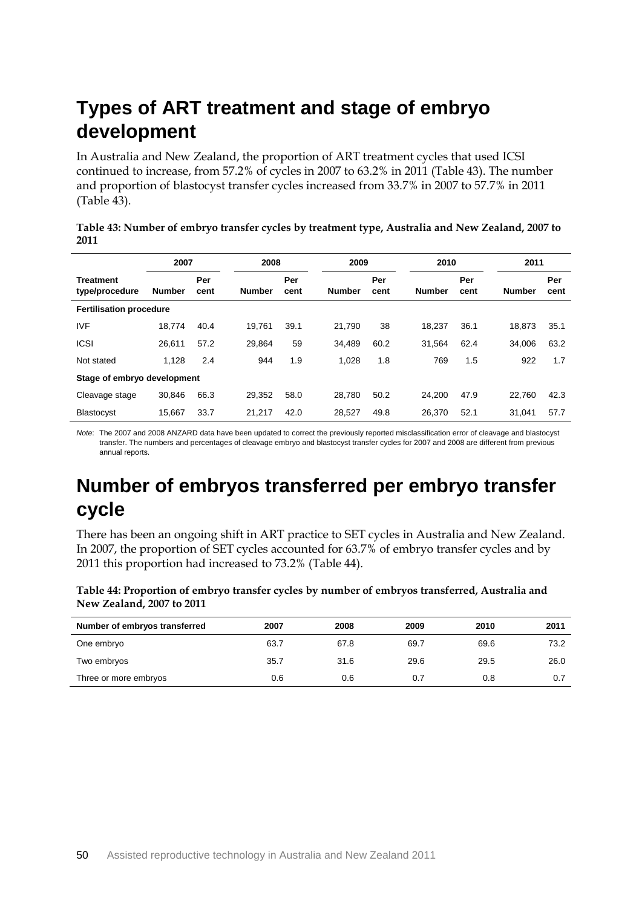## **Types of ART treatment and stage of embryo development**

In Australia and New Zealand, the proportion of ART treatment cycles that used ICSI continued to increase, from 57.2% of cycles in 2007 to 63.2% in 2011 (Table 43). The number and proportion of blastocyst transfer cycles increased from 33.7% in 2007 to 57.7% in 2011 (Table 43).

| Table 43: Number of embryo transfer cycles by treatment type, Australia and New Zealand, 2007 to |  |
|--------------------------------------------------------------------------------------------------|--|
| 2011                                                                                             |  |

|                                    | 2007          |             | 2008<br>2009  |             | 2010          |             | 2011          |             |               |             |
|------------------------------------|---------------|-------------|---------------|-------------|---------------|-------------|---------------|-------------|---------------|-------------|
| <b>Treatment</b><br>type/procedure | <b>Number</b> | Per<br>cent | <b>Number</b> | Per<br>cent | <b>Number</b> | Per<br>cent | <b>Number</b> | Per<br>cent | <b>Number</b> | Per<br>cent |
| <b>Fertilisation procedure</b>     |               |             |               |             |               |             |               |             |               |             |
| <b>IVF</b>                         | 18.774        | 40.4        | 19.761        | 39.1        | 21,790        | 38          | 18.237        | 36.1        | 18,873        | 35.1        |
| <b>ICSI</b>                        | 26.611        | 57.2        | 29.864        | 59          | 34.489        | 60.2        | 31.564        | 62.4        | 34.006        | 63.2        |
| Not stated                         | 1.128         | 2.4         | 944           | 1.9         | 1.028         | 1.8         | 769           | 1.5         | 922           | 1.7         |
| Stage of embryo development        |               |             |               |             |               |             |               |             |               |             |
| Cleavage stage                     | 30.846        | 66.3        | 29.352        | 58.0        | 28.780        | 50.2        | 24.200        | 47.9        | 22,760        | 42.3        |
| <b>Blastocyst</b>                  | 15,667        | 33.7        | 21.217        | 42.0        | 28,527        | 49.8        | 26.370        | 52.1        | 31,041        | 57.7        |

*Note*: The 2007 and 2008 ANZARD data have been updated to correct the previously reported misclassification error of cleavage and blastocyst transfer. The numbers and percentages of cleavage embryo and blastocyst transfer cycles for 2007 and 2008 are different from previous annual reports.

### **Number of embryos transferred per embryo transfer cycle**

There has been an ongoing shift in ART practice to SET cycles in Australia and New Zealand. In 2007, the proportion of SET cycles accounted for 63.7% of embryo transfer cycles and by 2011 this proportion had increased to 73.2% (Table 44).

**Table 44: Proportion of embryo transfer cycles by number of embryos transferred, Australia and New Zealand, 2007 to 2011**

| Number of embryos transferred | 2007 | 2008 | 2009 | 2010 | 2011 |
|-------------------------------|------|------|------|------|------|
| One embryo                    | 63.7 | 67.8 | 69.7 | 69.6 | 73.2 |
| Two embryos                   | 35.7 | 31.6 | 29.6 | 29.5 | 26.0 |
| Three or more embryos         | 0.6  | 0.6  | 0.7  | 0.8  | 0.7  |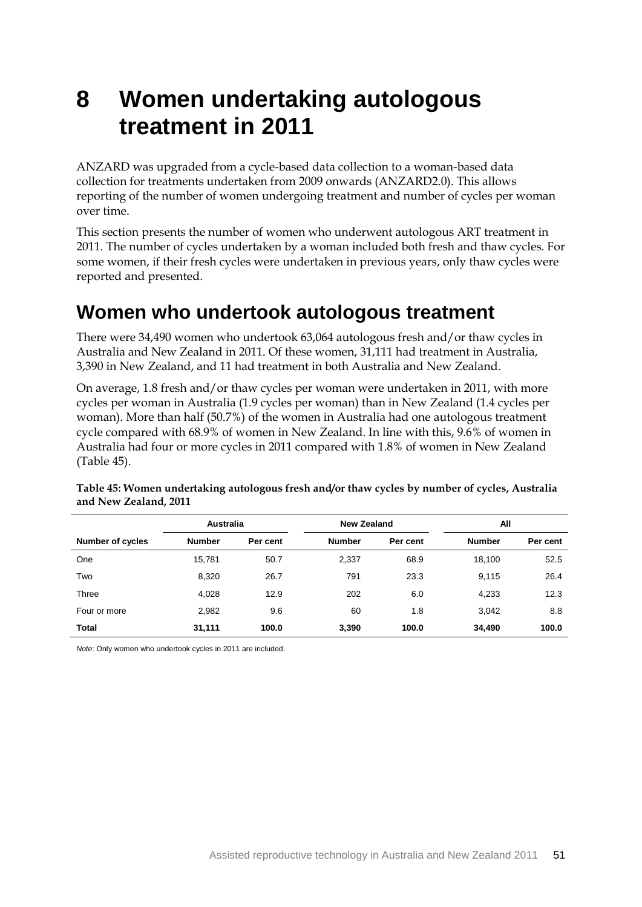# **8 Women undertaking autologous treatment in 2011**

ANZARD was upgraded from a cycle-based data collection to a woman-based data collection for treatments undertaken from 2009 onwards (ANZARD2.0). This allows reporting of the number of women undergoing treatment and number of cycles per woman over time.

This section presents the number of women who underwent autologous ART treatment in 2011. The number of cycles undertaken by a woman included both fresh and thaw cycles. For some women, if their fresh cycles were undertaken in previous years, only thaw cycles were reported and presented.

### **Women who undertook autologous treatment**

There were 34,490 women who undertook 63,064 autologous fresh and/or thaw cycles in Australia and New Zealand in 2011. Of these women, 31,111 had treatment in Australia, 3,390 in New Zealand, and 11 had treatment in both Australia and New Zealand.

On average, 1.8 fresh and/or thaw cycles per woman were undertaken in 2011, with more cycles per woman in Australia (1.9 cycles per woman) than in New Zealand (1.4 cycles per woman). More than half (50.7%) of the women in Australia had one autologous treatment cycle compared with 68.9% of women in New Zealand. In line with this, 9.6% of women in Australia had four or more cycles in 2011 compared with 1.8% of women in New Zealand (Table 45).

|                         | <b>Australia</b> |          | New Zealand   |          |               | All      |  |  |
|-------------------------|------------------|----------|---------------|----------|---------------|----------|--|--|
| <b>Number of cycles</b> | <b>Number</b>    | Per cent | <b>Number</b> | Per cent | <b>Number</b> | Per cent |  |  |
| One                     | 15.781           | 50.7     | 2,337         | 68.9     | 18.100        | 52.5     |  |  |
| Two                     | 8.320            | 26.7     | 791           | 23.3     | 9.115         | 26.4     |  |  |
| Three                   | 4,028            | 12.9     | 202           | 6.0      | 4,233         | 12.3     |  |  |
| Four or more            | 2,982            | 9.6      | 60            | 1.8      | 3,042         | 8.8      |  |  |
| Total                   | 31,111           | 100.0    | 3,390         | 100.0    | 34,490        | 100.0    |  |  |

**Table 45: Women undertaking autologous fresh and/or thaw cycles by number of cycles, Australia and New Zealand, 2011**

*Note*: Only women who undertook cycles in 2011 are included.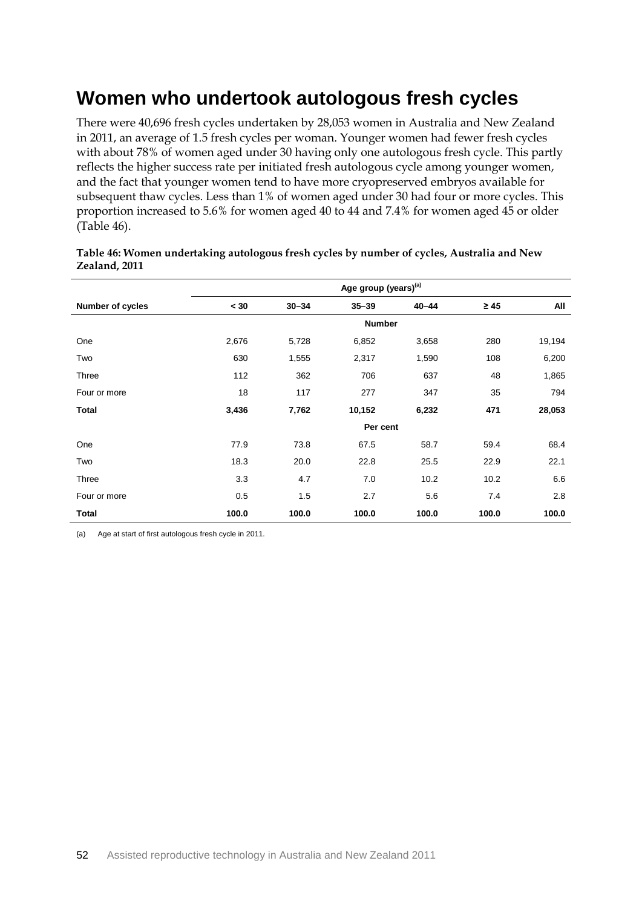### **Women who undertook autologous fresh cycles**

There were 40,696 fresh cycles undertaken by 28,053 women in Australia and New Zealand in 2011, an average of 1.5 fresh cycles per woman. Younger women had fewer fresh cycles with about 78% of women aged under 30 having only one autologous fresh cycle. This partly reflects the higher success rate per initiated fresh autologous cycle among younger women, and the fact that younger women tend to have more cryopreserved embryos available for subsequent thaw cycles. Less than 1% of women aged under 30 had four or more cycles. This proportion increased to 5.6% for women aged 40 to 44 and 7.4% for women aged 45 or older (Table 46).

|                  | Age group (years) <sup>(a)</sup> |           |               |           |           |        |  |
|------------------|----------------------------------|-----------|---------------|-----------|-----------|--------|--|
| Number of cycles | < 30                             | $30 - 34$ | $35 - 39$     | $40 - 44$ | $\geq 45$ | All    |  |
|                  |                                  |           | <b>Number</b> |           |           |        |  |
| One              | 2,676                            | 5,728     | 6,852         | 3,658     | 280       | 19,194 |  |
| Two              | 630                              | 1,555     | 2,317         | 1,590     | 108       | 6,200  |  |
| Three            | 112                              | 362       | 706           | 637       | 48        | 1,865  |  |
| Four or more     | 18                               | 117       | 277           | 347       | 35        | 794    |  |
| <b>Total</b>     | 3,436                            | 7,762     | 10,152        | 6,232     | 471       | 28,053 |  |
|                  |                                  |           | Per cent      |           |           |        |  |
| One              | 77.9                             | 73.8      | 67.5          | 58.7      | 59.4      | 68.4   |  |
| Two              | 18.3                             | 20.0      | 22.8          | 25.5      | 22.9      | 22.1   |  |
| Three            | 3.3                              | 4.7       | 7.0           | 10.2      | 10.2      | 6.6    |  |
| Four or more     | 0.5                              | 1.5       | 2.7           | 5.6       | 7.4       | 2.8    |  |
| Total            | 100.0                            | 100.0     | 100.0         | 100.0     | 100.0     | 100.0  |  |

#### **Table 46: Women undertaking autologous fresh cycles by number of cycles, Australia and New Zealand, 2011**

(a) Age at start of first autologous fresh cycle in 2011.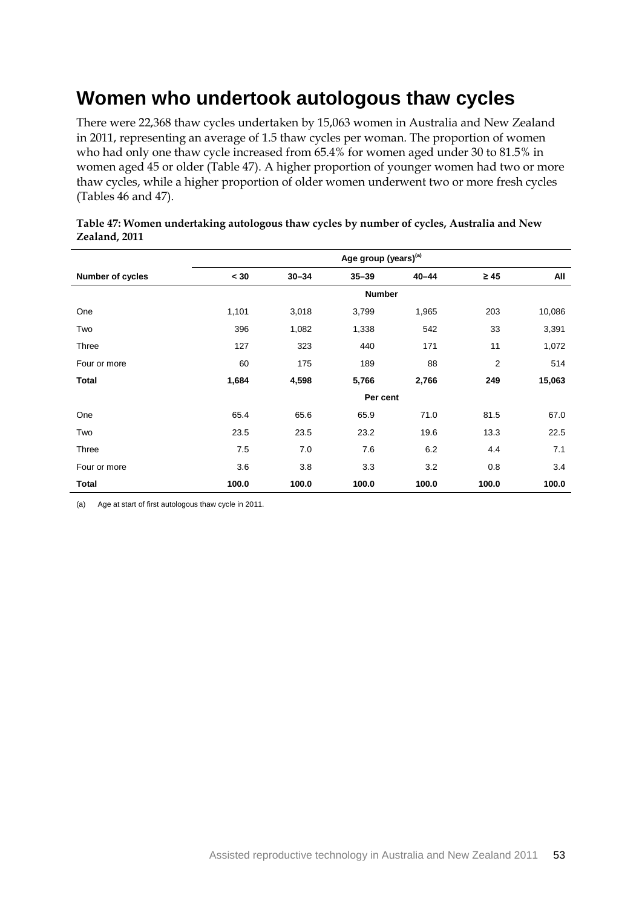### **Women who undertook autologous thaw cycles**

There were 22,368 thaw cycles undertaken by 15,063 women in Australia and New Zealand in 2011, representing an average of 1.5 thaw cycles per woman. The proportion of women who had only one thaw cycle increased from 65.4% for women aged under 30 to 81.5% in women aged 45 or older (Table 47). A higher proportion of younger women had two or more thaw cycles, while a higher proportion of older women underwent two or more fresh cycles (Tables 46 and 47).

|                  | Age group (years) <sup>(a)</sup> |           |               |           |                |        |  |
|------------------|----------------------------------|-----------|---------------|-----------|----------------|--------|--|
| Number of cycles | < 30                             | $30 - 34$ | $35 - 39$     | $40 - 44$ | $\geq 45$      | All    |  |
|                  |                                  |           | <b>Number</b> |           |                |        |  |
| One              | 1,101                            | 3,018     | 3,799         | 1,965     | 203            | 10,086 |  |
| Two              | 396                              | 1,082     | 1,338         | 542       | 33             | 3,391  |  |
| Three            | 127                              | 323       | 440           | 171       | 11             | 1,072  |  |
| Four or more     | 60                               | 175       | 189           | 88        | $\overline{2}$ | 514    |  |
| <b>Total</b>     | 1,684                            | 4,598     | 5,766         | 2,766     | 249            | 15,063 |  |
|                  |                                  |           | Per cent      |           |                |        |  |
| One              | 65.4                             | 65.6      | 65.9          | 71.0      | 81.5           | 67.0   |  |
| Two              | 23.5                             | 23.5      | 23.2          | 19.6      | 13.3           | 22.5   |  |
| <b>Three</b>     | 7.5                              | 7.0       | 7.6           | 6.2       | 4.4            | 7.1    |  |
| Four or more     | 3.6                              | 3.8       | 3.3           | 3.2       | 0.8            | 3.4    |  |
| Total            | 100.0                            | 100.0     | 100.0         | 100.0     | 100.0          | 100.0  |  |

#### **Table 47: Women undertaking autologous thaw cycles by number of cycles, Australia and New Zealand, 2011**

(a) Age at start of first autologous thaw cycle in 2011.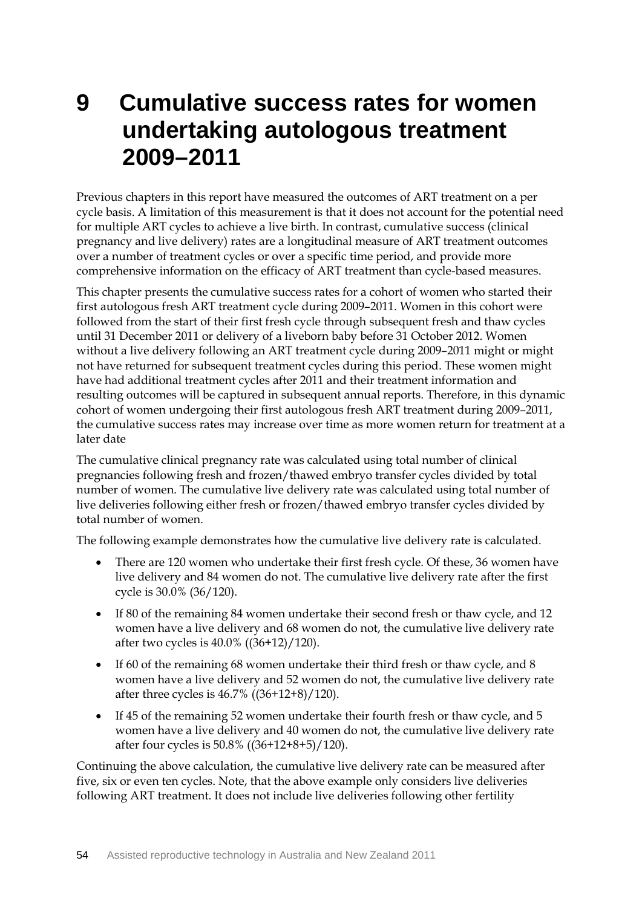# **9 Cumulative success rates for women undertaking autologous treatment 2009–2011**

Previous chapters in this report have measured the outcomes of ART treatment on a per cycle basis. A limitation of this measurement is that it does not account for the potential need for multiple ART cycles to achieve a live birth. In contrast, cumulative success (clinical pregnancy and live delivery) rates are a longitudinal measure of ART treatment outcomes over a number of treatment cycles or over a specific time period, and provide more comprehensive information on the efficacy of ART treatment than cycle-based measures.

This chapter presents the cumulative success rates for a cohort of women who started their first autologous fresh ART treatment cycle during 2009–2011. Women in this cohort were followed from the start of their first fresh cycle through subsequent fresh and thaw cycles until 31 December 2011 or delivery of a liveborn baby before 31 October 2012. Women without a live delivery following an ART treatment cycle during 2009–2011 might or might not have returned for subsequent treatment cycles during this period. These women might have had additional treatment cycles after 2011 and their treatment information and resulting outcomes will be captured in subsequent annual reports. Therefore, in this dynamic cohort of women undergoing their first autologous fresh ART treatment during 2009–2011, the cumulative success rates may increase over time as more women return for treatment at a later date

The cumulative clinical pregnancy rate was calculated using total number of clinical pregnancies following fresh and frozen/thawed embryo transfer cycles divided by total number of women. The cumulative live delivery rate was calculated using total number of live deliveries following either fresh or frozen/thawed embryo transfer cycles divided by total number of women.

The following example demonstrates how the cumulative live delivery rate is calculated.

- There are 120 women who undertake their first fresh cycle. Of these, 36 women have live delivery and 84 women do not. The cumulative live delivery rate after the first cycle is 30.0% (36/120).
- If 80 of the remaining 84 women undertake their second fresh or thaw cycle, and 12 women have a live delivery and 68 women do not, the cumulative live delivery rate after two cycles is 40.0% ((36+12)/120).
- If 60 of the remaining 68 women undertake their third fresh or thaw cycle, and 8 women have a live delivery and 52 women do not, the cumulative live delivery rate after three cycles is 46.7% ((36+12+8)/120).
- If 45 of the remaining 52 women undertake their fourth fresh or thaw cycle, and 5 women have a live delivery and 40 women do not, the cumulative live delivery rate after four cycles is 50.8% ((36+12+8+5)/120).

Continuing the above calculation, the cumulative live delivery rate can be measured after five, six or even ten cycles. Note, that the above example only considers live deliveries following ART treatment. It does not include live deliveries following other fertility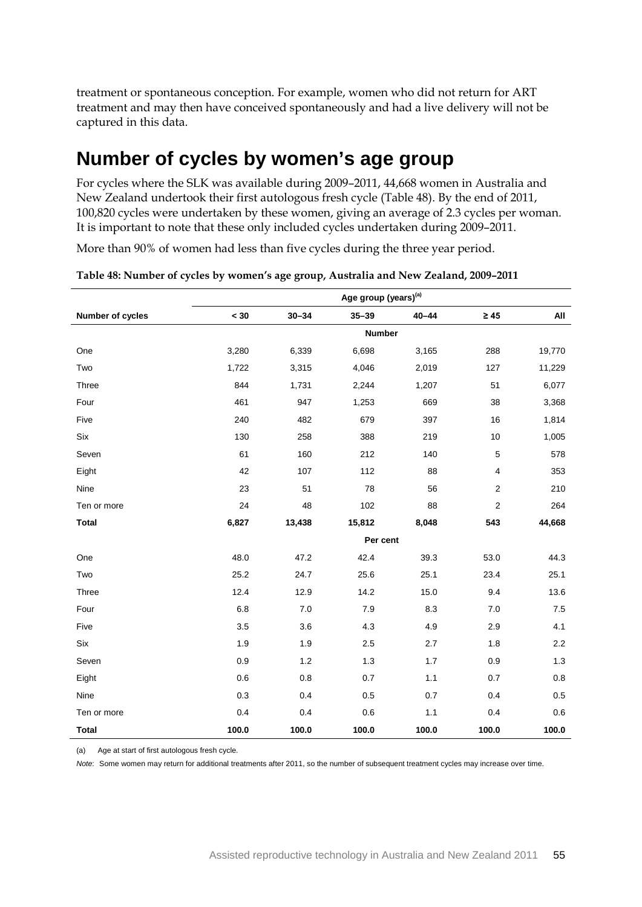treatment or spontaneous conception. For example, women who did not return for ART treatment and may then have conceived spontaneously and had a live delivery will not be captured in this data.

### **Number of cycles by women's age group**

For cycles where the SLK was available during 2009–2011, 44,668 women in Australia and New Zealand undertook their first autologous fresh cycle (Table 48). By the end of 2011, 100,820 cycles were undertaken by these women, giving an average of 2.3 cycles per woman. It is important to note that these only included cycles undertaken during 2009–2011.

More than 90% of women had less than five cycles during the three year period.

|                  |       |           | Age group (years) <sup>(a)</sup> |           |                  |        |
|------------------|-------|-----------|----------------------------------|-----------|------------------|--------|
| Number of cycles | < 30  | $30 - 34$ | $35 - 39$                        | $40 - 44$ | $\geq 45$        | All    |
|                  |       |           | <b>Number</b>                    |           |                  |        |
| One              | 3,280 | 6,339     | 6,698                            | 3,165     | 288              | 19,770 |
| Two              | 1,722 | 3,315     | 4,046                            | 2,019     | 127              | 11,229 |
| Three            | 844   | 1,731     | 2,244                            | 1,207     | 51               | 6,077  |
| Four             | 461   | 947       | 1,253                            | 669       | 38               | 3,368  |
| Five             | 240   | 482       | 679                              | 397       | 16               | 1,814  |
| Six              | 130   | 258       | 388                              | 219       | 10               | 1,005  |
| Seven            | 61    | 160       | 212                              | 140       | $\mathbf 5$      | 578    |
| Eight            | 42    | 107       | 112                              | 88        | 4                | 353    |
| Nine             | 23    | 51        | 78                               | 56        | $\overline{c}$   | 210    |
| Ten or more      | 24    | 48        | 102                              | 88        | $\boldsymbol{2}$ | 264    |
| <b>Total</b>     | 6,827 | 13,438    | 15,812                           | 8,048     | 543              | 44,668 |
|                  |       |           | Per cent                         |           |                  |        |
| One              | 48.0  | 47.2      | 42.4                             | 39.3      | 53.0             | 44.3   |
| Two              | 25.2  | 24.7      | 25.6                             | 25.1      | 23.4             | 25.1   |
| Three            | 12.4  | 12.9      | 14.2                             | 15.0      | 9.4              | 13.6   |
| Four             | 6.8   | $7.0\,$   | 7.9                              | 8.3       | 7.0              | 7.5    |
| Five             | 3.5   | 3.6       | 4.3                              | 4.9       | 2.9              | 4.1    |
| Six              | 1.9   | 1.9       | 2.5                              | 2.7       | 1.8              | 2.2    |
| Seven            | 0.9   | 1.2       | 1.3                              | 1.7       | 0.9              | $1.3$  |
| Eight            | 0.6   | 0.8       | 0.7                              | 1.1       | 0.7              | 0.8    |
| Nine             | 0.3   | 0.4       | 0.5                              | 0.7       | 0.4              | 0.5    |
| Ten or more      | 0.4   | 0.4       | 0.6                              | 1.1       | 0.4              | 0.6    |
| <b>Total</b>     | 100.0 | 100.0     | 100.0                            | 100.0     | 100.0            | 100.0  |

(a) Age at start of first autologous fresh cycle.

*Note*: Some women may return for additional treatments after 2011, so the number of subsequent treatment cycles may increase over time.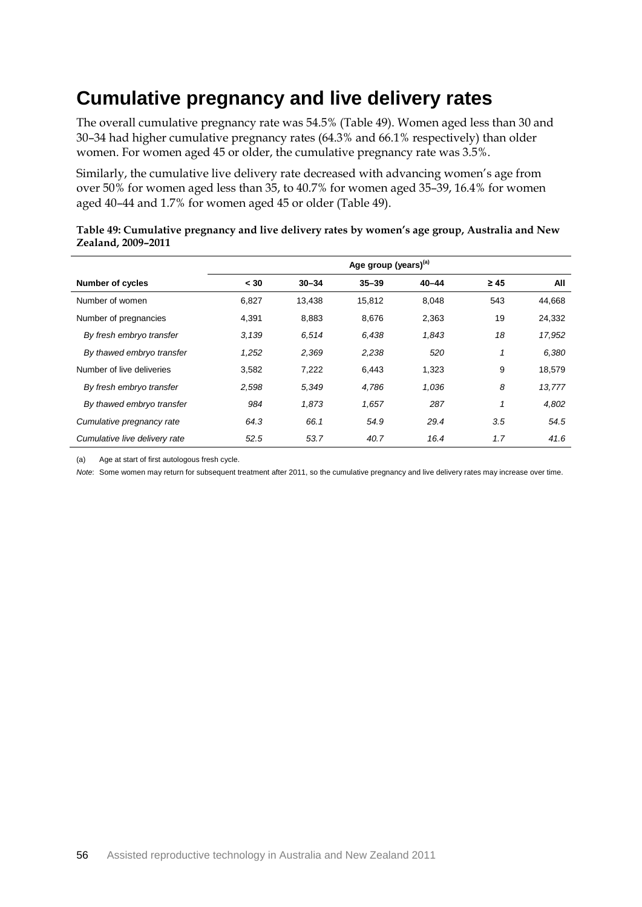### **Cumulative pregnancy and live delivery rates**

The overall cumulative pregnancy rate was 54.5% (Table 49). Women aged less than 30 and 30–34 had higher cumulative pregnancy rates (64.3% and 66.1% respectively) than older women. For women aged 45 or older, the cumulative pregnancy rate was 3.5%.

Similarly, the cumulative live delivery rate decreased with advancing women's age from over 50% for women aged less than 35, to 40.7% for women aged 35–39, 16.4% for women aged 40–44 and 1.7% for women aged 45 or older (Table 49).

|                               | Age group (years) <sup>(a)</sup> |           |           |           |           |        |
|-------------------------------|----------------------------------|-----------|-----------|-----------|-----------|--------|
| <b>Number of cycles</b>       | < 30                             | $30 - 34$ | $35 - 39$ | $40 - 44$ | $\geq 45$ | All    |
| Number of women               | 6,827                            | 13,438    | 15,812    | 8,048     | 543       | 44,668 |
| Number of pregnancies         | 4,391                            | 8,883     | 8,676     | 2,363     | 19        | 24,332 |
| By fresh embryo transfer      | 3,139                            | 6.514     | 6,438     | 1,843     | 18        | 17,952 |
| By thawed embryo transfer     | 1,252                            | 2,369     | 2,238     | 520       | 1         | 6,380  |
| Number of live deliveries     | 3,582                            | 7,222     | 6,443     | 1,323     | 9         | 18,579 |
| By fresh embryo transfer      | 2,598                            | 5,349     | 4,786     | 1,036     | 8         | 13,777 |
| By thawed embryo transfer     | 984                              | 1,873     | 1,657     | 287       | 1         | 4,802  |
| Cumulative pregnancy rate     | 64.3                             | 66.1      | 54.9      | 29.4      | 3.5       | 54.5   |
| Cumulative live delivery rate | 52.5                             | 53.7      | 40.7      | 16.4      | 1.7       | 41.6   |

#### **Table 49: Cumulative pregnancy and live delivery rates by women's age group, Australia and New Zealand, 2009–2011**

(a) Age at start of first autologous fresh cycle.

*Note*: Some women may return for subsequent treatment after 2011, so the cumulative pregnancy and live delivery rates may increase over time.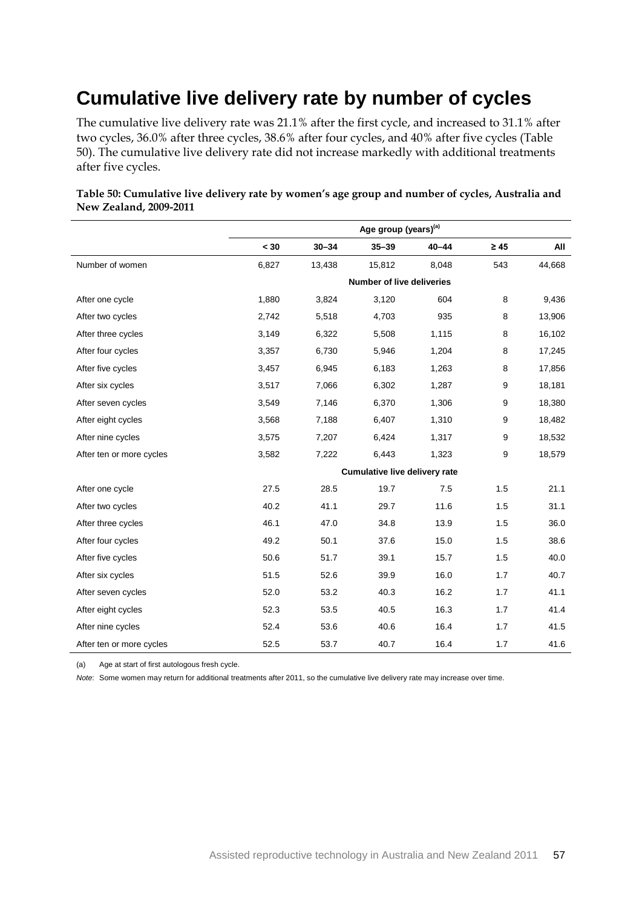## **Cumulative live delivery rate by number of cycles**

The cumulative live delivery rate was 21.1% after the first cycle, and increased to 31.1% after two cycles, 36.0% after three cycles, 38.6% after four cycles, and 40% after five cycles (Table 50). The cumulative live delivery rate did not increase markedly with additional treatments after five cycles.

|                          | Age group (years) <sup>(a)</sup> |           |                               |           |           |        |
|--------------------------|----------------------------------|-----------|-------------------------------|-----------|-----------|--------|
|                          | $<$ 30                           | $30 - 34$ | $35 - 39$                     | $40 - 44$ | $\geq 45$ | All    |
| Number of women          | 6,827                            | 13,438    | 15,812                        | 8,048     | 543       | 44,668 |
|                          |                                  |           | Number of live deliveries     |           |           |        |
| After one cycle          | 1,880                            | 3,824     | 3,120                         | 604       | 8         | 9,436  |
| After two cycles         | 2,742                            | 5,518     | 4,703                         | 935       | 8         | 13,906 |
| After three cycles       | 3,149                            | 6,322     | 5,508                         | 1,115     | 8         | 16,102 |
| After four cycles        | 3,357                            | 6,730     | 5,946                         | 1,204     | 8         | 17,245 |
| After five cycles        | 3,457                            | 6,945     | 6,183                         | 1,263     | 8         | 17,856 |
| After six cycles         | 3,517                            | 7,066     | 6,302                         | 1,287     | 9         | 18,181 |
| After seven cycles       | 3,549                            | 7,146     | 6,370                         | 1,306     | 9         | 18,380 |
| After eight cycles       | 3,568                            | 7,188     | 6,407                         | 1,310     | 9         | 18,482 |
| After nine cycles        | 3,575                            | 7,207     | 6,424                         | 1,317     | 9         | 18,532 |
| After ten or more cycles | 3,582                            | 7,222     | 6,443                         | 1,323     | 9         | 18,579 |
|                          |                                  |           | Cumulative live delivery rate |           |           |        |
| After one cycle          | 27.5                             | 28.5      | 19.7                          | 7.5       | 1.5       | 21.1   |
| After two cycles         | 40.2                             | 41.1      | 29.7                          | 11.6      | 1.5       | 31.1   |
| After three cycles       | 46.1                             | 47.0      | 34.8                          | 13.9      | 1.5       | 36.0   |
| After four cycles        | 49.2                             | 50.1      | 37.6                          | 15.0      | 1.5       | 38.6   |
| After five cycles        | 50.6                             | 51.7      | 39.1                          | 15.7      | 1.5       | 40.0   |
| After six cycles         | 51.5                             | 52.6      | 39.9                          | 16.0      | 1.7       | 40.7   |
| After seven cycles       | 52.0                             | 53.2      | 40.3                          | 16.2      | 1.7       | 41.1   |
| After eight cycles       | 52.3                             | 53.5      | 40.5                          | 16.3      | 1.7       | 41.4   |
| After nine cycles        | 52.4                             | 53.6      | 40.6                          | 16.4      | 1.7       | 41.5   |
| After ten or more cycles | 52.5                             | 53.7      | 40.7                          | 16.4      | 1.7       | 41.6   |

**Table 50: Cumulative live delivery rate by women's age group and number of cycles, Australia and New Zealand, 2009-2011**

(a) Age at start of first autologous fresh cycle.

*Note*: Some women may return for additional treatments after 2011, so the cumulative live delivery rate may increase over time.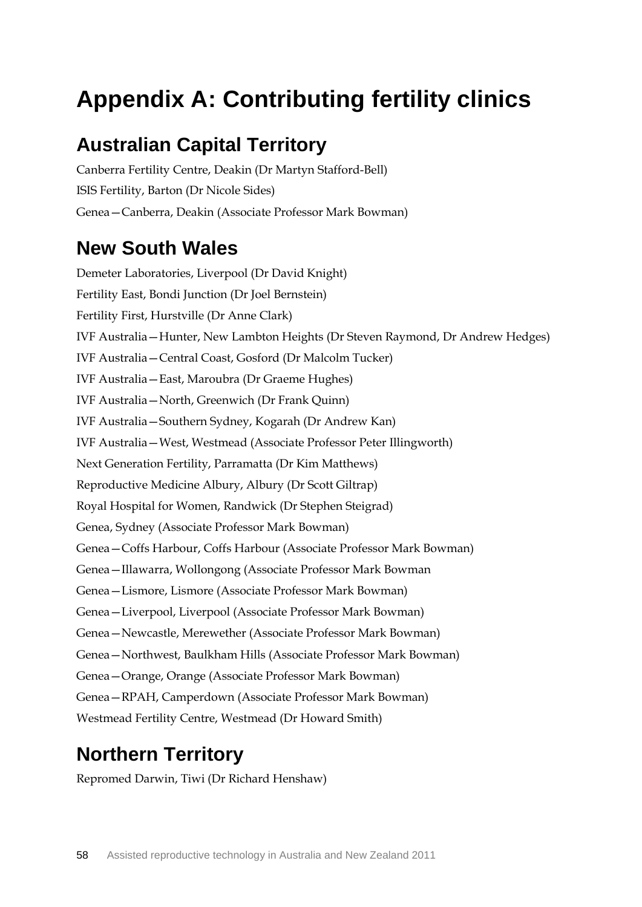# **Appendix A: Contributing fertility clinics**

### **Australian Capital Territory**

Canberra Fertility Centre, Deakin (Dr Martyn Stafford-Bell) ISIS Fertility, Barton (Dr Nicole Sides) Genea—Canberra, Deakin (Associate Professor Mark Bowman)

### **New South Wales**

Demeter Laboratories, Liverpool (Dr David Knight) Fertility East, Bondi Junction (Dr Joel Bernstein) Fertility First, Hurstville (Dr Anne Clark) IVF Australia—Hunter, New Lambton Heights (Dr Steven Raymond, Dr Andrew Hedges) IVF Australia—Central Coast, Gosford (Dr Malcolm Tucker) IVF Australia—East, Maroubra (Dr Graeme Hughes) IVF Australia—North, Greenwich (Dr Frank Quinn) IVF Australia—Southern Sydney, Kogarah (Dr Andrew Kan) IVF Australia—West, Westmead (Associate Professor Peter Illingworth) Next Generation Fertility, Parramatta (Dr Kim Matthews) Reproductive Medicine Albury, Albury (Dr Scott Giltrap) Royal Hospital for Women, Randwick (Dr Stephen Steigrad) Genea, Sydney (Associate Professor Mark Bowman) Genea—Coffs Harbour, Coffs Harbour (Associate Professor Mark Bowman) Genea—Illawarra, Wollongong (Associate Professor Mark Bowman Genea—Lismore, Lismore (Associate Professor Mark Bowman) Genea—Liverpool, Liverpool (Associate Professor Mark Bowman) Genea—Newcastle, Merewether (Associate Professor Mark Bowman) Genea—Northwest, Baulkham Hills (Associate Professor Mark Bowman) Genea—Orange, Orange (Associate Professor Mark Bowman) Genea—RPAH, Camperdown (Associate Professor Mark Bowman) Westmead Fertility Centre, Westmead (Dr Howard Smith)

## **Northern Territory**

Repromed Darwin, Tiwi (Dr Richard Henshaw)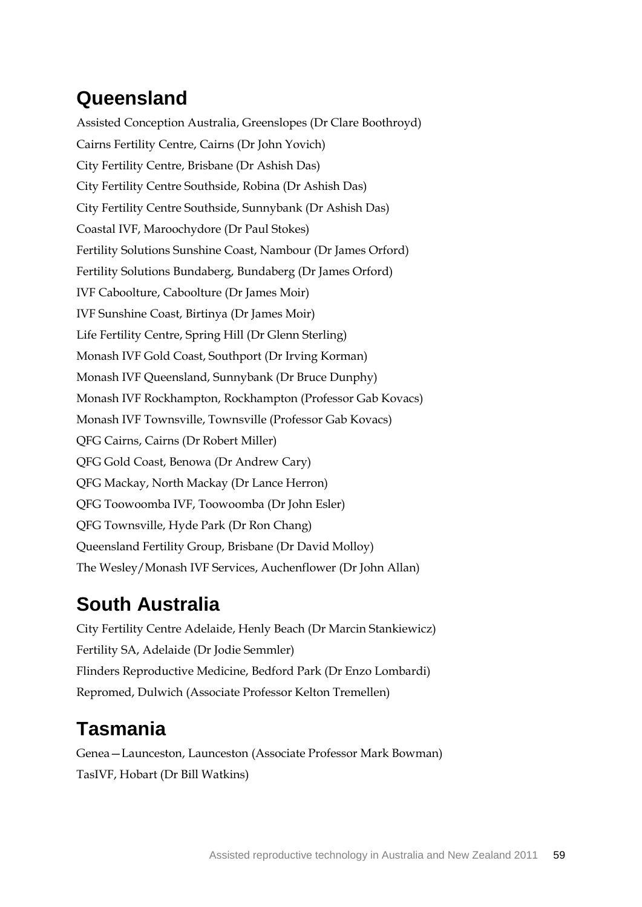# **Queensland**

Assisted Conception Australia, Greenslopes (Dr Clare Boothroyd) Cairns Fertility Centre, Cairns (Dr John Yovich) City Fertility Centre, Brisbane (Dr Ashish Das) City Fertility Centre Southside, Robina (Dr Ashish Das) City Fertility Centre Southside, Sunnybank (Dr Ashish Das) Coastal IVF, Maroochydore (Dr Paul Stokes) Fertility Solutions Sunshine Coast, Nambour (Dr James Orford) Fertility Solutions Bundaberg, Bundaberg (Dr James Orford) IVF Caboolture, Caboolture (Dr James Moir) IVF Sunshine Coast, Birtinya (Dr James Moir) Life Fertility Centre, Spring Hill (Dr Glenn Sterling) Monash IVF Gold Coast, Southport (Dr Irving Korman) Monash IVF Queensland, Sunnybank (Dr Bruce Dunphy) Monash IVF Rockhampton, Rockhampton (Professor Gab Kovacs) Monash IVF Townsville, Townsville (Professor Gab Kovacs) QFG Cairns, Cairns (Dr Robert Miller) QFG Gold Coast, Benowa (Dr Andrew Cary) QFG Mackay, North Mackay (Dr Lance Herron) QFG Toowoomba IVF, Toowoomba (Dr John Esler) QFG Townsville, Hyde Park (Dr Ron Chang) Queensland Fertility Group, Brisbane (Dr David Molloy) The Wesley/Monash IVF Services, Auchenflower (Dr John Allan)

## **South Australia**

City Fertility Centre Adelaide, Henly Beach (Dr Marcin Stankiewicz) Fertility SA, Adelaide (Dr Jodie Semmler) Flinders Reproductive Medicine, Bedford Park (Dr Enzo Lombardi) Repromed, Dulwich (Associate Professor Kelton Tremellen)

## **Tasmania**

Genea—Launceston, Launceston (Associate Professor Mark Bowman) TasIVF, Hobart (Dr Bill Watkins)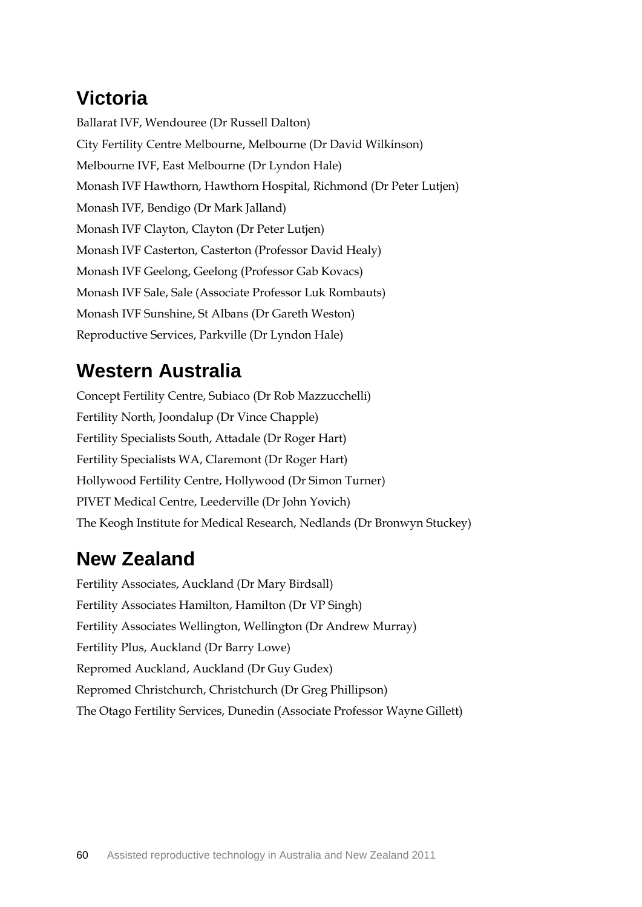# **Victoria**

Ballarat IVF, Wendouree (Dr Russell Dalton) City Fertility Centre Melbourne, Melbourne (Dr David Wilkinson) Melbourne IVF, East Melbourne (Dr Lyndon Hale) Monash IVF Hawthorn, Hawthorn Hospital, Richmond (Dr Peter Lutjen) Monash IVF, Bendigo (Dr Mark Jalland) Monash IVF Clayton, Clayton (Dr Peter Lutjen) Monash IVF Casterton, Casterton (Professor David Healy) Monash IVF Geelong, Geelong (Professor Gab Kovacs) Monash IVF Sale, Sale (Associate Professor Luk Rombauts) Monash IVF Sunshine, St Albans (Dr Gareth Weston) Reproductive Services, Parkville (Dr Lyndon Hale)

### **Western Australia**

Concept Fertility Centre, Subiaco (Dr Rob Mazzucchelli) Fertility North, Joondalup (Dr Vince Chapple) Fertility Specialists South, Attadale (Dr Roger Hart) Fertility Specialists WA, Claremont (Dr Roger Hart) Hollywood Fertility Centre, Hollywood (Dr Simon Turner) PIVET Medical Centre, Leederville (Dr John Yovich) The Keogh Institute for Medical Research, Nedlands (Dr Bronwyn Stuckey)

## **New Zealand**

Fertility Associates, Auckland (Dr Mary Birdsall) Fertility Associates Hamilton, Hamilton (Dr VP Singh) Fertility Associates Wellington, Wellington (Dr Andrew Murray) Fertility Plus, Auckland (Dr Barry Lowe) Repromed Auckland, Auckland (Dr Guy Gudex) Repromed Christchurch, Christchurch (Dr Greg Phillipson) The Otago Fertility Services, Dunedin (Associate Professor Wayne Gillett)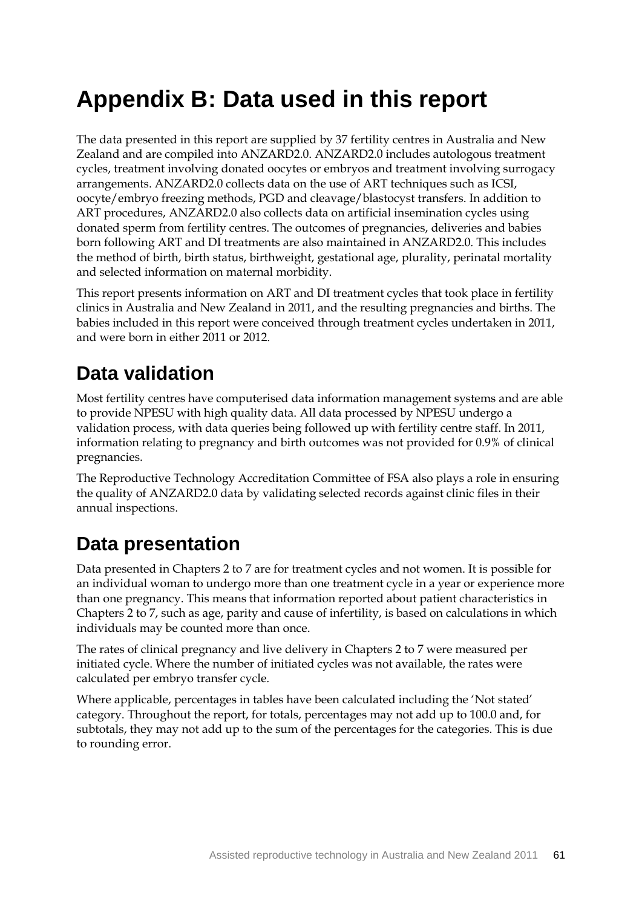# **Appendix B: Data used in this report**

The data presented in this report are supplied by 37 fertility centres in Australia and New Zealand and are compiled into ANZARD2.0. ANZARD2.0 includes autologous treatment cycles, treatment involving donated oocytes or embryos and treatment involving surrogacy arrangements. ANZARD2.0 collects data on the use of ART techniques such as ICSI, oocyte/embryo freezing methods, PGD and cleavage/blastocyst transfers. In addition to ART procedures, ANZARD2.0 also collects data on artificial insemination cycles using donated sperm from fertility centres. The outcomes of pregnancies, deliveries and babies born following ART and DI treatments are also maintained in ANZARD2.0. This includes the method of birth, birth status, birthweight, gestational age, plurality, perinatal mortality and selected information on maternal morbidity.

This report presents information on ART and DI treatment cycles that took place in fertility clinics in Australia and New Zealand in 2011, and the resulting pregnancies and births. The babies included in this report were conceived through treatment cycles undertaken in 2011, and were born in either 2011 or 2012.

### **Data validation**

Most fertility centres have computerised data information management systems and are able to provide NPESU with high quality data. All data processed by NPESU undergo a validation process, with data queries being followed up with fertility centre staff. In 2011, information relating to pregnancy and birth outcomes was not provided for 0.9% of clinical pregnancies.

The Reproductive Technology Accreditation Committee of FSA also plays a role in ensuring the quality of ANZARD2.0 data by validating selected records against clinic files in their annual inspections.

### **Data presentation**

Data presented in Chapters 2 to 7 are for treatment cycles and not women. It is possible for an individual woman to undergo more than one treatment cycle in a year or experience more than one pregnancy. This means that information reported about patient characteristics in Chapters 2 to 7, such as age, parity and cause of infertility, is based on calculations in which individuals may be counted more than once.

The rates of clinical pregnancy and live delivery in Chapters 2 to 7 were measured per initiated cycle. Where the number of initiated cycles was not available, the rates were calculated per embryo transfer cycle.

Where applicable, percentages in tables have been calculated including the 'Not stated' category. Throughout the report, for totals, percentages may not add up to 100.0 and, for subtotals, they may not add up to the sum of the percentages for the categories. This is due to rounding error.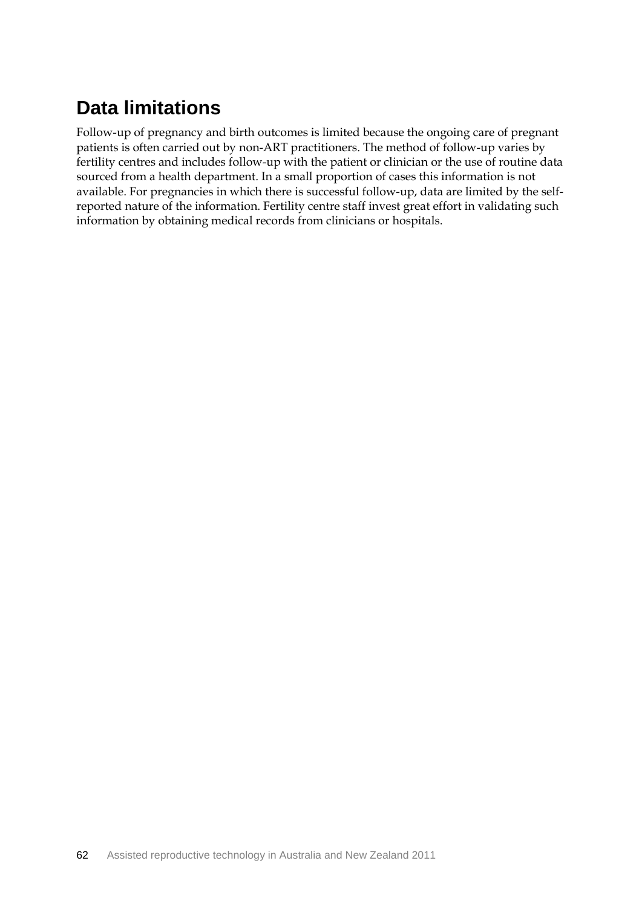# **Data limitations**

Follow-up of pregnancy and birth outcomes is limited because the ongoing care of pregnant patients is often carried out by non-ART practitioners. The method of follow-up varies by fertility centres and includes follow-up with the patient or clinician or the use of routine data sourced from a health department. In a small proportion of cases this information is not available. For pregnancies in which there is successful follow-up, data are limited by the selfreported nature of the information. Fertility centre staff invest great effort in validating such information by obtaining medical records from clinicians or hospitals.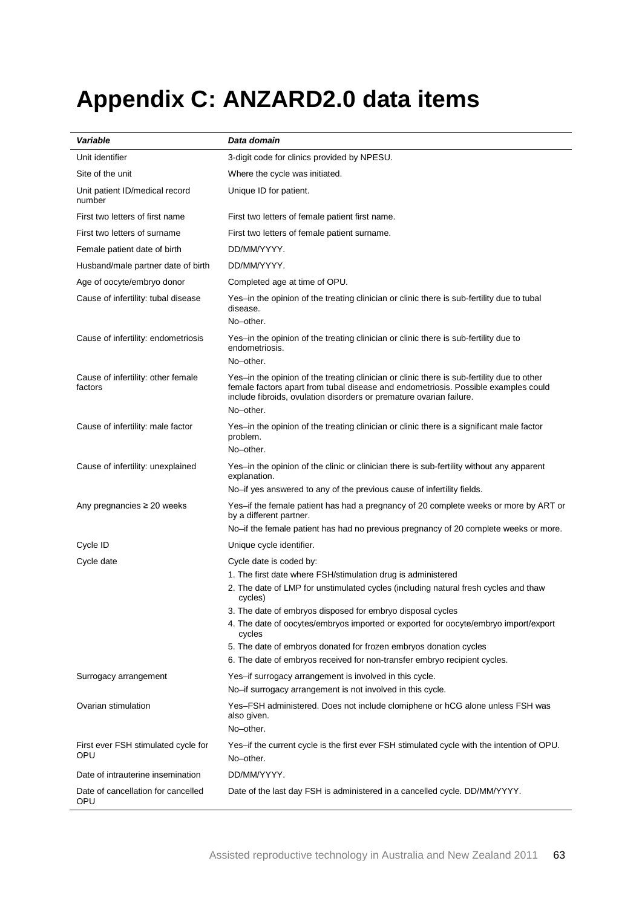# **Appendix C: ANZARD2.0 data items**

| Variable                                      | Data domain                                                                                                                                                                                                                                                          |  |
|-----------------------------------------------|----------------------------------------------------------------------------------------------------------------------------------------------------------------------------------------------------------------------------------------------------------------------|--|
| Unit identifier                               | 3-digit code for clinics provided by NPESU.                                                                                                                                                                                                                          |  |
| Site of the unit                              | Where the cycle was initiated.                                                                                                                                                                                                                                       |  |
| Unit patient ID/medical record<br>number      | Unique ID for patient.                                                                                                                                                                                                                                               |  |
| First two letters of first name               | First two letters of female patient first name.                                                                                                                                                                                                                      |  |
| First two letters of surname                  | First two letters of female patient surname.                                                                                                                                                                                                                         |  |
| Female patient date of birth                  | DD/MM/YYYY.                                                                                                                                                                                                                                                          |  |
| Husband/male partner date of birth            | DD/MM/YYYY.                                                                                                                                                                                                                                                          |  |
| Age of oocyte/embryo donor                    | Completed age at time of OPU.                                                                                                                                                                                                                                        |  |
| Cause of infertility: tubal disease           | Yes–in the opinion of the treating clinician or clinic there is sub-fertility due to tubal<br>disease.<br>No-other.                                                                                                                                                  |  |
| Cause of infertility: endometriosis           | Yes-in the opinion of the treating clinician or clinic there is sub-fertility due to<br>endometriosis.<br>No-other.                                                                                                                                                  |  |
| Cause of infertility: other female<br>factors | Yes-in the opinion of the treating clinician or clinic there is sub-fertility due to other<br>female factors apart from tubal disease and endometriosis. Possible examples could<br>include fibroids, ovulation disorders or premature ovarian failure.<br>No-other. |  |
| Cause of infertility: male factor             | Yes-in the opinion of the treating clinician or clinic there is a significant male factor<br>problem.<br>No-other.                                                                                                                                                   |  |
| Cause of infertility: unexplained             | Yes-in the opinion of the clinic or clinician there is sub-fertility without any apparent<br>explanation.                                                                                                                                                            |  |
|                                               | No-if yes answered to any of the previous cause of infertility fields.                                                                                                                                                                                               |  |
| Any pregnancies $\geq 20$ weeks               | Yes-if the female patient has had a pregnancy of 20 complete weeks or more by ART or<br>by a different partner.                                                                                                                                                      |  |
|                                               | No-if the female patient has had no previous pregnancy of 20 complete weeks or more.                                                                                                                                                                                 |  |
| Cycle ID                                      | Unique cycle identifier.                                                                                                                                                                                                                                             |  |
| Cycle date                                    | Cycle date is coded by:<br>1. The first date where FSH/stimulation drug is administered                                                                                                                                                                              |  |
|                                               | 2. The date of LMP for unstimulated cycles (including natural fresh cycles and thaw<br>cycles)                                                                                                                                                                       |  |
|                                               | 3. The date of embryos disposed for embryo disposal cycles                                                                                                                                                                                                           |  |
|                                               | 4. The date of oocytes/embryos imported or exported for oocyte/embryo import/export<br>cycles                                                                                                                                                                        |  |
|                                               | 5. The date of embryos donated for frozen embryos donation cycles<br>6. The date of embryos received for non-transfer embryo recipient cycles.                                                                                                                       |  |
| Surrogacy arrangement                         | Yes-if surrogacy arrangement is involved in this cycle.<br>No-if surrogacy arrangement is not involved in this cycle.                                                                                                                                                |  |
| Ovarian stimulation                           | Yes-FSH administered. Does not include clomiphene or hCG alone unless FSH was<br>also given.<br>No-other.                                                                                                                                                            |  |
| First ever FSH stimulated cycle for<br>OPU    | Yes-if the current cycle is the first ever FSH stimulated cycle with the intention of OPU.<br>No-other.                                                                                                                                                              |  |
| Date of intrauterine insemination             | DD/MM/YYYY.                                                                                                                                                                                                                                                          |  |
| Date of cancellation for cancelled<br>OPU     | Date of the last day FSH is administered in a cancelled cycle. DD/MM/YYYY.                                                                                                                                                                                           |  |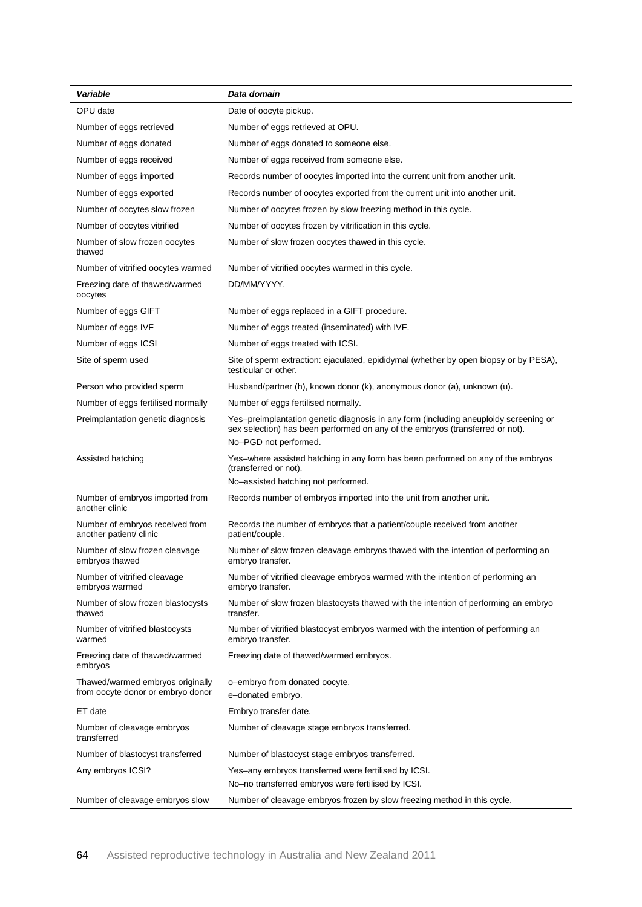| OPU date<br>Date of oocyte pickup.<br>Number of eggs retrieved<br>Number of eggs retrieved at OPU.<br>Number of eggs donated<br>Number of eggs donated to someone else.<br>Number of eggs received<br>Number of eggs received from someone else.<br>Number of eggs imported<br>Records number of oocytes imported into the current unit from another unit.<br>Number of eggs exported<br>Records number of oocytes exported from the current unit into another unit.<br>Number of oocytes slow frozen<br>Number of oocytes frozen by slow freezing method in this cycle.<br>Number of oocytes vitrified<br>Number of oocytes frozen by vitrification in this cycle.<br>Number of slow frozen oocytes<br>Number of slow frozen oocytes thawed in this cycle.<br>thawed<br>Number of vitrified oocytes warmed<br>Number of vitrified oocytes warmed in this cycle.<br>Freezing date of thawed/warmed<br>DD/MM/YYYY.<br>oocytes<br>Number of eggs GIFT<br>Number of eggs replaced in a GIFT procedure.<br>Number of eggs IVF<br>Number of eggs treated (inseminated) with IVF.<br>Number of eggs treated with ICSI.<br>Number of eggs ICSI<br>Site of sperm extraction: ejaculated, epididymal (whether by open biopsy or by PESA),<br>Site of sperm used<br>testicular or other.<br>Person who provided sperm<br>Husband/partner (h), known donor (k), anonymous donor (a), unknown (u).<br>Number of eggs fertilised normally.<br>Number of eggs fertilised normally<br>Yes-preimplantation genetic diagnosis in any form (including aneuploidy screening or<br>Preimplantation genetic diagnosis<br>sex selection) has been performed on any of the embryos (transferred or not).<br>No-PGD not performed.<br>Assisted hatching<br>Yes-where assisted hatching in any form has been performed on any of the embryos<br>(transferred or not).<br>No-assisted hatching not performed.<br>Records number of embryos imported into the unit from another unit.<br>Number of embryos imported from<br>another clinic<br>Number of embryos received from<br>Records the number of embryos that a patient/couple received from another<br>another patient/ clinic<br>patient/couple.<br>Number of slow frozen cleavage embryos thawed with the intention of performing an<br>Number of slow frozen cleavage<br>embryos thawed<br>embryo transfer.<br>Number of vitrified cleavage embryos warmed with the intention of performing an<br>Number of vitrified cleavage<br>embryos warmed<br>embryo transfer.<br>Number of slow frozen blastocysts<br>Number of slow frozen blastocysts thawed with the intention of performing an embryo<br>thawed<br>transfer.<br>Number of vitrified blastocyst embryos warmed with the intention of performing an<br>Number of vitrified blastocysts<br>embryo transfer.<br>warmed<br>Freezing date of thawed/warmed<br>Freezing date of thawed/warmed embryos.<br>embryos<br>Thawed/warmed embryos originally<br>o-embryo from donated oocyte.<br>from oocyte donor or embryo donor<br>e-donated embryo.<br>ET date<br>Embryo transfer date.<br>Number of cleavage stage embryos transferred.<br>Number of cleavage embryos<br>transferred<br>Number of blastocyst transferred<br>Number of blastocyst stage embryos transferred.<br>Yes-any embryos transferred were fertilised by ICSI.<br>Any embryos ICSI?<br>No-no transferred embryos were fertilised by ICSI. | Variable                        | Data domain                                                              |
|-------------------------------------------------------------------------------------------------------------------------------------------------------------------------------------------------------------------------------------------------------------------------------------------------------------------------------------------------------------------------------------------------------------------------------------------------------------------------------------------------------------------------------------------------------------------------------------------------------------------------------------------------------------------------------------------------------------------------------------------------------------------------------------------------------------------------------------------------------------------------------------------------------------------------------------------------------------------------------------------------------------------------------------------------------------------------------------------------------------------------------------------------------------------------------------------------------------------------------------------------------------------------------------------------------------------------------------------------------------------------------------------------------------------------------------------------------------------------------------------------------------------------------------------------------------------------------------------------------------------------------------------------------------------------------------------------------------------------------------------------------------------------------------------------------------------------------------------------------------------------------------------------------------------------------------------------------------------------------------------------------------------------------------------------------------------------------------------------------------------------------------------------------------------------------------------------------------------------------------------------------------------------------------------------------------------------------------------------------------------------------------------------------------------------------------------------------------------------------------------------------------------------------------------------------------------------------------------------------------------------------------------------------------------------------------------------------------------------------------------------------------------------------------------------------------------------------------------------------------------------------------------------------------------------------------------------------------------------------------------------------------------------------------------------------------------------------------------------------------------------------------------------------------------------------------------------------------------------------------------------------------------------------------------------------------------------------------------------------------------------------------------------|---------------------------------|--------------------------------------------------------------------------|
|                                                                                                                                                                                                                                                                                                                                                                                                                                                                                                                                                                                                                                                                                                                                                                                                                                                                                                                                                                                                                                                                                                                                                                                                                                                                                                                                                                                                                                                                                                                                                                                                                                                                                                                                                                                                                                                                                                                                                                                                                                                                                                                                                                                                                                                                                                                                                                                                                                                                                                                                                                                                                                                                                                                                                                                                                                                                                                                                                                                                                                                                                                                                                                                                                                                                                                                                                                                                 |                                 |                                                                          |
|                                                                                                                                                                                                                                                                                                                                                                                                                                                                                                                                                                                                                                                                                                                                                                                                                                                                                                                                                                                                                                                                                                                                                                                                                                                                                                                                                                                                                                                                                                                                                                                                                                                                                                                                                                                                                                                                                                                                                                                                                                                                                                                                                                                                                                                                                                                                                                                                                                                                                                                                                                                                                                                                                                                                                                                                                                                                                                                                                                                                                                                                                                                                                                                                                                                                                                                                                                                                 |                                 |                                                                          |
|                                                                                                                                                                                                                                                                                                                                                                                                                                                                                                                                                                                                                                                                                                                                                                                                                                                                                                                                                                                                                                                                                                                                                                                                                                                                                                                                                                                                                                                                                                                                                                                                                                                                                                                                                                                                                                                                                                                                                                                                                                                                                                                                                                                                                                                                                                                                                                                                                                                                                                                                                                                                                                                                                                                                                                                                                                                                                                                                                                                                                                                                                                                                                                                                                                                                                                                                                                                                 |                                 |                                                                          |
|                                                                                                                                                                                                                                                                                                                                                                                                                                                                                                                                                                                                                                                                                                                                                                                                                                                                                                                                                                                                                                                                                                                                                                                                                                                                                                                                                                                                                                                                                                                                                                                                                                                                                                                                                                                                                                                                                                                                                                                                                                                                                                                                                                                                                                                                                                                                                                                                                                                                                                                                                                                                                                                                                                                                                                                                                                                                                                                                                                                                                                                                                                                                                                                                                                                                                                                                                                                                 |                                 |                                                                          |
|                                                                                                                                                                                                                                                                                                                                                                                                                                                                                                                                                                                                                                                                                                                                                                                                                                                                                                                                                                                                                                                                                                                                                                                                                                                                                                                                                                                                                                                                                                                                                                                                                                                                                                                                                                                                                                                                                                                                                                                                                                                                                                                                                                                                                                                                                                                                                                                                                                                                                                                                                                                                                                                                                                                                                                                                                                                                                                                                                                                                                                                                                                                                                                                                                                                                                                                                                                                                 |                                 |                                                                          |
|                                                                                                                                                                                                                                                                                                                                                                                                                                                                                                                                                                                                                                                                                                                                                                                                                                                                                                                                                                                                                                                                                                                                                                                                                                                                                                                                                                                                                                                                                                                                                                                                                                                                                                                                                                                                                                                                                                                                                                                                                                                                                                                                                                                                                                                                                                                                                                                                                                                                                                                                                                                                                                                                                                                                                                                                                                                                                                                                                                                                                                                                                                                                                                                                                                                                                                                                                                                                 |                                 |                                                                          |
|                                                                                                                                                                                                                                                                                                                                                                                                                                                                                                                                                                                                                                                                                                                                                                                                                                                                                                                                                                                                                                                                                                                                                                                                                                                                                                                                                                                                                                                                                                                                                                                                                                                                                                                                                                                                                                                                                                                                                                                                                                                                                                                                                                                                                                                                                                                                                                                                                                                                                                                                                                                                                                                                                                                                                                                                                                                                                                                                                                                                                                                                                                                                                                                                                                                                                                                                                                                                 |                                 |                                                                          |
|                                                                                                                                                                                                                                                                                                                                                                                                                                                                                                                                                                                                                                                                                                                                                                                                                                                                                                                                                                                                                                                                                                                                                                                                                                                                                                                                                                                                                                                                                                                                                                                                                                                                                                                                                                                                                                                                                                                                                                                                                                                                                                                                                                                                                                                                                                                                                                                                                                                                                                                                                                                                                                                                                                                                                                                                                                                                                                                                                                                                                                                                                                                                                                                                                                                                                                                                                                                                 |                                 |                                                                          |
|                                                                                                                                                                                                                                                                                                                                                                                                                                                                                                                                                                                                                                                                                                                                                                                                                                                                                                                                                                                                                                                                                                                                                                                                                                                                                                                                                                                                                                                                                                                                                                                                                                                                                                                                                                                                                                                                                                                                                                                                                                                                                                                                                                                                                                                                                                                                                                                                                                                                                                                                                                                                                                                                                                                                                                                                                                                                                                                                                                                                                                                                                                                                                                                                                                                                                                                                                                                                 |                                 |                                                                          |
|                                                                                                                                                                                                                                                                                                                                                                                                                                                                                                                                                                                                                                                                                                                                                                                                                                                                                                                                                                                                                                                                                                                                                                                                                                                                                                                                                                                                                                                                                                                                                                                                                                                                                                                                                                                                                                                                                                                                                                                                                                                                                                                                                                                                                                                                                                                                                                                                                                                                                                                                                                                                                                                                                                                                                                                                                                                                                                                                                                                                                                                                                                                                                                                                                                                                                                                                                                                                 |                                 |                                                                          |
|                                                                                                                                                                                                                                                                                                                                                                                                                                                                                                                                                                                                                                                                                                                                                                                                                                                                                                                                                                                                                                                                                                                                                                                                                                                                                                                                                                                                                                                                                                                                                                                                                                                                                                                                                                                                                                                                                                                                                                                                                                                                                                                                                                                                                                                                                                                                                                                                                                                                                                                                                                                                                                                                                                                                                                                                                                                                                                                                                                                                                                                                                                                                                                                                                                                                                                                                                                                                 |                                 |                                                                          |
|                                                                                                                                                                                                                                                                                                                                                                                                                                                                                                                                                                                                                                                                                                                                                                                                                                                                                                                                                                                                                                                                                                                                                                                                                                                                                                                                                                                                                                                                                                                                                                                                                                                                                                                                                                                                                                                                                                                                                                                                                                                                                                                                                                                                                                                                                                                                                                                                                                                                                                                                                                                                                                                                                                                                                                                                                                                                                                                                                                                                                                                                                                                                                                                                                                                                                                                                                                                                 |                                 |                                                                          |
|                                                                                                                                                                                                                                                                                                                                                                                                                                                                                                                                                                                                                                                                                                                                                                                                                                                                                                                                                                                                                                                                                                                                                                                                                                                                                                                                                                                                                                                                                                                                                                                                                                                                                                                                                                                                                                                                                                                                                                                                                                                                                                                                                                                                                                                                                                                                                                                                                                                                                                                                                                                                                                                                                                                                                                                                                                                                                                                                                                                                                                                                                                                                                                                                                                                                                                                                                                                                 |                                 |                                                                          |
|                                                                                                                                                                                                                                                                                                                                                                                                                                                                                                                                                                                                                                                                                                                                                                                                                                                                                                                                                                                                                                                                                                                                                                                                                                                                                                                                                                                                                                                                                                                                                                                                                                                                                                                                                                                                                                                                                                                                                                                                                                                                                                                                                                                                                                                                                                                                                                                                                                                                                                                                                                                                                                                                                                                                                                                                                                                                                                                                                                                                                                                                                                                                                                                                                                                                                                                                                                                                 |                                 |                                                                          |
|                                                                                                                                                                                                                                                                                                                                                                                                                                                                                                                                                                                                                                                                                                                                                                                                                                                                                                                                                                                                                                                                                                                                                                                                                                                                                                                                                                                                                                                                                                                                                                                                                                                                                                                                                                                                                                                                                                                                                                                                                                                                                                                                                                                                                                                                                                                                                                                                                                                                                                                                                                                                                                                                                                                                                                                                                                                                                                                                                                                                                                                                                                                                                                                                                                                                                                                                                                                                 |                                 |                                                                          |
|                                                                                                                                                                                                                                                                                                                                                                                                                                                                                                                                                                                                                                                                                                                                                                                                                                                                                                                                                                                                                                                                                                                                                                                                                                                                                                                                                                                                                                                                                                                                                                                                                                                                                                                                                                                                                                                                                                                                                                                                                                                                                                                                                                                                                                                                                                                                                                                                                                                                                                                                                                                                                                                                                                                                                                                                                                                                                                                                                                                                                                                                                                                                                                                                                                                                                                                                                                                                 |                                 |                                                                          |
|                                                                                                                                                                                                                                                                                                                                                                                                                                                                                                                                                                                                                                                                                                                                                                                                                                                                                                                                                                                                                                                                                                                                                                                                                                                                                                                                                                                                                                                                                                                                                                                                                                                                                                                                                                                                                                                                                                                                                                                                                                                                                                                                                                                                                                                                                                                                                                                                                                                                                                                                                                                                                                                                                                                                                                                                                                                                                                                                                                                                                                                                                                                                                                                                                                                                                                                                                                                                 |                                 |                                                                          |
|                                                                                                                                                                                                                                                                                                                                                                                                                                                                                                                                                                                                                                                                                                                                                                                                                                                                                                                                                                                                                                                                                                                                                                                                                                                                                                                                                                                                                                                                                                                                                                                                                                                                                                                                                                                                                                                                                                                                                                                                                                                                                                                                                                                                                                                                                                                                                                                                                                                                                                                                                                                                                                                                                                                                                                                                                                                                                                                                                                                                                                                                                                                                                                                                                                                                                                                                                                                                 |                                 |                                                                          |
|                                                                                                                                                                                                                                                                                                                                                                                                                                                                                                                                                                                                                                                                                                                                                                                                                                                                                                                                                                                                                                                                                                                                                                                                                                                                                                                                                                                                                                                                                                                                                                                                                                                                                                                                                                                                                                                                                                                                                                                                                                                                                                                                                                                                                                                                                                                                                                                                                                                                                                                                                                                                                                                                                                                                                                                                                                                                                                                                                                                                                                                                                                                                                                                                                                                                                                                                                                                                 |                                 |                                                                          |
|                                                                                                                                                                                                                                                                                                                                                                                                                                                                                                                                                                                                                                                                                                                                                                                                                                                                                                                                                                                                                                                                                                                                                                                                                                                                                                                                                                                                                                                                                                                                                                                                                                                                                                                                                                                                                                                                                                                                                                                                                                                                                                                                                                                                                                                                                                                                                                                                                                                                                                                                                                                                                                                                                                                                                                                                                                                                                                                                                                                                                                                                                                                                                                                                                                                                                                                                                                                                 |                                 |                                                                          |
|                                                                                                                                                                                                                                                                                                                                                                                                                                                                                                                                                                                                                                                                                                                                                                                                                                                                                                                                                                                                                                                                                                                                                                                                                                                                                                                                                                                                                                                                                                                                                                                                                                                                                                                                                                                                                                                                                                                                                                                                                                                                                                                                                                                                                                                                                                                                                                                                                                                                                                                                                                                                                                                                                                                                                                                                                                                                                                                                                                                                                                                                                                                                                                                                                                                                                                                                                                                                 |                                 |                                                                          |
|                                                                                                                                                                                                                                                                                                                                                                                                                                                                                                                                                                                                                                                                                                                                                                                                                                                                                                                                                                                                                                                                                                                                                                                                                                                                                                                                                                                                                                                                                                                                                                                                                                                                                                                                                                                                                                                                                                                                                                                                                                                                                                                                                                                                                                                                                                                                                                                                                                                                                                                                                                                                                                                                                                                                                                                                                                                                                                                                                                                                                                                                                                                                                                                                                                                                                                                                                                                                 |                                 |                                                                          |
|                                                                                                                                                                                                                                                                                                                                                                                                                                                                                                                                                                                                                                                                                                                                                                                                                                                                                                                                                                                                                                                                                                                                                                                                                                                                                                                                                                                                                                                                                                                                                                                                                                                                                                                                                                                                                                                                                                                                                                                                                                                                                                                                                                                                                                                                                                                                                                                                                                                                                                                                                                                                                                                                                                                                                                                                                                                                                                                                                                                                                                                                                                                                                                                                                                                                                                                                                                                                 |                                 |                                                                          |
|                                                                                                                                                                                                                                                                                                                                                                                                                                                                                                                                                                                                                                                                                                                                                                                                                                                                                                                                                                                                                                                                                                                                                                                                                                                                                                                                                                                                                                                                                                                                                                                                                                                                                                                                                                                                                                                                                                                                                                                                                                                                                                                                                                                                                                                                                                                                                                                                                                                                                                                                                                                                                                                                                                                                                                                                                                                                                                                                                                                                                                                                                                                                                                                                                                                                                                                                                                                                 |                                 |                                                                          |
|                                                                                                                                                                                                                                                                                                                                                                                                                                                                                                                                                                                                                                                                                                                                                                                                                                                                                                                                                                                                                                                                                                                                                                                                                                                                                                                                                                                                                                                                                                                                                                                                                                                                                                                                                                                                                                                                                                                                                                                                                                                                                                                                                                                                                                                                                                                                                                                                                                                                                                                                                                                                                                                                                                                                                                                                                                                                                                                                                                                                                                                                                                                                                                                                                                                                                                                                                                                                 |                                 |                                                                          |
|                                                                                                                                                                                                                                                                                                                                                                                                                                                                                                                                                                                                                                                                                                                                                                                                                                                                                                                                                                                                                                                                                                                                                                                                                                                                                                                                                                                                                                                                                                                                                                                                                                                                                                                                                                                                                                                                                                                                                                                                                                                                                                                                                                                                                                                                                                                                                                                                                                                                                                                                                                                                                                                                                                                                                                                                                                                                                                                                                                                                                                                                                                                                                                                                                                                                                                                                                                                                 |                                 |                                                                          |
|                                                                                                                                                                                                                                                                                                                                                                                                                                                                                                                                                                                                                                                                                                                                                                                                                                                                                                                                                                                                                                                                                                                                                                                                                                                                                                                                                                                                                                                                                                                                                                                                                                                                                                                                                                                                                                                                                                                                                                                                                                                                                                                                                                                                                                                                                                                                                                                                                                                                                                                                                                                                                                                                                                                                                                                                                                                                                                                                                                                                                                                                                                                                                                                                                                                                                                                                                                                                 |                                 |                                                                          |
|                                                                                                                                                                                                                                                                                                                                                                                                                                                                                                                                                                                                                                                                                                                                                                                                                                                                                                                                                                                                                                                                                                                                                                                                                                                                                                                                                                                                                                                                                                                                                                                                                                                                                                                                                                                                                                                                                                                                                                                                                                                                                                                                                                                                                                                                                                                                                                                                                                                                                                                                                                                                                                                                                                                                                                                                                                                                                                                                                                                                                                                                                                                                                                                                                                                                                                                                                                                                 |                                 |                                                                          |
|                                                                                                                                                                                                                                                                                                                                                                                                                                                                                                                                                                                                                                                                                                                                                                                                                                                                                                                                                                                                                                                                                                                                                                                                                                                                                                                                                                                                                                                                                                                                                                                                                                                                                                                                                                                                                                                                                                                                                                                                                                                                                                                                                                                                                                                                                                                                                                                                                                                                                                                                                                                                                                                                                                                                                                                                                                                                                                                                                                                                                                                                                                                                                                                                                                                                                                                                                                                                 |                                 |                                                                          |
|                                                                                                                                                                                                                                                                                                                                                                                                                                                                                                                                                                                                                                                                                                                                                                                                                                                                                                                                                                                                                                                                                                                                                                                                                                                                                                                                                                                                                                                                                                                                                                                                                                                                                                                                                                                                                                                                                                                                                                                                                                                                                                                                                                                                                                                                                                                                                                                                                                                                                                                                                                                                                                                                                                                                                                                                                                                                                                                                                                                                                                                                                                                                                                                                                                                                                                                                                                                                 |                                 |                                                                          |
|                                                                                                                                                                                                                                                                                                                                                                                                                                                                                                                                                                                                                                                                                                                                                                                                                                                                                                                                                                                                                                                                                                                                                                                                                                                                                                                                                                                                                                                                                                                                                                                                                                                                                                                                                                                                                                                                                                                                                                                                                                                                                                                                                                                                                                                                                                                                                                                                                                                                                                                                                                                                                                                                                                                                                                                                                                                                                                                                                                                                                                                                                                                                                                                                                                                                                                                                                                                                 |                                 |                                                                          |
|                                                                                                                                                                                                                                                                                                                                                                                                                                                                                                                                                                                                                                                                                                                                                                                                                                                                                                                                                                                                                                                                                                                                                                                                                                                                                                                                                                                                                                                                                                                                                                                                                                                                                                                                                                                                                                                                                                                                                                                                                                                                                                                                                                                                                                                                                                                                                                                                                                                                                                                                                                                                                                                                                                                                                                                                                                                                                                                                                                                                                                                                                                                                                                                                                                                                                                                                                                                                 |                                 |                                                                          |
|                                                                                                                                                                                                                                                                                                                                                                                                                                                                                                                                                                                                                                                                                                                                                                                                                                                                                                                                                                                                                                                                                                                                                                                                                                                                                                                                                                                                                                                                                                                                                                                                                                                                                                                                                                                                                                                                                                                                                                                                                                                                                                                                                                                                                                                                                                                                                                                                                                                                                                                                                                                                                                                                                                                                                                                                                                                                                                                                                                                                                                                                                                                                                                                                                                                                                                                                                                                                 | Number of cleavage embryos slow | Number of cleavage embryos frozen by slow freezing method in this cycle. |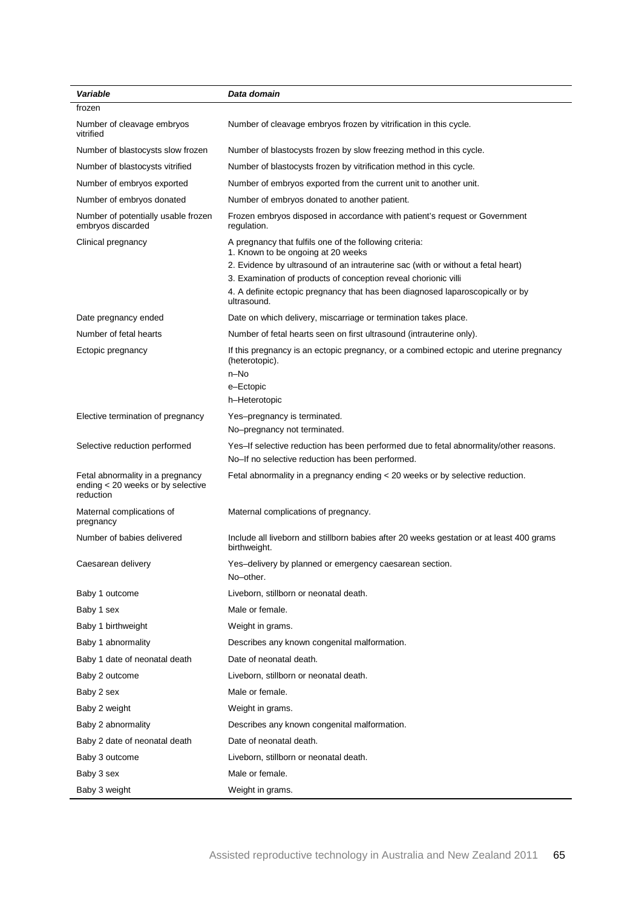| Variable                                                                           | Data domain                                                                                                                               |
|------------------------------------------------------------------------------------|-------------------------------------------------------------------------------------------------------------------------------------------|
| frozen                                                                             |                                                                                                                                           |
| Number of cleavage embryos<br>vitrified                                            | Number of cleavage embryos frozen by vitrification in this cycle.                                                                         |
| Number of blastocysts slow frozen                                                  | Number of blastocysts frozen by slow freezing method in this cycle.                                                                       |
| Number of blastocysts vitrified                                                    | Number of blastocysts frozen by vitrification method in this cycle.                                                                       |
| Number of embryos exported                                                         | Number of embryos exported from the current unit to another unit.                                                                         |
| Number of embryos donated                                                          | Number of embryos donated to another patient.                                                                                             |
| Number of potentially usable frozen<br>embryos discarded                           | Frozen embryos disposed in accordance with patient's request or Government<br>regulation.                                                 |
| Clinical pregnancy                                                                 | A pregnancy that fulfils one of the following criteria:<br>1. Known to be ongoing at 20 weeks                                             |
|                                                                                    | 2. Evidence by ultrasound of an intrauterine sac (with or without a fetal heart)                                                          |
|                                                                                    | 3. Examination of products of conception reveal chorionic villi                                                                           |
|                                                                                    | 4. A definite ectopic pregnancy that has been diagnosed laparoscopically or by<br>ultrasound.                                             |
| Date pregnancy ended                                                               | Date on which delivery, miscarriage or termination takes place.                                                                           |
| Number of fetal hearts                                                             | Number of fetal hearts seen on first ultrasound (intrauterine only).                                                                      |
| Ectopic pregnancy                                                                  | If this pregnancy is an ectopic pregnancy, or a combined ectopic and uterine pregnancy<br>(heterotopic).                                  |
|                                                                                    | n-No<br>e-Ectopic                                                                                                                         |
|                                                                                    | h-Heterotopic                                                                                                                             |
| Elective termination of pregnancy                                                  | Yes-pregnancy is terminated.                                                                                                              |
|                                                                                    | No-pregnancy not terminated.                                                                                                              |
| Selective reduction performed                                                      | Yes-If selective reduction has been performed due to fetal abnormality/other reasons.<br>No-If no selective reduction has been performed. |
| Fetal abnormality in a pregnancy<br>ending < 20 weeks or by selective<br>reduction | Fetal abnormality in a pregnancy ending < 20 weeks or by selective reduction.                                                             |
| Maternal complications of<br>pregnancy                                             | Maternal complications of pregnancy.                                                                                                      |
| Number of babies delivered                                                         | Include all liveborn and stillborn babies after 20 weeks gestation or at least 400 grams<br>birthweight.                                  |
| Caesarean delivery                                                                 | Yes-delivery by planned or emergency caesarean section.<br>No-other.                                                                      |
| Baby 1 outcome                                                                     | Liveborn, stillborn or neonatal death.                                                                                                    |
| Baby 1 sex                                                                         | Male or female.                                                                                                                           |
| Baby 1 birthweight                                                                 | Weight in grams.                                                                                                                          |
| Baby 1 abnormality                                                                 | Describes any known congenital malformation.                                                                                              |
| Baby 1 date of neonatal death                                                      | Date of neonatal death.                                                                                                                   |
| Baby 2 outcome                                                                     | Liveborn, stillborn or neonatal death.                                                                                                    |
| Baby 2 sex                                                                         | Male or female.                                                                                                                           |
| Baby 2 weight                                                                      | Weight in grams.                                                                                                                          |
| Baby 2 abnormality                                                                 | Describes any known congenital malformation.                                                                                              |
| Baby 2 date of neonatal death                                                      | Date of neonatal death.                                                                                                                   |
| Baby 3 outcome                                                                     | Liveborn, stillborn or neonatal death.                                                                                                    |
| Baby 3 sex                                                                         | Male or female.                                                                                                                           |
| Baby 3 weight                                                                      | Weight in grams.                                                                                                                          |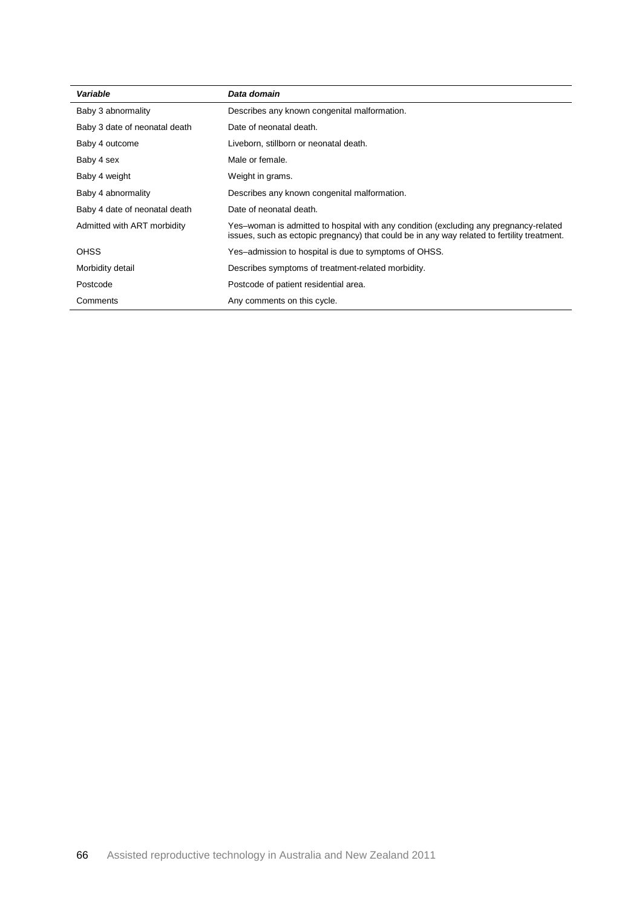| Variable                      | Data domain                                                                                                                                                                          |
|-------------------------------|--------------------------------------------------------------------------------------------------------------------------------------------------------------------------------------|
| Baby 3 abnormality            | Describes any known congenital malformation.                                                                                                                                         |
| Baby 3 date of neonatal death | Date of neonatal death.                                                                                                                                                              |
| Baby 4 outcome                | Liveborn, stillborn or neonatal death.                                                                                                                                               |
| Baby 4 sex                    | Male or female.                                                                                                                                                                      |
| Baby 4 weight                 | Weight in grams.                                                                                                                                                                     |
| Baby 4 abnormality            | Describes any known congenital malformation.                                                                                                                                         |
| Baby 4 date of neonatal death | Date of neonatal death.                                                                                                                                                              |
| Admitted with ART morbidity   | Yes-woman is admitted to hospital with any condition (excluding any pregnancy-related<br>issues, such as ectopic pregnancy) that could be in any way related to fertility treatment. |
| <b>OHSS</b>                   | Yes-admission to hospital is due to symptoms of OHSS.                                                                                                                                |
| Morbidity detail              | Describes symptoms of treatment-related morbidity.                                                                                                                                   |
| Postcode                      | Postcode of patient residential area.                                                                                                                                                |
| Comments                      | Any comments on this cycle.                                                                                                                                                          |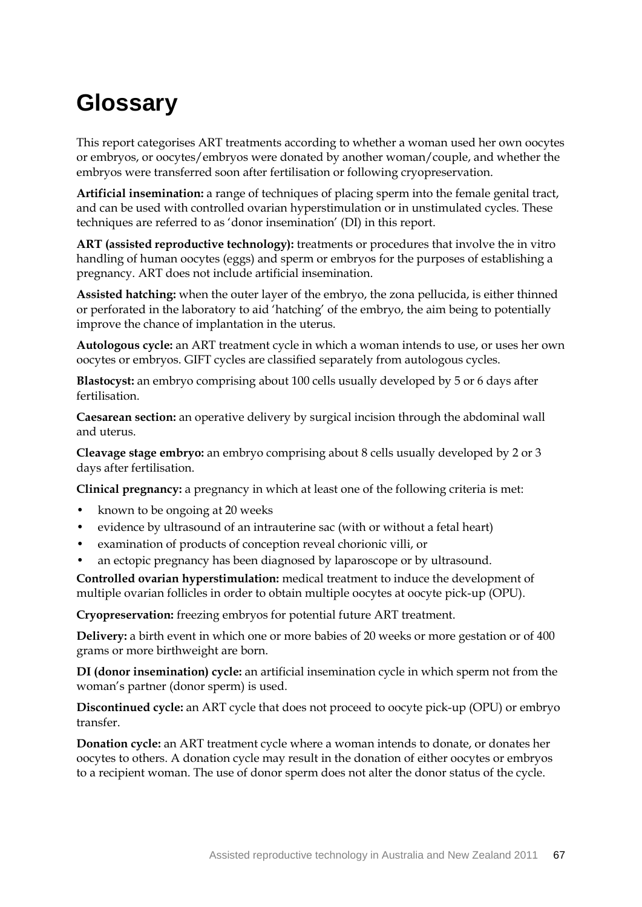## **Glossary**

This report categorises ART treatments according to whether a woman used her own oocytes or embryos, or oocytes/embryos were donated by another woman/couple, and whether the embryos were transferred soon after fertilisation or following cryopreservation.

**Artificial insemination:** a range of techniques of placing sperm into the female genital tract, and can be used with controlled ovarian hyperstimulation or in unstimulated cycles. These techniques are referred to as 'donor insemination' (DI) in this report.

**ART (assisted reproductive technology):** treatments or procedures that involve the in vitro handling of human oocytes (eggs) and sperm or embryos for the purposes of establishing a pregnancy. ART does not include artificial insemination.

**Assisted hatching:** when the outer layer of the embryo, the zona pellucida, is either thinned or perforated in the laboratory to aid 'hatching' of the embryo, the aim being to potentially improve the chance of implantation in the uterus.

**Autologous cycle:** an ART treatment cycle in which a woman intends to use, or uses her own oocytes or embryos. GIFT cycles are classified separately from autologous cycles.

**Blastocyst:** an embryo comprising about 100 cells usually developed by 5 or 6 days after fertilisation.

**Caesarean section:** an operative delivery by surgical incision through the abdominal wall and uterus.

**Cleavage stage embryo:** an embryo comprising about 8 cells usually developed by 2 or 3 days after fertilisation.

**Clinical pregnancy:** a pregnancy in which at least one of the following criteria is met:

- known to be ongoing at 20 weeks
- evidence by ultrasound of an intrauterine sac (with or without a fetal heart)
- examination of products of conception reveal chorionic villi, or
- an ectopic pregnancy has been diagnosed by laparoscope or by ultrasound.

**Controlled ovarian hyperstimulation:** medical treatment to induce the development of multiple ovarian follicles in order to obtain multiple oocytes at oocyte pick-up (OPU).

**Cryopreservation:** freezing embryos for potential future ART treatment.

**Delivery:** a birth event in which one or more babies of 20 weeks or more gestation or of 400 grams or more birthweight are born.

**DI (donor insemination) cycle:** an artificial insemination cycle in which sperm not from the woman's partner (donor sperm) is used.

**Discontinued cycle:** an ART cycle that does not proceed to oocyte pick-up (OPU) or embryo transfer.

**Donation cycle:** an ART treatment cycle where a woman intends to donate, or donates her oocytes to others. A donation cycle may result in the donation of either oocytes or embryos to a recipient woman. The use of donor sperm does not alter the donor status of the cycle.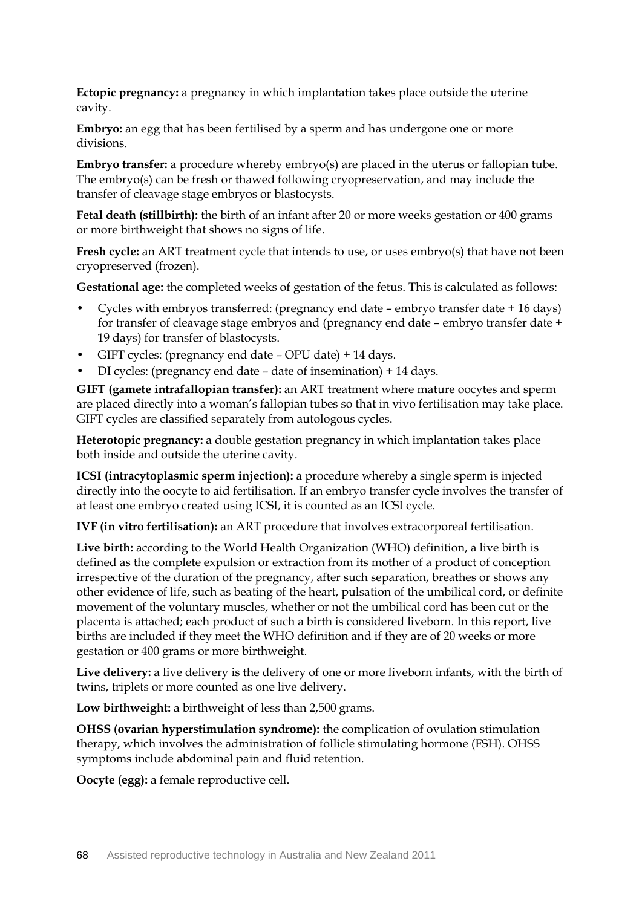**Ectopic pregnancy:** a pregnancy in which implantation takes place outside the uterine cavity.

**Embryo:** an egg that has been fertilised by a sperm and has undergone one or more divisions.

**Embryo transfer:** a procedure whereby embryo(s) are placed in the uterus or fallopian tube. The embryo(s) can be fresh or thawed following cryopreservation, and may include the transfer of cleavage stage embryos or blastocysts.

**Fetal death (stillbirth):** the birth of an infant after 20 or more weeks gestation or 400 grams or more birthweight that shows no signs of life.

**Fresh cycle:** an ART treatment cycle that intends to use, or uses embryo(s) that have not been cryopreserved (frozen).

**Gestational age:** the completed weeks of gestation of the fetus. This is calculated as follows:

- Cycles with embryos transferred: (pregnancy end date embryo transfer date + 16 days) for transfer of cleavage stage embryos and (pregnancy end date – embryo transfer date + 19 days) for transfer of blastocysts.
- GIFT cycles: (pregnancy end date OPU date) + 14 days.
- DI cycles: (pregnancy end date date of insemination) + 14 days.

**GIFT (gamete intrafallopian transfer):** an ART treatment where mature oocytes and sperm are placed directly into a woman's fallopian tubes so that in vivo fertilisation may take place. GIFT cycles are classified separately from autologous cycles.

**Heterotopic pregnancy:** a double gestation pregnancy in which implantation takes place both inside and outside the uterine cavity.

**ICSI (intracytoplasmic sperm injection):** a procedure whereby a single sperm is injected directly into the oocyte to aid fertilisation. If an embryo transfer cycle involves the transfer of at least one embryo created using ICSI, it is counted as an ICSI cycle.

**IVF (in vitro fertilisation):** an ART procedure that involves extracorporeal fertilisation.

**Live birth:** according to the World Health Organization (WHO) definition, a live birth is defined as the complete expulsion or extraction from its mother of a product of conception irrespective of the duration of the pregnancy, after such separation, breathes or shows any other evidence of life, such as beating of the heart, pulsation of the umbilical cord, or definite movement of the voluntary muscles, whether or not the umbilical cord has been cut or the placenta is attached; each product of such a birth is considered liveborn. In this report, live births are included if they meet the WHO definition and if they are of 20 weeks or more gestation or 400 grams or more birthweight.

**Live delivery:** a live delivery is the delivery of one or more liveborn infants, with the birth of twins, triplets or more counted as one live delivery.

**Low birthweight:** a birthweight of less than 2,500 grams.

**OHSS (ovarian hyperstimulation syndrome):** the complication of ovulation stimulation therapy, which involves the administration of follicle stimulating hormone (FSH). OHSS symptoms include abdominal pain and fluid retention.

**Oocyte (egg):** a female reproductive cell.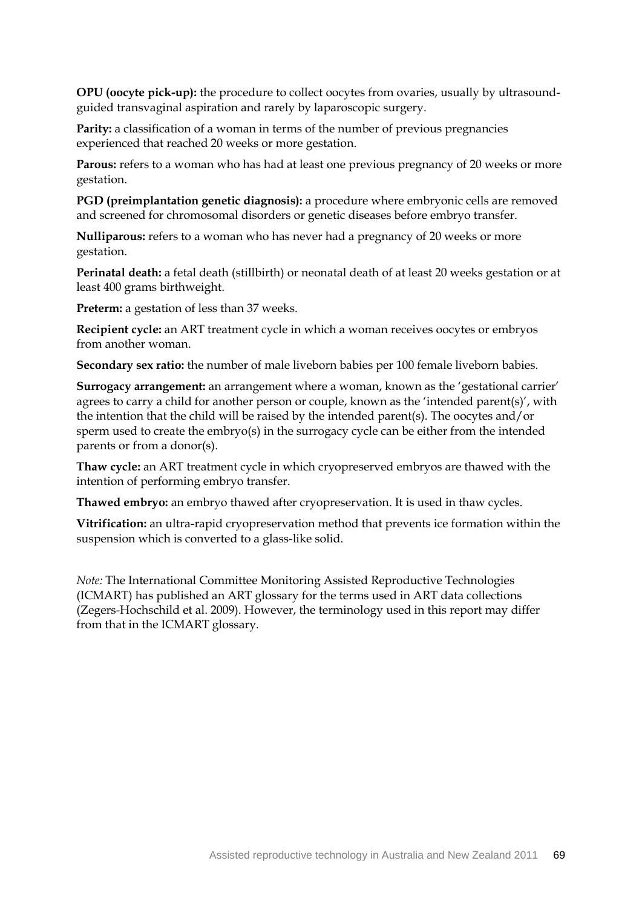**OPU (oocyte pick-up):** the procedure to collect oocytes from ovaries, usually by ultrasoundguided transvaginal aspiration and rarely by laparoscopic surgery.

**Parity:** a classification of a woman in terms of the number of previous pregnancies experienced that reached 20 weeks or more gestation.

**Parous:** refers to a woman who has had at least one previous pregnancy of 20 weeks or more gestation.

**PGD (preimplantation genetic diagnosis):** a procedure where embryonic cells are removed and screened for chromosomal disorders or genetic diseases before embryo transfer.

**Nulliparous:** refers to a woman who has never had a pregnancy of 20 weeks or more gestation.

**Perinatal death:** a fetal death (stillbirth) or neonatal death of at least 20 weeks gestation or at least 400 grams birthweight.

**Preterm:** a gestation of less than 37 weeks.

**Recipient cycle:** an ART treatment cycle in which a woman receives oocytes or embryos from another woman.

**Secondary sex ratio:** the number of male liveborn babies per 100 female liveborn babies.

**Surrogacy arrangement:** an arrangement where a woman, known as the 'gestational carrier' agrees to carry a child for another person or couple, known as the 'intended parent(s)', with the intention that the child will be raised by the intended parent(s). The oocytes and/or sperm used to create the embryo(s) in the surrogacy cycle can be either from the intended parents or from a donor(s).

**Thaw cycle:** an ART treatment cycle in which cryopreserved embryos are thawed with the intention of performing embryo transfer.

**Thawed embryo:** an embryo thawed after cryopreservation. It is used in thaw cycles.

**Vitrification:** an ultra-rapid cryopreservation method that prevents ice formation within the suspension which is converted to a glass-like solid.

*Note:* The International Committee Monitoring Assisted Reproductive Technologies (ICMART) has published an ART glossary for the terms used in ART data collections (Zegers-Hochschild et al. 2009). However, the terminology used in this report may differ from that in the ICMART glossary.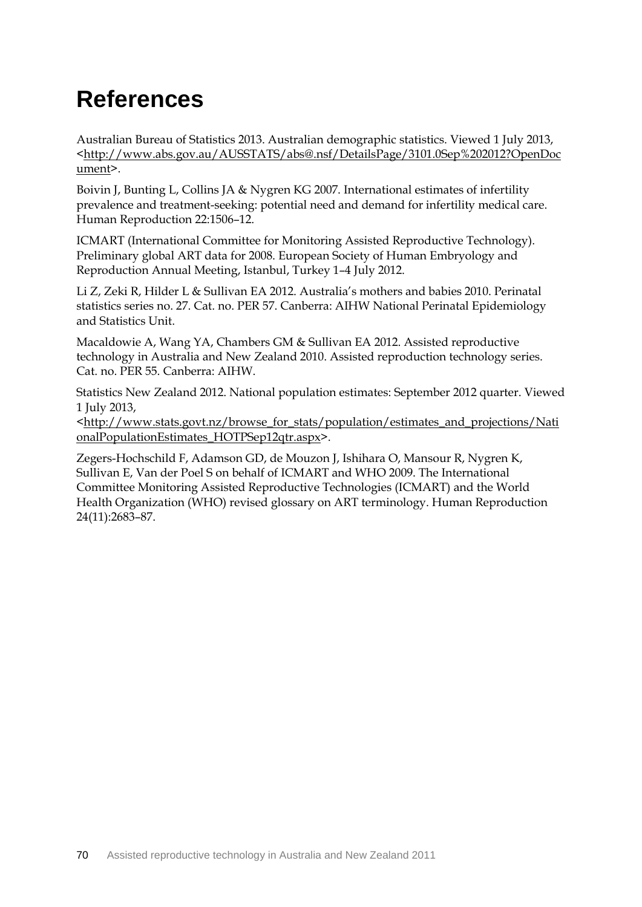## **References**

Australian Bureau of Statistics 2013. Australian demographic statistics. Viewed 1 July 2013, [<http://www.abs.gov.au/AUSSTATS/abs@.nsf/DetailsPage/3101.0Sep%202012?OpenDoc](http://www.abs.gov.au/AUSSTATS/abs@.nsf/DetailsPage/3101.0Sep%202012?OpenDocument) [ument>](http://www.abs.gov.au/AUSSTATS/abs@.nsf/DetailsPage/3101.0Sep%202012?OpenDocument).

[Boivin J,](http://www.ncbi.nlm.nih.gov/pubmed?term=%22Boivin%20J%22%5BAuthor%5D) [Bunting L,](http://www.ncbi.nlm.nih.gov/pubmed?term=%22Bunting%20L%22%5BAuthor%5D) [Collins JA](http://www.ncbi.nlm.nih.gov/pubmed?term=%22Collins%20JA%22%5BAuthor%5D) & [Nygren KG](http://www.ncbi.nlm.nih.gov/pubmed?term=%22Nygren%20KG%22%5BAuthor%5D) 2007. International estimates of infertility prevalence and treatment-seeking: potential need and demand for infertility medical care. [Human Reproduction](http://www.ncbi.nlm.nih.gov/pubmed/17376819) 22:1506–12.

ICMART (International Committee for Monitoring Assisted Reproductive Technology). Preliminary global ART data for 2008. European Society of Human Embryology and Reproduction Annual Meeting, Istanbul, Turkey 1–4 July 2012.

Li Z, Zeki R, Hilder L & Sullivan EA 2012. Australia's mothers and babies 2010. Perinatal statistics series no. 27. Cat. no. PER 57. Canberra: AIHW National Perinatal Epidemiology and Statistics Unit.

Macaldowie A, Wang YA, Chambers GM & Sullivan EA 2012. Assisted reproductive technology in Australia and New Zealand 2010. Assisted reproduction technology series. Cat. no. PER 55. Canberra: AIHW.

Statistics New Zealand 2012. [National population estimates:](http://www.stats.govt.nz/~/media/Statistics/Methods%20and%20Services/Tables/National%20population%20estimates/national-pop-estimates-at-30jun.ashx) September 2012 quarter. Viewed 1 July 2013,

[<http://www.stats.govt.nz/browse\\_for\\_stats/population/estimates\\_and\\_projections/Nati](http://www.stats.govt.nz/browse_for_stats/population/estimates_and_projections/NationalPopulationEstimates_HOTPSep12qtr.aspx) [onalPopulationEstimates\\_HOTPSep12qtr.aspx>](http://www.stats.govt.nz/browse_for_stats/population/estimates_and_projections/NationalPopulationEstimates_HOTPSep12qtr.aspx).

Zegers-Hochschild F, Adamson GD, de Mouzon J, Ishihara O, Mansour R, Nygren K, Sullivan E, Van der Poel S on behalf of ICMART and WHO 2009. The International Committee Monitoring Assisted Reproductive Technologies (ICMART) and the World Health Organization (WHO) revised glossary on ART terminology. Human Reproduction 24(11):2683–87.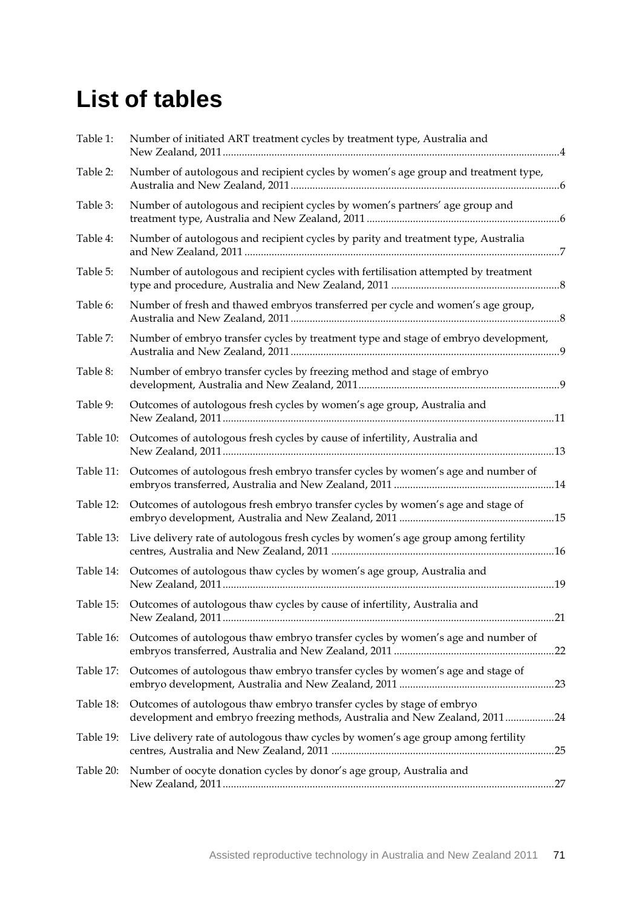## **List of tables**

| Table 1:  | Number of initiated ART treatment cycles by treatment type, Australia and                                                                           |  |
|-----------|-----------------------------------------------------------------------------------------------------------------------------------------------------|--|
| Table 2:  | Number of autologous and recipient cycles by women's age group and treatment type,                                                                  |  |
| Table 3:  | Number of autologous and recipient cycles by women's partners' age group and                                                                        |  |
| Table 4:  | Number of autologous and recipient cycles by parity and treatment type, Australia                                                                   |  |
| Table 5:  | Number of autologous and recipient cycles with fertilisation attempted by treatment                                                                 |  |
| Table 6:  | Number of fresh and thawed embryos transferred per cycle and women's age group,                                                                     |  |
| Table 7:  | Number of embryo transfer cycles by treatment type and stage of embryo development,                                                                 |  |
| Table 8:  | Number of embryo transfer cycles by freezing method and stage of embryo                                                                             |  |
| Table 9:  | Outcomes of autologous fresh cycles by women's age group, Australia and                                                                             |  |
| Table 10: | Outcomes of autologous fresh cycles by cause of infertility, Australia and                                                                          |  |
| Table 11: | Outcomes of autologous fresh embryo transfer cycles by women's age and number of                                                                    |  |
| Table 12: | Outcomes of autologous fresh embryo transfer cycles by women's age and stage of                                                                     |  |
| Table 13: | Live delivery rate of autologous fresh cycles by women's age group among fertility                                                                  |  |
|           | Table 14: Outcomes of autologous thaw cycles by women's age group, Australia and                                                                    |  |
|           | Table 15: Outcomes of autologous thaw cycles by cause of infertility, Australia and                                                                 |  |
| Table 16: | Outcomes of autologous thaw embryo transfer cycles by women's age and number of                                                                     |  |
| Table 17: | Outcomes of autologous thaw embryo transfer cycles by women's age and stage of                                                                      |  |
| Table 18: | Outcomes of autologous thaw embryo transfer cycles by stage of embryo<br>development and embryo freezing methods, Australia and New Zealand, 201124 |  |
| Table 19: | Live delivery rate of autologous thaw cycles by women's age group among fertility                                                                   |  |
| Table 20: | Number of oocyte donation cycles by donor's age group, Australia and                                                                                |  |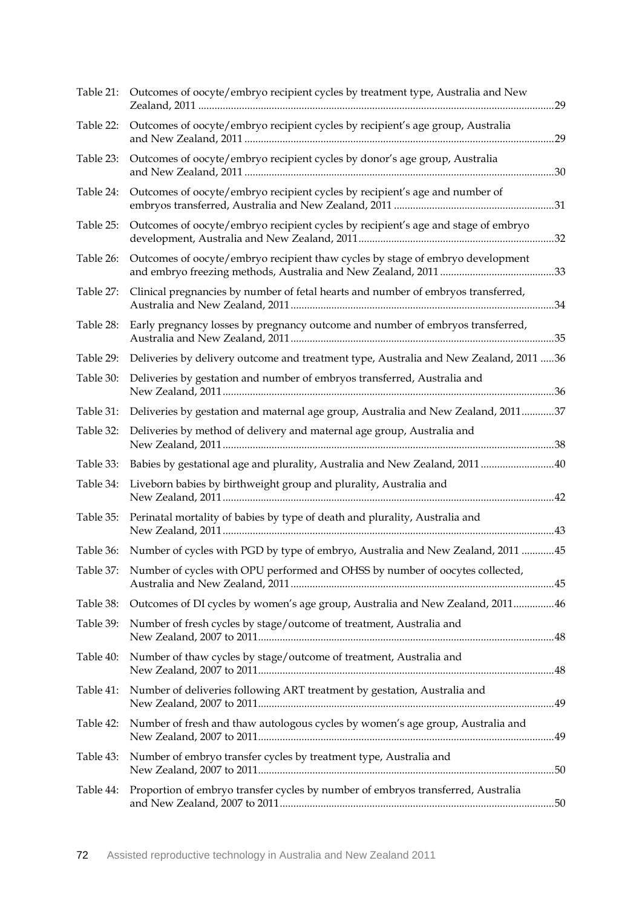| Table 21: | Outcomes of oocyte/embryo recipient cycles by treatment type, Australia and New           |  |
|-----------|-------------------------------------------------------------------------------------------|--|
| Table 22: | Outcomes of oocyte/embryo recipient cycles by recipient's age group, Australia            |  |
| Table 23: | Outcomes of oocyte/embryo recipient cycles by donor's age group, Australia                |  |
| Table 24: | Outcomes of oocyte/embryo recipient cycles by recipient's age and number of               |  |
| Table 25: | Outcomes of oocyte/embryo recipient cycles by recipient's age and stage of embryo         |  |
| Table 26: | Outcomes of oocyte/embryo recipient thaw cycles by stage of embryo development            |  |
| Table 27: | Clinical pregnancies by number of fetal hearts and number of embryos transferred,         |  |
| Table 28: | Early pregnancy losses by pregnancy outcome and number of embryos transferred,            |  |
| Table 29: | Deliveries by delivery outcome and treatment type, Australia and New Zealand, 2011 36     |  |
| Table 30: | Deliveries by gestation and number of embryos transferred, Australia and                  |  |
| Table 31: | Deliveries by gestation and maternal age group, Australia and New Zealand, 201137         |  |
| Table 32: | Deliveries by method of delivery and maternal age group, Australia and                    |  |
| Table 33: | Babies by gestational age and plurality, Australia and New Zealand, 2011  40              |  |
| Table 34: | Liveborn babies by birthweight group and plurality, Australia and                         |  |
| Table 35: | Perinatal mortality of babies by type of death and plurality, Australia and               |  |
|           | Table 36: Number of cycles with PGD by type of embryo, Australia and New Zealand, 2011 45 |  |
|           | Table 37: Number of cycles with OPU performed and OHSS by number of oocytes collected,    |  |
| Table 38: | Outcomes of DI cycles by women's age group, Australia and New Zealand, 201146             |  |
| Table 39: | Number of fresh cycles by stage/outcome of treatment, Australia and                       |  |
| Table 40: | Number of thaw cycles by stage/outcome of treatment, Australia and                        |  |
| Table 41: | Number of deliveries following ART treatment by gestation, Australia and                  |  |
| Table 42: | Number of fresh and thaw autologous cycles by women's age group, Australia and            |  |
| Table 43: | Number of embryo transfer cycles by treatment type, Australia and                         |  |
| Table 44: | Proportion of embryo transfer cycles by number of embryos transferred, Australia          |  |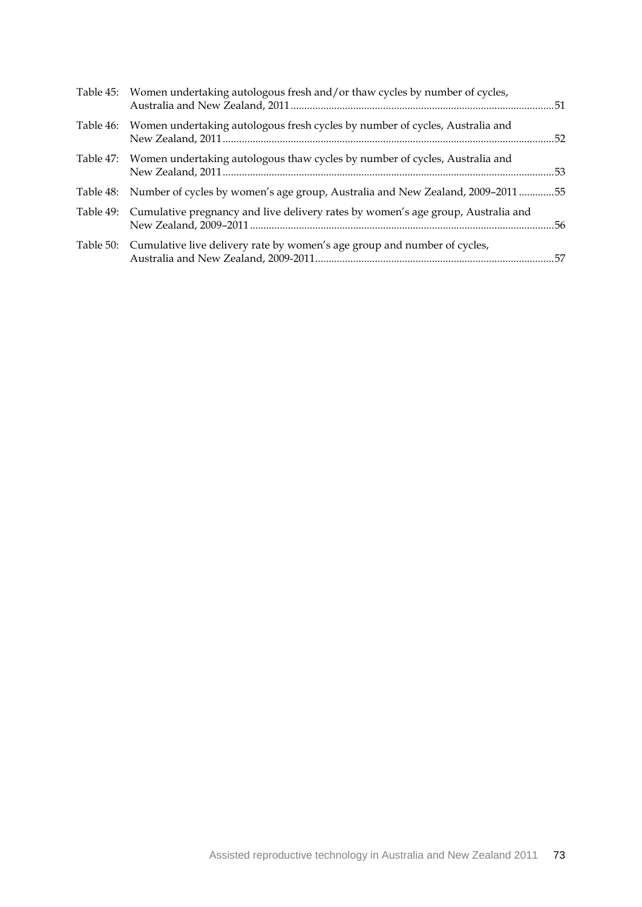|           | Table 45: Women undertaking autologous fresh and/or thaw cycles by number of cycles,       |  |
|-----------|--------------------------------------------------------------------------------------------|--|
| Table 46: | Women undertaking autologous fresh cycles by number of cycles, Australia and               |  |
| Table 47: | Women undertaking autologous thaw cycles by number of cycles, Australia and                |  |
|           | Table 48: Number of cycles by women's age group, Australia and New Zealand, 2009–2011 55   |  |
|           | Table 49: Cumulative pregnancy and live delivery rates by women's age group, Australia and |  |
|           | Table 50: Cumulative live delivery rate by women's age group and number of cycles,         |  |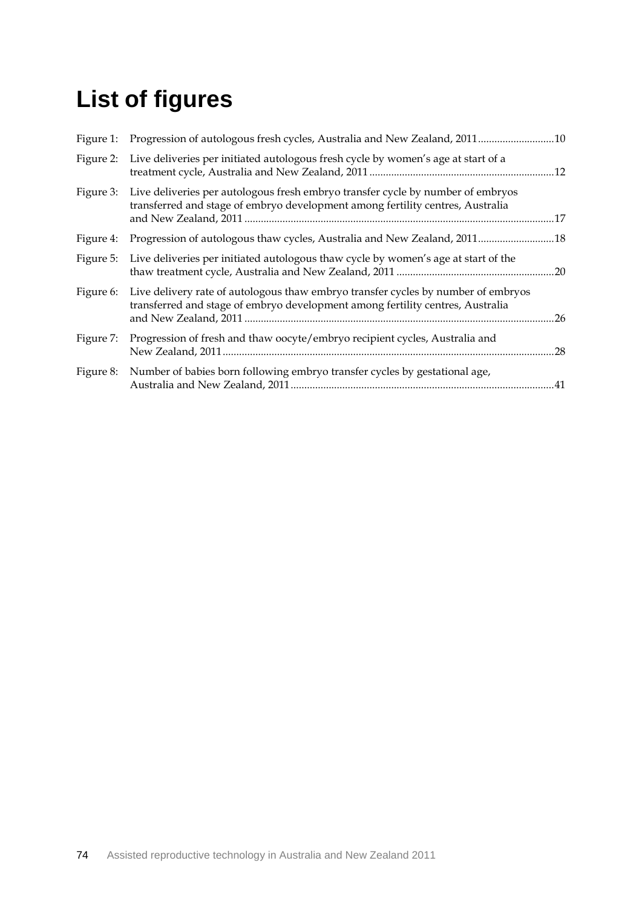## **List of figures**

| Figure 1: | Progression of autologous fresh cycles, Australia and New Zealand, 201110                                                                                           |     |
|-----------|---------------------------------------------------------------------------------------------------------------------------------------------------------------------|-----|
| Figure 2: | Live deliveries per initiated autologous fresh cycle by women's age at start of a                                                                                   |     |
| Figure 3: | Live deliveries per autologous fresh embryo transfer cycle by number of embryos<br>transferred and stage of embryo development among fertility centres, Australia   |     |
| Figure 4: | Progression of autologous thaw cycles, Australia and New Zealand, 201118                                                                                            |     |
| Figure 5: | Live deliveries per initiated autologous thaw cycle by women's age at start of the                                                                                  |     |
| Figure 6: | Live delivery rate of autologous thaw embryo transfer cycles by number of embryos<br>transferred and stage of embryo development among fertility centres, Australia | .26 |
| Figure 7: | Progression of fresh and thaw oocyte/embryo recipient cycles, Australia and                                                                                         | .28 |
| Figure 8: | Number of babies born following embryo transfer cycles by gestational age,                                                                                          |     |
|           |                                                                                                                                                                     |     |